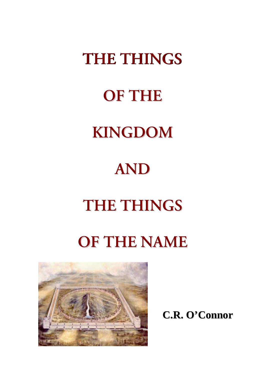# **THE THINGS**

## **OF THE**

## **KINGDOM**

## **AND**

## **THE THINGS**

## **OF THE NAME**



**C.R. O'Connor**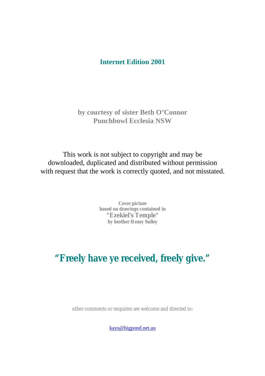#### **Internet Edition 2001**

**by courtesy of sister Beth O'Connor Punchbowl Ecclesia NSW** 

This work is not subject to copyright and may be downloaded, duplicated and distributed without permission with request that the work is correctly quoted, and not misstated.

> **Cover picture based on drawings contained in "Ezekiel's Temple" by brother Henry Sulley**

## **"Freely have ye received, freely give."**

other comments or enquiries are welcome and directed to:

[kays@bigpond.net.au](mailto:kays@bigpond.net.au)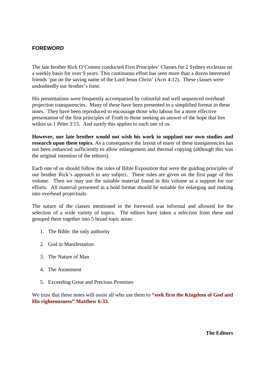#### <span id="page-2-0"></span>**FOREWORD**

The late brother Rick O'Connor conducted First Principles' Classes for 2 Sydney ecclesias on a weekly basis for over 9 years. This continuous effort has seen more than a dozen interested friends 'put on the saving name of the Lord Jesus Christ' (Acts 4:12). These classes were undoubtedly our brother's forte.

His presentations were frequently accompanied by colourful and well sequenced overhead projection transparencies. Many of these have been presented in a simplified format in these notes. They have been reproduced to encourage those who labour for a more effective presentation of the first principles of Truth to those seeking an answer of the hope that lies within us 1 Peter 3:15. And surely this applies to each one of us.

**However, our late brother would not wish his work to supplant our own studies and research upon these topics**. As a consequence the layout of many of these transparencies has not been enhanced sufficiently to allow enlargement and thermal copying (although this was the original intention of the editors).

Each one of us should follow the rules of Bible Exposition that were the guiding principles of our brother Rick's approach to any subject. These rules are given on the first page of this volume. Then we may use the suitable material found in this volume as a support for our efforts. All material presented in a bold format should be suitable for enlarging and making into overhead projectuals.

The nature of the classes mentioned in the foreword was informal and allowed for the selection of a wide variety of topics. The editors have taken a selection from these and grouped them together into 5 broad topic areas:

- 1. The Bible: the only authority
- 2. God in Manifestation
- 3. The Nature of Man
- 4. The Atonement
- 5. Exceeding Great and Precious Promises

We trust that these notes will assist all who use them to "seek first the Kingdom of God and **His righteousness" Matthew 6:33.**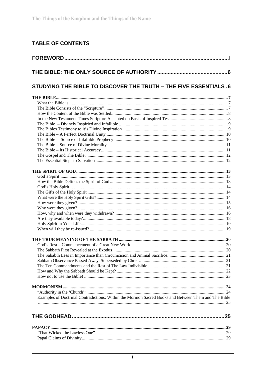## TABLE OF CONTENTS

| STUDYING THE BIBLE TO DISCOVER THE TRUTH - THE FIVE ESSENTIALS .6                                   |     |
|-----------------------------------------------------------------------------------------------------|-----|
|                                                                                                     |     |
|                                                                                                     |     |
|                                                                                                     |     |
|                                                                                                     |     |
|                                                                                                     |     |
|                                                                                                     |     |
|                                                                                                     |     |
|                                                                                                     |     |
|                                                                                                     |     |
|                                                                                                     |     |
|                                                                                                     |     |
|                                                                                                     |     |
|                                                                                                     |     |
|                                                                                                     |     |
|                                                                                                     |     |
|                                                                                                     |     |
|                                                                                                     |     |
|                                                                                                     |     |
|                                                                                                     |     |
|                                                                                                     |     |
|                                                                                                     |     |
|                                                                                                     |     |
|                                                                                                     |     |
|                                                                                                     |     |
|                                                                                                     |     |
|                                                                                                     |     |
|                                                                                                     |     |
|                                                                                                     |     |
|                                                                                                     |     |
|                                                                                                     |     |
|                                                                                                     |     |
|                                                                                                     |     |
|                                                                                                     |     |
|                                                                                                     |     |
|                                                                                                     |     |
| Examples of Doctrinal Contradictions: Within the Mormon Sacred Books and Between Them and The Bible |     |
|                                                                                                     |     |
|                                                                                                     |     |
|                                                                                                     | .25 |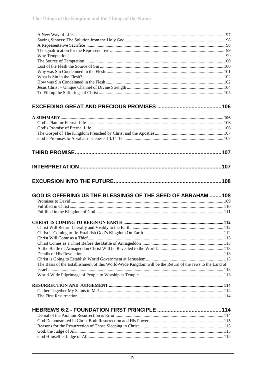| GOD IS OFFERING US THE BLESSINGS OF THE SEED OF ABRAHAM 108                                             |  |
|---------------------------------------------------------------------------------------------------------|--|
|                                                                                                         |  |
|                                                                                                         |  |
|                                                                                                         |  |
|                                                                                                         |  |
|                                                                                                         |  |
|                                                                                                         |  |
|                                                                                                         |  |
|                                                                                                         |  |
|                                                                                                         |  |
|                                                                                                         |  |
|                                                                                                         |  |
|                                                                                                         |  |
|                                                                                                         |  |
| The Basis of the Establishment of this World-Wide Kingdom will be the Return of the Jews to the Land of |  |
|                                                                                                         |  |
|                                                                                                         |  |
|                                                                                                         |  |
|                                                                                                         |  |
|                                                                                                         |  |
|                                                                                                         |  |
|                                                                                                         |  |
|                                                                                                         |  |
|                                                                                                         |  |
|                                                                                                         |  |
|                                                                                                         |  |
|                                                                                                         |  |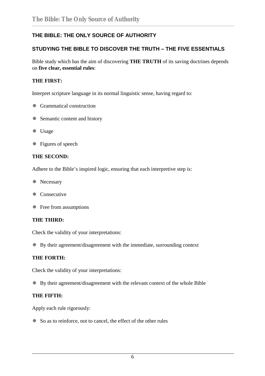#### <span id="page-8-0"></span>**THE BIBLE: THE ONLY SOURCE OF AUTHORITY**

#### **STUDYING THE BIBLE TO DISCOVER THE TRUTH – THE FIVE ESSENTIALS**

Bible study which has the aim of discovering **THE TRUTH** of its saving doctrines depends on **five clear, essential rules**:

#### **THE FIRST:**

Interpret scripture language in its normal linguistic sense, having regard to:

- ! Grammatical construction
- ! Semantic content and history
- ! Usage
- ! Figures of speech

#### **THE SECOND:**

Adhere to the Bible's inspired logic, ensuring that each interpretive step is:

- \* Necessary
- ! Consecutive
- \* Free from assumptions

#### **THE THIRD:**

Check the validity of your interpretations:

! By their agreement/disagreement with the immediate, surrounding context

#### **THE FORTH:**

Check the validity of your interpretations:

! By their agreement/disagreement with the relevant context of the whole Bible

#### **THE FIFTH:**

Apply each rule rigorously:

! So as to reinforce, not to cancel, the effect of the other rules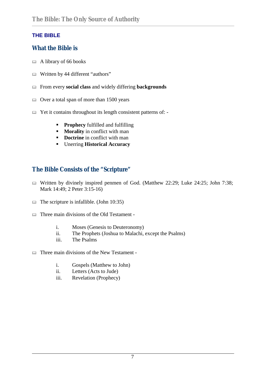#### <span id="page-9-0"></span>**THE BIBLE**

#### **What the Bible is**

- $\Box$  A library of 66 books
- **Example 3** Written by 44 different "authors"
- # From every **social class** and widely differing **backgrounds**
- $\Box$  Over a total span of more than 1500 years
- $\mathbb{R}$  Yet it contains throughout its length consistent patterns of: -
	- **Prophecy** fulfilled and fulfilling
	- **Morality** in conflict with man
	- **Doctrine** in conflict with man
	- **EXECUTE:** Unerring **Historical Accuracy**

## **The Bible Consists of the "Scripture"**

- $\Box$  Written by divinely inspired penmen of God. (Matthew 22:29; Luke 24:25; John 7:38; Mark 14:49; 2 Peter 3:15-16)
- $\Box$  The scripture is infallible. (John 10:35)
- $\Box$  Three main divisions of the Old Testament
	- i. Moses (Genesis to Deuteronomy)
	- ii. The Prophets (Joshua to Malachi, except the Psalms)
	- iii. The Psalms
- $\Box$  Three main divisions of the New Testament
	- i. Gospels (Matthew to John)
	- ii. Letters (Acts to Jude)
	- iii. Revelation (Prophecy)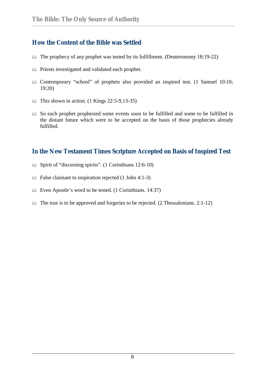#### <span id="page-10-0"></span>**How the Content of the Bible was Settled**

- $\Box$  The prophecy of any prophet was tested by its fulfillment. (Deuteronomy 18:19-22)
- $\Box$  Priests investigated and validated each prophet.
- **Exercise 2.1 Contemporary "school"** of prophets also provided an inspired test. (1 Samuel 10:10; 19:20)
- $\Box$  This shown in action. (1 Kings 22:5-9,13-35)
- $\Box$  So each prophet prophesied some events soon to be fulfilled and some to be fulfilled in the distant future which were to be accepted on the basis of those prophecies already fulfilled.

#### **In the New Testament Times Scripture Accepted on Basis of Inspired Test**

- $\Box$  Spirit of "discerning spirits". (1 Corinthians 12:6-10)
- $\Box$  False claimant to inspiration rejected (1 John 4:1-3)
- **Even Apostle's word to be tested.** (1 Corinthians. 14:37)
- $\Box$  The true is to be approved and forgeries to be rejected. (2 Thessalonians. 2:1-12)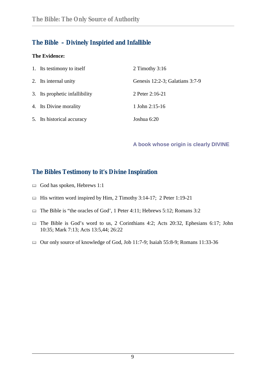### <span id="page-11-0"></span>**The Bible – Divinely Inspiried and Infallible**

#### **The Evidence:**

| 1. Its testimony to itself     | 2 Timothy $3:16$                |
|--------------------------------|---------------------------------|
| 2. Its internal unity          | Genesis 12:2-3; Galatians 3:7-9 |
| 3. Its prophetic infallibility | 2 Peter 2:16-21                 |
| 4. Its Divine morality         | 1 John $2:15-16$                |
| 5. Its historical accuracy     | Joshua 6:20                     |

**A book whose origin is clearly DIVINE** 

#### **The Bibles Testimony to it's Divine Inspiration**

- **Example 3** God has spoken, Hebrews 1:1
- $\Box$  His written word inspired by Him, 2 Timothy 3:14-17; 2 Peter 1:19-21
- $\Box$  The Bible is "the oracles of God', 1 Peter 4:11; Hebrews 5:12; Romans 3:2
- # The Bible is God's word to us, 2 Corinthians 4:2; Acts 20:32, Ephesians 6:17; John 10:35; Mark 7:13; Acts 13:5,44; 26:22
- $\Box$  Our only source of knowledge of God, Job 11:7-9; Isaiah 55:8-9; Romans 11:33-36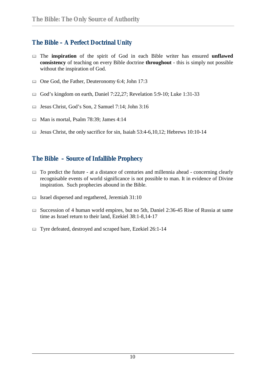### <span id="page-12-0"></span>**The Bible – A Perfect Doctrinal Unity**

- $\Box$  The **inspiration** of the spirit of God in each Bible writer has ensured **unflawed consistency** of teaching on every Bible doctrine **throughout** - this is simply not possible without the inspiration of God.
- $\Box$  One God, the Father, Deuteronomy 6:4; John 17:3
- **God's kingdom on earth, Daniel 7:22,27; Revelation 5:9-10; Luke 1:31-33**
- $\Box$  Jesus Christ, God's Son, 2 Samuel 7:14; John 3:16
- $\Box$  Man is mortal, Psalm 78:39; James 4:14
- $\Box$  Jesus Christ, the only sacrifice for sin, Isaiah 53:4-6,10,12; Hebrews 10:10-14

### **The Bible – Source of Infallible Prophecy**

- $\Box$  To predict the future at a distance of centuries and millennia ahead concerning clearly recognisable events of world significance is not possible to man. It in evidence of Divine inspiration. Such prophecies abound in the Bible.
- $\Box$  Israel dispersed and regathered, Jeremiah 31:10
- $\Box$  Succession of 4 human world empires, but no 5th, Daniel 2:36-45 Rise of Russia at same time as Israel return to their land, Ezekiel 38:1-8,14-17
- **Tyre defeated, destroyed and scraped bare, Ezekiel 26:1-14**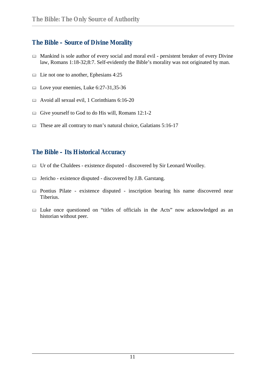#### <span id="page-13-0"></span>**The Bible – Source of Divine Morality**

- $\Box$  Mankind is sole author of every social and moral evil persistent breaker of every Divine law, Romans 1:18-32;8:7. Self-evidently the Bible's morality was not originated by man.
- $\Box$  Lie not one to another, Ephesians 4:25
- $\Box$  Love your enemies, Luke 6:27-31,35-36
- $\Box$  Avoid all sexual evil, 1 Corinthians 6:16-20
- $\Box$  Give yourself to God to do His will, Romans 12:1-2
- $\Box$  These are all contrary to man's natural choice, Galatians 5:16-17

#### **The Bible – Its Historical Accuracy**

- $\Box$  Ur of the Chaldees existence disputed discovered by Sir Leonard Woolley.
- $\Box$  Jericho existence disputed discovered by J.B. Garstang.
- # Pontius Pilate existence disputed inscription bearing his name discovered near Tiberius.
- Luke once questioned on "titles of officials in the Acts" now acknowledged as an historian without peer.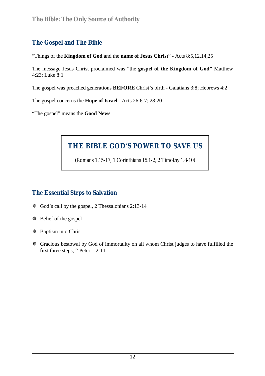## <span id="page-14-0"></span>**The Gospel and The Bible**

"Things of the **Kingdom of God** and the **name of Jesus Christ**" - Acts 8:5,12,14,25

The message Jesus Christ proclaimed was "the **gospel of the Kingdom of God"** Matthew 4:23; Luke 8:1

The gospel was preached generations **BEFORE** Christ's birth - Galatians 3:8; Hebrews 4:2

The gospel concerns the **Hope of Israel** - Acts 26:6-7; 28:20

"The gospel" means the **Good News** 

## **THE BIBLE GOD'S POWER TO SAVE US**

(Romans 1:15-17; 1 Corinthians 15:1-2; 2 Timothy 1:8-10)

#### **The Essential Steps to Salvation**

- ! God's call by the gospel, 2 Thessalonians 2:13-14
- ! Belief of the gospel
- ! Baptism into Christ
- ! Gracious bestowal by God of immortality on all whom Christ judges to have fulfilled the first three steps, 2 Peter 1:2-11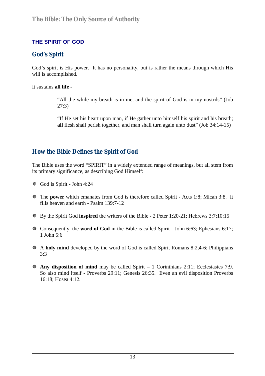#### <span id="page-15-0"></span>**THE SPIRIT OF GOD**

### **God's Spirit**

God's spirit is His power. It has no personality, but is rather the means through which His will is accomplished.

It sustains **all life** -

"All the while my breath is in me, and the spirit of God is in my nostrils" (Job 27:3)

"If He set his heart upon man, if He gather unto himself his spirit and his breath; **all** flesh shall perish together, and man shall turn again unto dust" (Job 34:14-15)

## **How the Bible Defines the Spirit of God**

The Bible uses the word "SPIRIT" in a widely extended range of meanings, but all stem from its primary significance, as describing God Himself:

- ! God is Spirit John 4:24
- ! The **power** which emanates from God is therefore called Spirit Acts 1:8; Micah 3:8. It fills heaven and earth - Psalm 139:7-12
- ! By the Spirit God **inspired** the writers of the Bible 2 Peter 1:20-21; Hebrews 3:7;10:15
- ! Consequently, the **word of God** in the Bible is called Spirit John 6:63; Ephesians 6:17; 1 John 5:6
- ! A **holy mind** developed by the word of God is called Spirit Romans 8:2,4-6; Philippians 3:3
- ! **Any disposition of mind** may be called Spirit 1 Corinthians 2:11; Ecclesiastes 7:9. So also mind itself - Proverbs 29:11; Genesis 26:35. Even an evil disposition Proverbs 16:18; Hosea 4:12.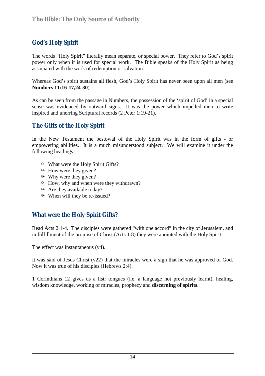## <span id="page-16-0"></span>**God's Holy Spirit**

The words "Holy Spirit" literally mean separate, or special power. They refer to God's spirit power only when it is used for special work. The Bible speaks of the Holy Spirit as being associated with the work of redemption or salvation.

Whereas God's spirit sustains all flesh, God's Holy Spirit has never been upon all men (see **Numbers 11:16-17,24-30**).

As can be seen from the passage in Numbers, the possession of the 'spirit of God' in a special sense was evidenced by outward signs. It was the power which impelled men to write inspired and unerring Scriptural records (2 Peter 1:19-21).

#### **The Gifts of the Holy Spirit**

In the New Testament the bestowal of the Holy Spirit was in the form of gifts - or empowering abilities. It is a much misunderstood subject. We will examine it under the following headings:

- $\odot$  What were the Holy Spirit Gifts?
- $\div$  How were they given?
- $\div$  Why were they given?
- $\div$  How, why and when were they withdrawn?
- $\triangle$  Are they available today?
- $\odot$  When will they be re-issued?

#### **What were the Holy Spirit Gifts?**

Read Acts 2:1-4. The disciples were gathered "with one accord" in the city of Jerusalem, and in fulfillment of the promise of Christ (Acts 1:8) they were anointed with the Holy Spirit.

The effect was instantaneous (v4).

It was said of Jesus Christ (v22) that the miracles were a sign that he was approved of God. Now it was true of his disciples (Hebrews 2:4).

1 Corinthians 12 gives us a list: tongues (i.e. a language not previously learnt), healing, wisdom knowledge, working of miracles, prophecy and **discerning of spirits**.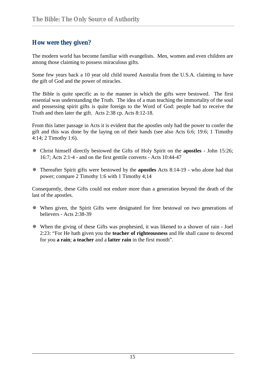### <span id="page-17-0"></span>**How were they given?**

The modern world has become familiar with evangelists. Men, women and even children are among those claiming to possess miraculous gifts.

Some few years back a 10 year old child toured Australia from the U.S.A. claiming to have the gift of God and the power of miracles.

The Bible is quite specific as to the manner in which the gifts were bestowed. The first essential was understanding the Truth. The idea of a man teaching the immortality of the soul and possessing spirit gifts is quite foreign to the Word of God: people had to receive the Truth and then later the gift. Acts 2:38 cp. Acts 8:12-18.

From this latter passage in Acts it is evident that the apostles only had the power to confer the gift and this was done by the laying on of their hands (see also Acts 6:6; 19:6; 1 Timothy 4:14; 2 Timothy 1:6).

- ! Christ himself directly bestowed the Gifts of Holy Spirit on the **apostles** John 15:26; 16:7; Acts 2:1-4 - and on the first gentile converts - Acts 10:44-47
- ! Thereafter Spirit gifts were bestowed by the **apostles** Acts 8:14-19 who alone had that power; compare 2 Timothy 1:6 with 1 Timothy 4;14

Consequently, these Gifts could not endure more than a generation beyond the death of the last of the apostles.

- ! When given, the Spirit Gifts were designated for free bestowal on two generations of believers - Acts 2:38-39
- ! When the giving of these Gifts was prophesied, it was likened to a shower of rain Joel 2:23: "For He hath given you the **teacher of righteousness** and He shall cause to descend for you **a rain**; **a teacher** and a **latter rain** in the first month".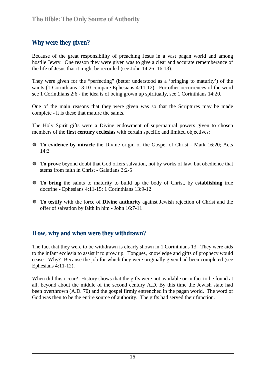#### <span id="page-18-0"></span>**Why were they given?**

Because of the great responsibility of preaching Jesus in a vast pagan world and among hostile Jewry. One reason they were given was to give a clear and accurate rememberance of the life of Jesus that it might be recorded (see John 14:26; 16:13).

They were given for the "perfecting" (better understood as a 'bringing to maturity') of the saints (1 Corinthians 13:10 compare Ephesians 4:11-12). For other occurrences of the word see 1 Corinthians 2:6 - the idea is of being grown up spiritually, see 1 Corinthians 14:20.

One of the main reasons that they were given was so that the Scriptures may be made complete - it is these that mature the saints.

The Holy Spirit gifts were a Divine endowment of supernatural powers given to chosen members of the **first century ecclesias** with certain specific and limited objectives:

- ! **To evidence by miracle** the Divine origin of the Gospel of Christ Mark 16:20; Acts 14:3
- ! **To prove** beyond doubt that God offers salvation, not by works of law, but obedience that stems from faith in Christ - Galatians 3:2-5
- ! **To bring** the saints to maturity to build up the body of Christ, by **establishing** true doctrine - Ephesians 4:11-15; 1 Corinthians 13:9-12
- ! **To testify** with the force of **Divine authority** against Jewish rejection of Christ and the offer of salvation by faith in him - John 16:7-11

#### **How, why and when were they withdrawn?**

The fact that they were to be withdrawn is clearly shown in 1 Corinthians 13. They were aids to the infant ecclesia to assist it to grow up. Tongues, knowledge and gifts of prophecy would cease. Why? Because the job for which they were originally given had been completed (see Ephesians 4:11-12).

When did this occur? History shows that the gifts were not available or in fact to be found at all, beyond about the middle of the second century A.D. By this time the Jewish state had been overthrown (A.D. 70) and the gospel firmly entrenched in the pagan world. The word of God was then to be the entire source of authority. The gifts had served their function.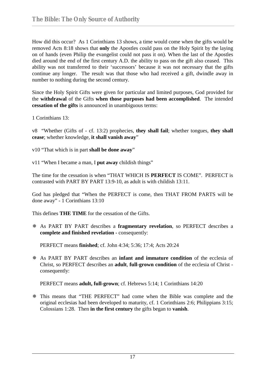How did this occur? As 1 Corinthians 13 shows, a time would come when the gifts would be removed Acts 8:18 shows that **only** the Apostles could pass on the Holy Spirit by the laying on of hands (even Philip the evangelist could not pass it on). When the last of the Apostles died around the end of the first century A.D. the ability to pass on the gift also ceased. This ability was not transferred to their 'successors' because it was not necessary that the gifts continue any longer. The result was that those who had received a gift, dwindle away in number to nothing during the second century.

Since the Holy Spirit Gifts were given for particular and limited purposes, God provided for the **withdrawal** of the Gifts **when those purposes had been accomplished**. The intended **cessation of the gifts** is announced in unambiguous terms:

1 Corinthians 13:

v8 "Whether (Gifts of - cf. 13:2) prophecies, **they shall fail**; whether tongues, **they shall cease**; whether knowledge, **it shall vanish away**"

- v10 "That which is in part **shall be done away**"
- v11 "When I became a man, I **put away** childish things"

The time for the cessation is when "THAT WHICH IS **PERFECT** IS COME". PERFECT is contrasted with PART BY PART 13:9-10, as adult is with childish 13:11.

God has pledged that "When the PERFECT is come, then THAT FROM PARTS will be done away" - 1 Corinthians 13:10

This defines **THE TIME** for the cessation of the Gifts.

! As PART BY PART describes a **fragmentary revelation**, so PERFECT describes a **complete and finished revelation -** consequently:

PERFECT means **finished**; cf. John 4:34; 5:36; 17:4; Acts 20:24

! As PART BY PART describes an **infant and immature condition** of the ecclesia of Christ, so PERFECT describes an **adult**, **full-grown condition** of the ecclesia of Christ consequently:

PERFECT means **adult, full-grown**; cf. Hebrews 5:14; 1 Corinthians 14:20

! This means that "THE PERFECT" had come when the Bible was complete and the original ecclesias had been developed to maturity, cf. 1 Corinthians 2:6; Philippians 3:15; Colossians 1:28. Then **in the first century** the gifts began to **vanish**.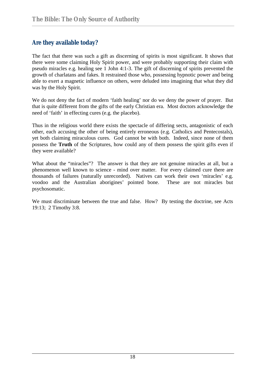### <span id="page-20-0"></span>**Are they available today?**

The fact that there was such a gift as discerning of spirits is most significant. It shows that there were some claiming Holy Spirit power, and were probably supporting their claim with pseudo miracles e.g. healing see 1 John 4:1-3. The gift of discerning of spirits prevented the growth of charlatans and fakes. It restrained those who, possessing hypnotic power and being able to exert a magnetic influence on others, were deluded into imagining that what they did was by the Holy Spirit.

We do not deny the fact of modern 'faith healing' nor do we deny the power of prayer. But that is quite different from the gifts of the early Christian era. Most doctors acknowledge the need of 'faith' in effecting cures (e.g. the placebo).

Thus in the religious world there exists the spectacle of differing sects, antagonistic of each other, each accusing the other of being entirely erroneous (e.g. Catholics and Pentecostals), yet both claiming miraculous cures. God cannot be with both. Indeed, since none of them possess the **Truth** of the Scriptures, how could any of them possess the spirit gifts even if they were available?

What about the "miracles"? The answer is that they are not genuine miracles at all, but a phenomenon well known to science - mind over matter. For every claimed cure there are thousands of failures (naturally unrecorded). Natives can work their own 'miracles' e.g. voodoo and the Australian aborigines' pointed bone. These are not miracles but psychosomatic.

We must discriminate between the true and false. How? By testing the doctrine, see Acts 19:13; 2 Timothy 3:8.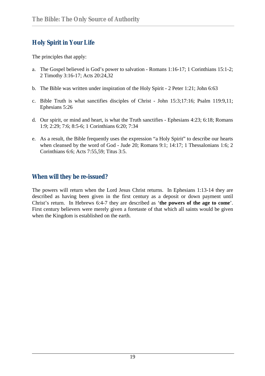## <span id="page-21-0"></span>**Holy Spirit in Your Life**

The principles that apply:

- a. The Gospel believed is God's power to salvation Romans 1:16-17; 1 Corinthians 15:1-2; 2 Timothy 3:16-17; Acts 20:24,32
- b. The Bible was written under inspiration of the Holy Spirit 2 Peter 1:21; John 6:63
- c. Bible Truth is what sanctifies disciples of Christ John 15:3;17:16; Psalm 119:9,11; Ephesians 5:26
- d. Our spirit, or mind and heart, is what the Truth sanctifies Ephesians 4:23; 6:18; Romans 1:9; 2:29; 7:6; 8:5-6; 1 Corinthians 6:20; 7:34
- e. As a result, the Bible frequently uses the expression "a Holy Spirit" to describe our hearts when cleansed by the word of God - Jude 20; Romans 9:1; 14:17; 1 Thessalonians 1:6; 2 Corinthians 6:6; Acts 7:55,59; Titus 3:5.

## **When will they be re-issued?**

The powers will return when the Lord Jesus Christ returns. In Ephesians 1:13-14 they are described as having been given in the first century as a deposit or down payment until Christ's return. In Hebrews 6:4-7 they are described as '**the powers of the age to come**'. First century believers were merely given a foretaste of that which all saints would be given when the Kingdom is established on the earth.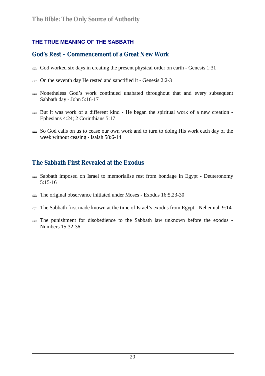#### <span id="page-22-0"></span>**THE TRUE MEANING OF THE SABBATH**

#### **God's Rest – Commencement of a Great New Work**

- $\implies$  God worked six days in creating the present physical order on earth Genesis 1:31
- $\Rightarrow$  On the seventh day He rested and sanctified it Genesis 2:2-3
- $\triangle$  Nonetheless God's work continued unabated throughout that and every subsequent Sabbath day - John 5:16-17
- $\Rightarrow$  But it was work of a different kind He began the spiritual work of a new creation -Ephesians 4:24; 2 Corinthians 5:17
- $\Rightarrow$  So God calls on us to cease our own work and to turn to doing His work each day of the week without ceasing - Isaiah 58:6-14

## **The Sabbath First Revealed at the Exodus**

- $\implies$  Sabbath imposed on Israel to memorialise rest from bondage in Egypt Deuteronomy 5:15-16
- $\implies$  The original observance initiated under Moses Exodus 16:5,23-30
- $\Rightarrow$  The Sabbath first made known at the time of Israel's exodus from Egypt Nehemiah 9:14
- $\Rightarrow$  The punishment for disobedience to the Sabbath law unknown before the exodus -Numbers 15:32-36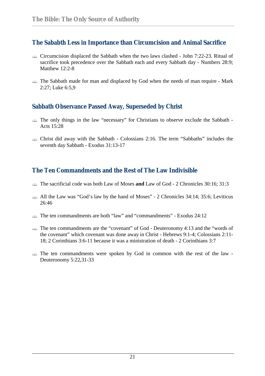#### <span id="page-23-0"></span>**The Sababth Less in Importance than Circumcision and Animal Sacrifice**

- $\implies$  Circumcision displaced the Sabbath when the two laws clashed John 7:22-23. Ritual of sacrifice took precedence over the Sabbath each and every Sabbath day - Numbers 28:9; Matthew 12:2-8
- $\Rightarrow$  The Sabbath made for man and displaced by God when the needs of man require Mark 2:27; Luke 6:5,9

#### **Sabbath Observance Passed Away, Superseded by Christ**

- $\triangle$  The only things in the law "necessary" for Christians to observe exclude the Sabbath -Acts 15:28
- $\triangle$  Christ did away with the Sabbath Colossians 2:16. The term "Sabbaths" includes the seventh day Sabbath - Exodus 31:13-17

#### **The Ten Commandments and the Rest of The Law Indivisible**

- # The sacrificial code was both Law of Moses **and** Law of God 2 Chronicles 30:16; 31:3
- $\implies$  All the Law was "God's law by the hand of Moses" 2 Chronicles 34:14; 35:6; Leviticus 26:46
- **Exodus 24:12** The ten commandments are both "law" and "commandments" Exodus 24:12
- $\implies$  The ten commandments are the "covenant" of God Deuteronomy 4:13 and the "words of the covenant" which covenant was done away in Christ - Hebrews 9:1-4; Colossians 2:11- 18; 2 Corinthians 3:6-11 because it was a ministration of death - 2 Corinthians 3:7
- $\Rightarrow$  The ten commandments were spoken by God in common with the rest of the law -Deuteronomy 5:22,31-33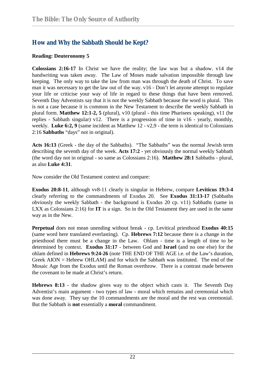### <span id="page-24-0"></span>**How and Why the Sabbath Should be Kept?**

#### **Reading: Deuteronomy 5**

**Colossians 2:16-17** In Christ we have the reality; the law was but a shadow. v14 the handwriting was taken away. The Law of Moses made salvation impossible through law keeping. The only way to take the law from man was through the death of Christ. To save man it was necessary to get the law out of the way. v16 - Don't let anyone attempt to regulate your life or criticise your way of life in regard to these things that have been removed. Seventh Day Adventists say that it is not the weekly Sabbath because the word is plural. This is not a case because it is common in the New Testament to describe the weekly Sabbath in plural form. **Matthew 12:1-2, 5** (plural), v10 (plural - this time Pharisees speaking), v11 (he replies - Sabbath singular) v12. There is a progression of time in v16 - yearly, monthly, weekly. **Luke 6:2, 9** (same incident as Matthew 12 - v2,9 - the term is identical to Colossians 2:16 **Sabbaths** "days" not in original).

**Acts 16:13** (Greek - the day of the Sabbaths). "The Sabbaths" was the normal Jewish term describing the seventh day of the week. **Acts 17:2** - yet obviously the normal weekly Sabbath (the word day not in original - so same as Colossians 2:16). **Matthew 28:1** Sabbaths - plural, as also **Luke 4:31**.

Now consider the Old Testament context and compare:

**Exodus 20:8-11**, although vv8-11 clearly is singular in Hebrew, compare **Leviticus 19:3-4** clearly referring to the commandments of Exodus 20. See **Exodus 31:13-17** (Sabbaths obviously the weekly Sabbath - the background is Exodus 20 cp. v11) Sabbaths (same in LXX as Colossians 2:16) for **IT** is a sign. So in the Old Testament they are used in the same way as in the New.

**Perpetual** does not mean unending without break - cp. Levitical priesthood **Exodus 40:15** (same word here translated everlasting). Cp. **Hebrews 7:12** because there is a change in the priesthood there must be a change in the Law. Ohlam - time is a length of time to be determined by context. **Exodus 31:17** - between God and **Israel** (and no one else) for the ohlam defined in **Hebrews 9:24-26** (note THE END OF THE AGE i.e. of the Law's duration, Greek AION = Hebrew OHLAM) and for which the Sabbath was instituted. The end of the Mosaic Age from the Exodus until the Roman overthrow. There is a contrast made between the covenant to be made at Christ's return.

**Hebrews 8:13** - the shadow gives way to the object which casts it. The Seventh Day Adventist's main argument - two types of law - moral which remains and ceremonial which was done away. They say the 10 commandments are the moral and the rest was ceremonial. But the Sabbath is **not** essentially a **moral** commandment.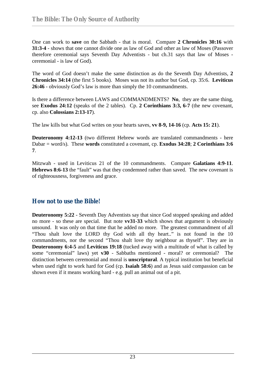<span id="page-25-0"></span>One can work to **save** on the Sabbath - that is moral. Compare **2 Chronicles 30:16** with **31:3-4** - shows that one cannot divide one as law of God and other as law of Moses (Passover therefore ceremonial says Seventh Day Adventists - but ch.31 says that law of Moses ceremonial - is law of God).

The word of God doesn't make the same distinction as do the Seventh Day Adventists, **2 Chronicles 34:14** (the first 5 books). Moses was not its author but God, cp. 35:6. **Leviticus 26:46** - obviously God's law is more than simply the 10 commandments.

Is there a difference between LAWS and COMMANDMENTS? **No**,they are the same thing, see **Exodus 24:12** (speaks of the 2 tables). Cp. **2 Corinthians 3:3, 6-7** (the new covenant, cp. also **Colossians 2:13-17**).

The law kills but what God writes on your hearts saves, **vv 8-9, 14-16** (cp. **Acts 15: 21**).

**Deuteronomy 4:12-13** (two different Hebrew words are translated commandments - here Dabar = word/s). These **words** constituted a covenant, cp. **Exodus 34:28**; **2 Corinthians 3:6 7**.

Mitzwah - used in Leviticus 21 of the 10 commandments. Compare **Galatians 4:9-11**. **Hebrews 8:6-13** the "fault" was that they condemned rather than saved. The new covenant is of righteousness, forgiveness and grace.

## **How not to use the Bible!**

**Deuteronomy 5:22** - Seventh Day Adventists say that since God stopped speaking and added no more - so these are special. But note **vv31-33** which shows that argument is obviously unsound. It was only on that time that he added no more. The greatest commandment of all "Thou shalt love the LORD thy God with all thy heart.." is not found in the 10 commandments, nor the second "Thou shalt love thy neighbour as thyself". They are in **Deuteronomy 6:4-5** and **Leviticus 19:18** (tucked away with a multitude of what is called by some "ceremonial" laws) yet **v30** - Sabbaths mentioned - moral? or ceremonial? The distinction between ceremonial and moral is **unscriptural**. A typical institution but beneficial when used right to work hard for God (cp. **Isaiah 58:6**) and as Jesus said compassion can be shown even if it means working hard - e.g. pull an animal out of a pit.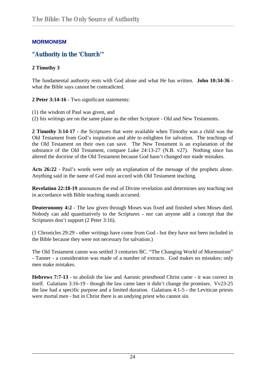#### <span id="page-26-0"></span>**MORMONISM**

### **"Authority in the 'Church'"**

#### **2 Timothy 3**

The fundamental authority rests with God alone and what He has written. **John 10:34-36** what the Bible says cannot be contradicted.

**2 Peter 3:14-16** - Two significant statements:

(1) the wisdom of Paul was given, and

(2) his writings are on the same plane as the other Scripture - Old and New Testaments.

**2 Timothy 3:14-17** - the Scriptures that were available when Timothy was a child was the Old Testament from God's inspiration and able to enlighten for salvation. The teachings of the Old Testament on their own can save. The New Testament is an explanation of the substance of the Old Testament, compare Luke 24:13-27 (N.B. v27). Nothing since has altered the doctrine of the Old Testament because God hasn't changed nor made mistakes.

**Acts 26:22** - Paul's words were only an explanation of the message of the prophets alone. Anything said in the name of God must accord with Old Testament teaching.

**Revelation 22:18-19** announces the end of Divine revelation and determines any teaching not in accordance with Bible teaching stands accursed.

**Deuteronomy 4:2** - The law given through Moses was fixed and finished when Moses died. Nobody can add quantitatively to the Scriptures - nor can anyone add a concept that the Scriptures don't support (2 Peter 3:16).

(1 Chronicles 29:29 - other writings have come from God - but they have not been included in the Bible because they were not necessary for salvation.)

The Old Testament canon was settled 3 centuries BC. "The Changing World of Mormonism" - Tanner - a consideration was made of a number of extracts. God makes no mistakes; only men make mistakes.

**Hebrews 7:7-13** - to abolish the law and Aaronic priesthood Christ came - it was correct in itself. Galatians 3:16-19 - though the law came later it didn't change the promises. Vv23-25 the law had a specific purpose and a limited duration. Galatians 4:1-5 - the Levitican priests were mortal men - but in Christ there is an undying priest who cannot sin.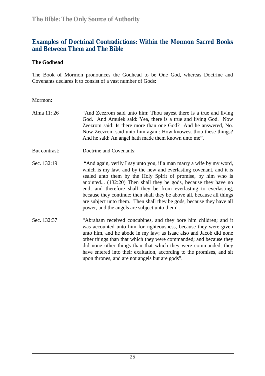#### <span id="page-27-0"></span>**Examples of Doctrinal Contradictions: Within the Mormon Sacred Books and Between Them and The Bible**

#### **The Godhead**

The Book of Mormon pronounces the Godhead to be One God, whereas Doctrine and Covenants declares it to consist of a vast number of Gods:

#### Mormon:

- Alma 11: 26 "And Zeezrom said unto him: Thou sayest there is a true and living God. And Amulek said: Yea, there is a true and living God. Now Zeezrom said: Is there more than one God? And he answered, No. Now Zeezrom said unto him again: How knowest thou these things? And he said: An angel hath made them known unto me".
- But contrast:Doctrine and Covenants:
- Sec. 132:19 "And again, verily I say unto you, if a man marry a wife by my word, which is my law, and by the new and everlasting covenant, and it is sealed unto them by the Holy Spirit of promise, by him who is anointed... (132:20) Then shall they be gods, because they have no end; and therefore shall they be from everlasting to everlasting, because they continue; then shall they be above all, because all things are subject unto them. Then shall they be gods, because they have all power, and the angels are subject unto them".
- Sec. 132:37 "Abraham received concubines, and they bore him children; and it was accounted unto him for righteousness, because they were given unto him, and he abode in my law; as Isaac also and Jacob did none other things than that which they were commanded; and because they did none other things than that which they were commanded, they have entered into their exaltation, according to the promises, and sit upon thrones, and are not angels but are gods".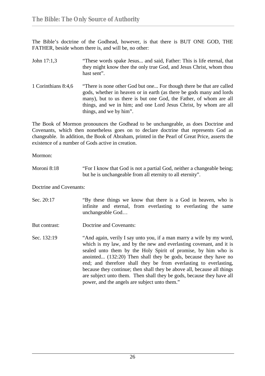The Bible's doctrine of the Godhead, however, is that there is BUT ONE GOD, THE FATHER, beside whom there is, and will be, no other:

- John 17:1,3 "These words spake Jesus... and said, Father: This is life eternal, that they might know thee the only true God, and Jesus Christ, whom thou hast sent".
- 1 Corinthians 8:4,6 "There is none other God but one... For though there be that are called gods, whether in heaven or in earth (as there be gods many and lords many), but to us there is but one God, the Father, of whom are all things, and we in him; and one Lord Jesus Christ, by whom are all things, and we by him".

The Book of Mormon pronounces the Godhead to be unchangeable, as does Doctrine and Covenants, which then nonetheless goes on to declare doctrine that represents God as changeable. In addition, the Book of Abraham, printed in the Pearl of Great Price, asserts the existence of a number of Gods active in creation.

Mormon:

Moroni 8:18 "For I know that God is not a partial God, neither a changeable being; but he is unchangeable from all eternity to all eternity".

Doctrine and Covenants:

- Sec. 20:17 "By these things we know that there is a God in heaven, who is infinite and eternal, from everlasting to everlasting the same unchangeable God…
- But contrast: Doctrine and Covenants:
- Sec. 132:19 "And again, verily I say unto you, if a man marry a wife by my word, which is my law, and by the new and everlasting covenant, and it is sealed unto them by the Holy Spirit of promise, by him who is anointed... (132:20) Then shall they be gods, because they have no end; and therefore shall they be from everlasting to everlasting, because they continue; then shall they be above all, because all things are subject unto them. Then shall they be gods, because they have all power, and the angels are subject unto them."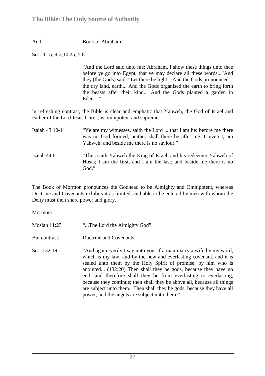And: Book of Abraham:

Sec. 3:15; 4:3,10,25; 5:8

"And the Lord said unto me: Abraham, I show these things unto thee before ye go into Egypt, that ye may declare all these words..."And they (the Gods) said: "Let there be light... And the Gods pronounced the dry land, earth... And the Gods organised the earth to bring forth the beasts after their kind... And the Gods planted a garden in Eden…"

In refreshing contrast, the Bible is clear and emphatic that Yahweh, the God of Israel and Father of the Lord Jesus Christ, is omnipotent and supreme:

| Isaiah 43:10-11 | "Ye are my witnesses, saith the Lord  that I am he: before me there<br>was no God formed, neither shall there be after me. I, even I, am<br>Yahweh; and beside me there is no saviour." |
|-----------------|-----------------------------------------------------------------------------------------------------------------------------------------------------------------------------------------|
| Isaiah $44:6$   | "Thus saith Yahweh the King of Israel, and his redeemer Yahweh of<br>Hosts; I am the first, and I am the last; and beside me there is no<br>God."                                       |

The Book of Mormon pronounces the Godhead to be Almighty and Omnipotent, whereas Doctrine and Covenants exhibits it as limited, and able to be entered by men with whom the Deity must then share power and glory.

Mormon:

- But contrast: Doctrine and Covenants:
- Sec. 132:19 "And again, verily I say unto you, if a man marry a wife by my word, which is my law, and by the new and everlasting covenant, and it is sealed unto them by the Holy Spirit of promise, by him who is anointed... (132:20) Then shall they be gods, because they have no end; and therefore shall they be from everlasting to everlasting, because they continue; then shall they be above all, because all things are subject unto them. Then shall they be gods, because they have all power, and the angels are subject unto them."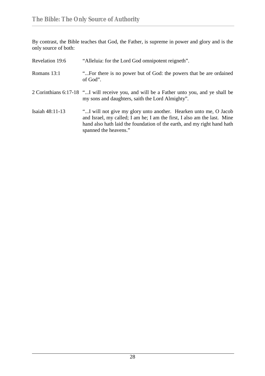By contrast, the Bible teaches that God, the Father, is supreme in power and glory and is the only source of both:

| Revelation 19:6 | "Alleluia: for the Lord God omnipotent reigneth".                                                                                                                                                                                                |
|-----------------|--------------------------------------------------------------------------------------------------------------------------------------------------------------------------------------------------------------------------------------------------|
| Romans 13:1     | For there is no power but of God: the powers that be are ordained<br>of God".                                                                                                                                                                    |
|                 | 2 Corinthians 6:17-18 "I will receive you, and will be a Father unto you, and ye shall be<br>my sons and daughters, saith the Lord Almighty".                                                                                                    |
| Isaiah 48:11-13 | "I will not give my glory unto another. Hearken unto me, O Jacob<br>and Israel, my called; I am he; I am the first, I also am the last. Mine<br>hand also hath laid the foundation of the earth, and my right hand hath<br>spanned the heavens." |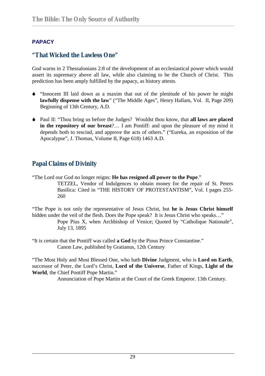#### <span id="page-31-0"></span>**PAPACY**

#### **"That Wicked the Lawless One"**

God warns in 2 Thessalonians 2:8 of the development of an ecclesiastical power which would assert its supremacy above all law, while also claiming to be the Church of Christ. This prediction has been amply fulfilled by the papacy, as history attests.

- % "Innocent III laid down as a maxim that out of the plenitude of his power he might **lawfully dispense with the law**" ("The Middle Ages", Henry Hallam, Vol. II, Page 209) Beginning of 13th Century, A.D.
- % Paul II: "Thou bring us before the Judges? Wouldst thou know, that **all laws are placed in the repository of our breast**?… I am Pontiff: and upon the pleasure of my mind it depends both to rescind, and approve the acts of others." ("Eureka, an exposition of the Apocalypse", J. Thomas, Volume II, Page 618) 1463 A.D.

## **Papal Claims of Divinity**

"The Lord our God no longer reigns: **He has resigned all power to the Pope**." TETZEL, Vendor of Indulgences to obtain money for the repair of St. Peters Basilica: Cited in "THE HISTORY OF PROTESTANTISM", Vol. I pages 255- 260

"The Pope is not only the representative of Jesus Christ, but **he is Jesus Christ himself** hidden under the veil of the flesh. Does the Pope speak? It is Jesus Christ who speaks..."

Pope Pius X, when Archbishop of Venice; Quoted by "Catholique Nationale", July 13, 1895

"It is certain that the Pontiff was called **a God** by the Pious Prince Constantine." Canon Law, published by Gratianus, 12th Century

"The Most Holy and Most Blessed One, who hath **Divine** Judgment, who is **Lord on Earth**, successor of Peter, the Lord's Christ, **Lord of the Universe**, Father of Kings, **Light of the World**, the Chief Pontiff Pope Martin."

Annunciation of Pope Martin at the Court of the Greek Emperor. 13th Century.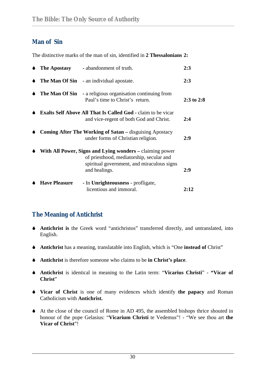#### <span id="page-32-0"></span>**Man of Sin**

The distinctive marks of the man of sin, identified in **2 Thessalonians 2:**

| <b>The Apostasy</b>  | - abandonment of truth.                                                                                                                                             | 2:3            |
|----------------------|---------------------------------------------------------------------------------------------------------------------------------------------------------------------|----------------|
|                      | <b>The Man Of Sin</b> - an individual apostate.                                                                                                                     | 2:3            |
| The Man Of Sin       | - a religious organisation continuing from<br>Paul's time to Christ's return.                                                                                       | $2:3$ to $2:8$ |
|                      | <b>Exalts Self Above All That Is Called God - claim to be vicar</b><br>and vice-regent of both God and Christ.                                                      | 2:4            |
|                      | <b>Coming After The Working of Satan</b> – disguising Apostacy<br>under forms of Christian religion.                                                                | 2:9            |
|                      | With All Power, Signs and Lying wonders - claiming power<br>of priesthood, mediatorship, secular and<br>spiritual government, and miraculous signs<br>and healings. | 2:9            |
| <b>Have Pleasure</b> | - In Unrighteousness - profligate,<br>licentious and immoral.                                                                                                       | 2:12           |

## **The Meaning of Antichrist**

- % **Antichrist is** the Greek word "antichristos" transferred directly, and untranslated, into English.
- % **Antichrist** has a meaning, translatable into English, which is "One **instead of** Christ"
- % **Antichrist** is therefore someone who claims to be **in Christ's place**.
- % **Antichrist** is identical in meaning to the Latin term: "**Vicarius Christi**" **"Vicar of Christ**"
- % **Vicar of Christ** is one of many evidences which identify **the papacy** and Roman Catholicism with **Antichrist.**
- % At the close of the council of Rome in AD 495, the assembled bishops thrice shouted in honour of the pope Gelasius: "**Vicarium Christi** te Vedemus"! - "We see thou art **the Vicar of Christ**"!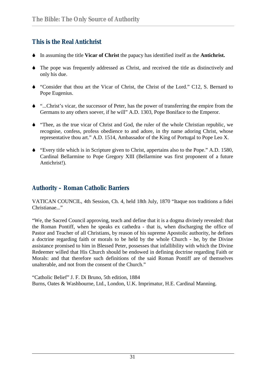## <span id="page-33-0"></span>**This is the Real Antichrist**

- % In assuming the title **Vicar of Christ** the papacy has identified itself as the **Antichrist.**
- % The pope was frequently addressed as Christ, and received the title as distinctively and only his due.
- % "Consider that thou art the Vicar of Christ, the Christ of the Lord." C12, S. Bernard to Pope Eugenius.
- % "...Christ's vicar, the successor of Peter, has the power of transferring the empire from the Germans to any others soever, if he will" A.D. 1303, Pope Boniface to the Emperor.
- % "Thee, as the true vicar of Christ and God, the ruler of the whole Christian republic, we recognise, confess, profess obedience to and adore, in thy name adoring Christ, whose representative thou art." A.D. 1514, Ambassador of the King of Portugal to Pope Leo X.
- % "Every title which is in Scripture given to Christ, appertains also to the Pope." A.D. 1580, Cardinal Bellarmine to Pope Gregory XIII (Bellarmine was first proponent of a future Antichrist!).

## **Authority – Roman Catholic Barriers**

VATICAN COUNCIL, 4th Session, Ch. 4, held 18th July, 1870 "Itaque nos traditions a fidei Christianae..."

"We, the Sacred Council approving, teach and define that it is a dogma divinely revealed: that the Roman Pontiff, when he speaks ex cathedra - that is, when discharging the office of Pastor and Teacher of all Christians, by reason of his supreme Apostolic authority, he defines a doctrine regarding faith or morals to be held by the whole Church - he, by the Divine assistance promised to him in Blessed Peter, possesses that infallibility with which the Divine Redeemer willed that His Church should be endowed in defining doctrine regarding Faith or Morals: and that therefore such definitions of the said Roman Pontiff are of themselves unalterable, and not from the consent of the Church."

"Catholic Belief" J. F. Di Bruno, 5th edition, 1884 Burns, Oates & Washbourne, Ltd., London, U.K. Imprimatur, H.E. Cardinal Manning.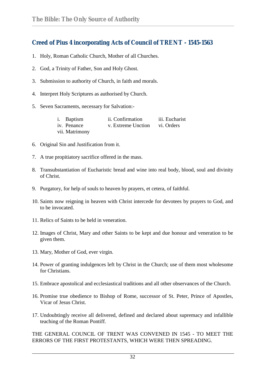#### <span id="page-34-0"></span>**Creed of Pius 4 incorporating Acts of Council of TRENT - 1545-1563**

- 1. Holy, Roman Catholic Church, Mother of all Churches.
- 2. God, a Trinity of Father, Son and Holy Ghost.
- 3. Submission to authority of Church, in faith and morals.
- 4. Interpret Holy Scriptures as authorised by Church.
- 5. Seven Sacraments, necessary for Salvation:-

| <i>i</i> . Baptism | ii. Confirmation              | iii. Eucharist |
|--------------------|-------------------------------|----------------|
| iv. Penance        | v. Extreme Unction vi. Orders |                |
| vii. Matrimony     |                               |                |

- 6. Original Sin and Justification from it.
- 7. A true propitiatory sacrifice offered in the mass.
- 8. Transubstantiation of Eucharistic bread and wine into real body, blood, soul and divinity of Christ.
- 9. Purgatory, for help of souls to heaven by prayers, et cetera, of faithful.
- 10. Saints now reigning in heaven with Christ intercede for devotees by prayers to God, and to be invocated.
- 11. Relics of Saints to be held in veneration.
- 12. Images of Christ, Mary and other Saints to be kept and due honour and veneration to be given them.
- 13. Mary, Mother of God, ever virgin.
- 14. Power of granting indulgences left by Christ in the Church; use of them most wholesome for Christians.
- 15. Embrace apostolical and ecclesiastical traditions and all other observances of the Church.
- 16. Promise true obedience to Bishop of Rome, successor of St. Peter, Prince of Apostles, Vicar of Jesus Christ.
- 17. Undoubtingly receive all delivered, defined and declared about supremacy and infallible teaching of the Roman Pontiff.

THE GENERAL COUNCIL OF TRENT WAS CONVENED IN 1545 - TO MEET THE ERRORS OF THE FIRST PROTESTANTS, WHICH WERE THEN SPREADING.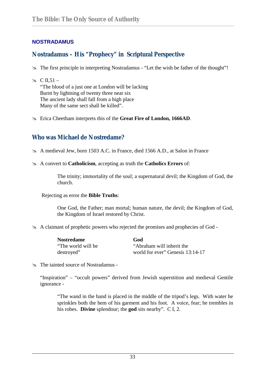#### <span id="page-35-0"></span>**NOSTRADAMUS**

#### **Nostradamus – His "Prophecy" in Scriptural Perspective**

& The first principle in interpreting Nostradamus - "Let the wish be father of the thought"!

- $\in$  C II,51 "The blood of a just one at London will be lacking Burnt by lightning of twenty three near six The ancient lady shall fall from a high place Many of the same sect shall be killed".
- & Erica Cheetham interprets this of the **Great Fire of London, 1666AD**.

#### **Who was Michael de Nostredame?**

- & A medieval Jew, born 1503 A.C. in France, died 1566 A.D., at Salon in France
- & A convert to **Catholicism**, accepting as truth the **Catholics Errors** of:

The trinity; immortality of the soul; a supernatural devil; the Kingdom of God, the church.

Rejecting as error the **Bible Truths**:

One God, the Father; man mortal; human nature, the devil; the Kingdom of God, the Kingdom of Israel restored by Christ.

& A claimant of prophetic powers who rejected the promises and prophecies of God -

| <b>Nostredame</b>  | God                              |
|--------------------|----------------------------------|
| "The world will be | "Abraham will inherit the        |
| destroyed"         | world for ever" Genesis 13:14-17 |

 $\approx$  The tainted source of Nostradamus -

"Inspiration" – "occult powers" derived from Jewish superstition and medieval Gentile ignorance -

"The wand in the hand is placed in the middle of the tripod's legs. With water he sprinkles both the hem of his garment and his foot. A voice, fear; he trembles in his robes. **Divine** splendour; the **god** sits nearby". C I, 2.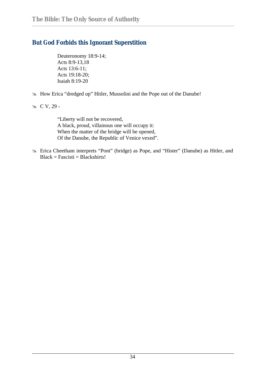# **But God Forbids this Ignorant Superstition**

Deuteronomy 18:9-14; Acts 8:9-13,18 Acts 13:6-11; Acts 19:18-20; Isaiah 8:19-20

& How Erica "dredged up" Hitler, Mussolini and the Pope out of the Danube!

 $\infty$  C V, 29 -

"Liberty will not be recovered, A black, proud, villainous one will occupy it: When the matter of the bridge will be opened, Of the Danube, the Republic of Venice vexed".

& Erica Cheetham interprets "Pont" (bridge) as Pope, and "Hister" (Danube) as Hitler, and  $Black = Fascisti = Blackshifts!$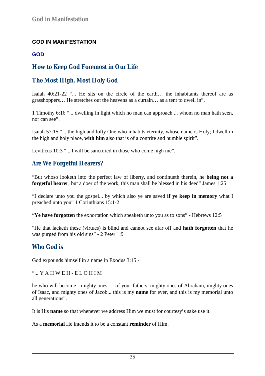### **GOD IN MANIFESTATION**

### **GOD**

# **How to Keep God Foremost in Our Life**

# **The Most High, Most Holy God**

Isaiah 40:21-22 "... He sits on the circle of the earth… the inhabitants thereof are as grasshoppers… He stretches out the heavens as a curtain… as a tent to dwell in".

1 Timothy 6:16 "... dwelling in light which no man can approach ... whom no man hath seen, nor can see".

Isaiah 57:15 "... the high and lofty One who inhabits eternity, whose name is Holy; I dwell in the high and holy place, **with him** also that is of a contrite and humble spirit".

Leviticus 10:3 "... I will be sanctified in those who come nigh me".

# **Are We Forgetful Hearers?**

"But whoso looketh into the perfect law of liberty, and continueth therein, he **being not a forgetful hearer**, but a doer of the work, this man shall be blessed in his deed" James 1:25

"I declare unto you the gospel... by which also ye are saved **if ye keep in memory** what I preached unto you" 1 Corinthians 15:1-2

"**Ye have forgotten** the exhortation which speaketh unto you as to sons" - Hebrews 12:5

"He that lacketh these (virtues) is blind and cannot see afar off and **hath forgotten** that he was purged from his old sins" - 2 Peter 1:9

# **Who God is**

God expounds himself in a name in Exodus 3:15 -

"... Y A H W E H - E L O H I M

he who will become - mighty ones - of your fathers, mighty ones of Abraham, mighty ones of Isaac, and mighty ones of Jacob... this is my **name** for ever, and this is my memorial unto all generations".

It is His **name** so that whenever we address Him we must for courtesy's sake use it.

As a **memorial** He intends it to be a constant **reminder** of Him.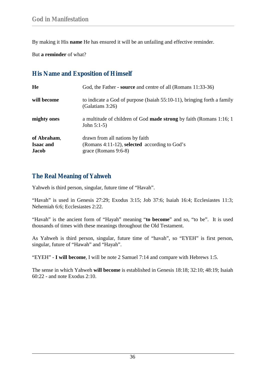By making it His **name** He has ensured it will be an unfailing and effective reminder.

But **a reminder** of what?

# **His Name and Exposition of Himself**

| He                                              | God, the Father - source and centre of all (Romans 11:33-36)                                                      |
|-------------------------------------------------|-------------------------------------------------------------------------------------------------------------------|
| will become                                     | to indicate a God of purpose (Isaiah 55:10-11), bringing forth a family<br>(Galatians 3:26)                       |
| mighty ones                                     | a multitude of children of God made strong by faith (Romans 1:16; 1)<br>John $5:1-5$                              |
| of Abraham,<br><b>Isaac and</b><br><b>Jacob</b> | drawn from all nations by faith<br>(Romans 4:11-12), selected according to God's<br>$\text{grace}$ (Romans 9:6-8) |

# **The Real Meaning of Yahweh**

Yahweh is third person, singular, future time of "Havah".

"Havah" is used in Genesis 27:29; Exodus 3:15; Job 37:6; Isaiah 16:4; Ecclesiastes 11:3; Nehemiah 6:6; Ecclesiastes 2:22.

"Havah" is the ancient form of "Hayah" meaning "**to become**" and so, "to be". It is used thousands of times with these meanings throughout the Old Testament.

As Yahweh is third person, singular, future time of "havah", so "EYEH" is first person, singular, future of "Hawah" and "Hayah".

"EYEH" - **I will become**, I will be note 2 Samuel 7:14 and compare with Hebrews 1:5.

The sense in which Yahweh **will become** is established in Genesis 18:18; 32:10; 48:19; Isaiah 60:22 - and note Exodus 2:10.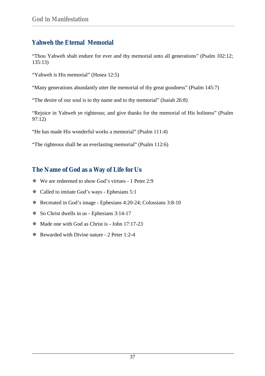# **Yahweh the Eternal Memorial**

"Thou Yahweh shalt endure for ever and thy memorial unto all generations" (Psalm 102:12; 135:13)

"Yahweh is His memorial" (Hosea 12:5)

"Many generations abundantly utter the memorial of thy great goodness" (Psalm 145:7)

"The desire of our soul is to thy name and to thy memorial" (Isaiah 26:8)

"Rejoice in Yahweh ye righteous; and give thanks for the memorial of His holiness" (Psalm 97:12)

"He has made His wonderful works a memorial" (Psalm 111:4)

"The righteous shall be an everlasting memorial" (Psalm 112:6)

# **The Name of God as a Way of Life for Us**

- ! We are redeemed to show God's virtues 1 Peter 2:9
- ! Called to imitate God's ways Ephesians 5:1
- ! Recreated in God's image Ephesians 4:20-24; Colossians 3:8-10
- ! So Christ dwells in us Ephesians 3:14-17
- ! Made one with God as Christ is John 17:17-23
- ! Rewarded with Divine nature 2 Peter 1:2-4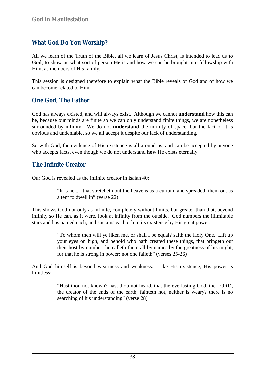# **What God Do You Worship?**

All we learn of the Truth of the Bible, all we learn of Jesus Christ, is intended to lead us **to God**, to show us what sort of person **He** is and how we can be brought into fellowship with Him, as members of His family.

This session is designed therefore to explain what the Bible reveals of God and of how we can become related to Him.

### **One God, The Father**

God has always existed, and will always exist. Although we cannot **understand** how this can be, because our minds are finite so we can only understand finite things, we are nonetheless surrounded by infinity. We do not **understand** the infinity of space, but the fact of it is obvious and undeniable, so we all accept it despite our lack of understanding.

So with God, the evidence of His existence is all around us, and can be accepted by anyone who accepts facts, even though we do not understand **how** He exists eternally.

### **The Infinite Creator**

Our God is revealed as the infinite creator in Isaiah 40:

"It is he... that stretcheth out the heavens as a curtain, and spreadeth them out as a tent to dwell in" (verse 22)

This shows God not only as infinite, completely without limits, but greater than that, beyond infinity so He can, as it were, look at infinity from the outside. God numbers the illimitable stars and has named each, and sustains each orb in its existence by His great power:

> "To whom then will ye liken me, or shall I be equal? saith the Holy One. Lift up your eyes on high, and behold who hath created these things, that bringeth out their host by number: he calleth them all by names by the greatness of his might, for that he is strong in power; not one faileth" (verses 25-26)

And God himself is beyond weariness and weakness. Like His existence, His power is limitless:

> "Hast thou not known? hast thou not heard, that the everlasting God, the LORD, the creator of the ends of the earth, fainteth not, neither is weary? there is no searching of his understanding" (verse 28)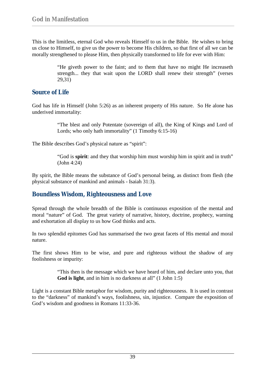This is the limitless, eternal God who reveals Himself to us in the Bible. He wishes to bring us close to Himself, to give us the power to become His children, so that first of all we can be morally strengthened to please Him, then physically transformed to life for ever with Him:

> "He giveth power to the faint; and to them that have no might He increaseth strength... they that wait upon the LORD shall renew their strength" (verses 29,31)

# **Source of Life**

God has life in Himself (John 5:26) as an inherent property of His nature. So He alone has underived immortality:

> "The blest and only Potentate (sovereign of all), the King of Kings and Lord of Lords; who only hath immortality" (1 Timothy 6:15-16)

The Bible describes God's physical nature as "spirit":

"God is **spirit**: and they that worship him must worship him in spirit and in truth" (John 4:24)

By spirit, the Bible means the substance of God's personal being, as distinct from flesh (the physical substance of mankind and animals - Isaiah 31:3).

# **Boundless Wisdom, Righteousness and Love**

Spread through the whole breadth of the Bible is continuous exposition of the mental and moral "nature" of God. The great variety of narrative, history, doctrine, prophecy, warning and exhortation all display to us how God thinks and acts.

In two splendid epitomes God has summarised the two great facets of His mental and moral nature.

The first shows Him to be wise, and pure and righteous without the shadow of any foolishness or impurity:

> "This then is the message which we have heard of him, and declare unto you, that God is light, and in him is no darkness at all" (1 John 1:5)

Light is a constant Bible metaphor for wisdom, purity and righteousness. It is used in contrast to the "darkness" of mankind's ways, foolishness, sin, injustice. Compare the exposition of God's wisdom and goodness in Romans 11:33-36.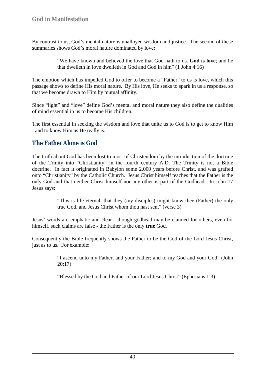By contrast to us, God's mental nature is unalloyed wisdom and justice. The second of these summaries shows God's moral nature dominated by love:

> "We have known and believed the love that God hath to us. **God is love**; and he that dwelleth in love dwelleth in God and God in him" (1 John 4:16)

The emotion which has impelled God to offer to become a "Father" to us is love, which this passage shows to define His moral nature. By His love, He seeks to spark in us a response, so that we become drawn to Him by mutual affinity.

Since "light" and "love" define God's mental and moral nature they also define the qualities of mind essential in us to become His children.

The first essential in seeking the wisdom and love that unite us to God is to get to know Him - and to know Him as He really is.

# **The Father Alone is God**

The truth about God has been lost to most of Christendom by the introduction of the doctrine of the Trinity into "Christianity" in the fourth century A.D. The Trinity is not a Bible doctrine. In fact it originated in Babylon some 2,000 years before Christ, and was grafted onto "Christianity" by the Catholic Church. Jesus Christ himself teaches that the Father is the only God and that neither Christ himself nor any other is part of the Godhead. In John 17 Jesus says:

> "This is life eternal, that they (my disciples) might know thee (Father) the only true God, and Jesus Christ whom thou hast sent" (verse 3)

Jesus' words are emphatic and clear - though godhead may be claimed for others, even for himself, such claims are false - the Father is the only **true** God.

Consequently the Bible frequently shows the Father to be the God of the Lord Jesus Christ, just as to us. For example:

> "I ascend unto my Father, and your Father; and to my God and your God" (John 20:17)

"Blessed by the God and Father of our Lord Jesus Christ" (Ephesians 1:3)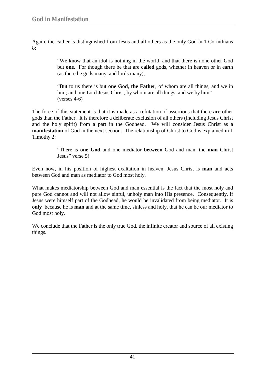Again, the Father is distinguished from Jesus and all others as the only God in 1 Corinthians  $8:$ 

> "We know that an idol is nothing in the world, and that there is none other God but **one**. For though there be that are **called** gods, whether in heaven or in earth (as there be gods many, and lords many),

> "But to us there is but **one God**, **the Father**, of whom are all things, and we in him; and one Lord Jesus Christ, by whom are all things, and we by him" (verses 4-6)

The force of this statement is that it is made as a refutation of assertions that there **are** other gods than the Father. It is therefore a deliberate exclusion of all others (including Jesus Christ and the holy spirit) from a part in the Godhead. We will consider Jesus Christ as a **manifestation** of God in the next section. The relationship of Christ to God is explained in 1 Timothy 2:

> "There is **one God** and one mediator **between** God and man, the **man** Christ Jesus" verse 5)

Even now, in his position of highest exaltation in heaven, Jesus Christ is **man** and acts between God and man as mediator to God most holy.

What makes mediatorship between God and man essential is the fact that the most holy and pure God cannot and will not allow sinful, unholy man into His presence. Consequently, if Jesus were himself part of the Godhead, he would be invalidated from being mediator. It is **only** because he is **man** and at the same time, sinless and holy, that he can be our mediator to God most holy.

We conclude that the Father is the only true God, the infinite creator and source of all existing things.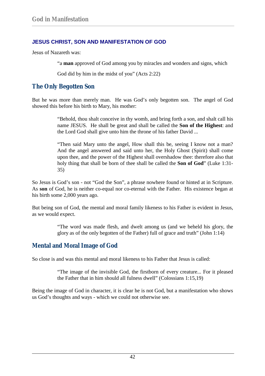### **JESUS CHRIST, SON AND MANIFESTATION OF GOD**

Jesus of Nazareth was:

"a **man** approved of God among you by miracles and wonders and signs, which

God did by him in the midst of you" (Acts 2:22)

## **The Only Begotten Son**

But he was more than merely man. He was God's only begotten son. The angel of God showed this before his birth to Mary, his mother:

> "Behold, thou shalt conceive in thy womb, and bring forth a son, and shalt call his name JESUS. He shall be great and shall be called the **Son of the Highest**: and the Lord God shall give unto him the throne of his father David ...

> "Then said Mary unto the angel, How shall this be, seeing I know not a man? And the angel answered and said unto her, the Holy Ghost (Spirit) shall come upon thee, and the power of the Highest shall overshadow thee: therefore also that holy thing that shall be born of thee shall be called the **Son of God**" (Luke 1:31- 35)

So Jesus is God's son - not "God the Son", a phrase nowhere found or hinted at in Scripture. As **son** of God, he is neither co-equal nor co-eternal with the Father. His existence began at his birth some 2,000 years ago.

But being son of God, the mental and moral family likeness to his Father is evident in Jesus, as we would expect.

> "The word was made flesh, and dwelt among us (and we beheld his glory, the glory as of the only begotten of the Father) full of grace and truth" (John 1:14)

## **Mental and Moral Image of God**

So close is and was this mental and moral likeness to his Father that Jesus is called:

"The image of the invisible God, the firstborn of every creature... For it pleased the Father that in him should all fulness dwell" (Colossians 1:15,19)

Being the image of God in character, it is clear he is not God, but a manifestation who shows us God's thoughts and ways - which we could not otherwise see.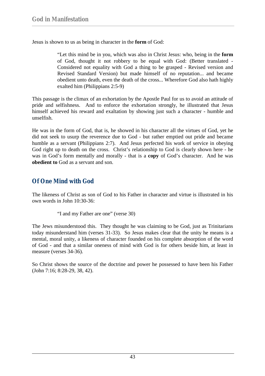Jesus is shown to us as being in character in the **form** of God:

"Let this mind be in you, which was also in Christ Jesus: who, being in the **form**  of God, thought it not robbery to be equal with God: (Better translated - Considered not equality with God a thing to be grasped - Revised version and Revised Standard Version) but made himself of no reputation... and became obedient unto death, even the death of the cross... Wherefore God also hath highly exalted him (Philippians 2:5-9)

This passage is the climax of an exhortation by the Apostle Paul for us to avoid an attitude of pride and selfishness. And to enforce the exhortation strongly, he illustrated that Jesus himself achieved his reward and exaltation by showing just such a character - humble and unselfish.

He was in the form of God, that is, he showed in his character all the virtues of God, yet he did not seek to usurp the reverence due to God - but rather emptied out pride and became humble as a servant (Philippians 2:7). And Jesus perfected his work of service in obeying God right up to death on the cross. Christ's relationship to God is clearly shown here - he was in God's form mentally and morally - that is a **copy** of God's character. And he was **obedient to** God as a servant and son.

# **Of One Mind with God**

The likeness of Christ as son of God to his Father in character and virtue is illustrated in his own words in John 10:30-36:

"I and my Father are one" (verse 30)

The Jews misunderstood this. They thought he was claiming to be God, just as Trinitarians today misunderstand him (verses 31-33). So Jesus makes clear that the unity he means is a mental, moral unity, a likeness of character founded on his complete absorption of the word of God - and that a similar oneness of mind with God is for others beside him, at least in measure (verses 34-36).

So Christ shows the source of the doctrine and power he possessed to have been his Father (John 7:16; 8:28-29, 38, 42).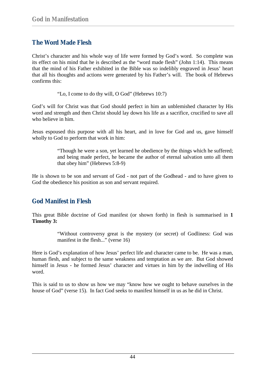# **The Word Made Flesh**

Christ's character and his whole way of life were formed by God's word. So complete was its effect on his mind that he is described as the "word made flesh" (John 1:14). This means that the mind of his Father exhibited in the Bible was so indelibly engraved in Jesus' heart that all his thoughts and actions were generated by his Father's will. The book of Hebrews confirms this:

"Lo, I come to do thy will, O God" (Hebrews 10:7)

God's will for Christ was that God should perfect in him an unblemished character by His word and strength and then Christ should lay down his life as a sacrifice, crucified to save all who believe in him.

Jesus espoused this purpose with all his heart, and in love for God and us, gave himself wholly to God to perform that work in him:

> "Though he were a son, yet learned he obedience by the things which he suffered; and being made perfect, he became the author of eternal salvation unto all them that obey him" (Hebrews 5:8-9)

He is shown to be son and servant of God - not part of the Godhead - and to have given to God the obedience his position as son and servant required.

# **God Manifest in Flesh**

This great Bible doctrine of God manifest (or shown forth) in flesh is summarised in **1 Timothy 3:** 

> "Without controversy great is the mystery (or secret) of Godliness: God was manifest in the flesh..." (verse 16)

Here is God's explanation of how Jesus' perfect life and character came to be. He was a man, human flesh, and subject to the same weakness and temptation as we are. But God showed himself in Jesus - he formed Jesus' character and virtues in him by the indwelling of His word.

This is said to us to show us how we may "know how we ought to behave ourselves in the house of God" (verse 15). In fact God seeks to manifest himself in us as he did in Christ.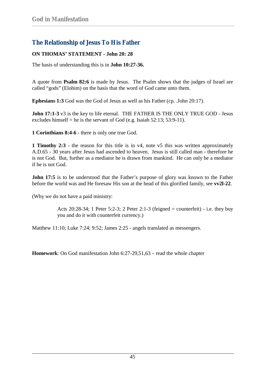# **The Relationship of Jesus To His Father**

### **ON THOMAS' STATEMENT - John 20: 28**

The basis of understanding this is in **John 10:27-36.** 

A quote from **Psalm 82:6** is made by Jesus. The Psalm shows that the judges of Israel are called "gods" (Elohim) on the basis that the word of God came unto them.

**Ephesians 1:3** God was the God of Jesus as well as his Father (cp. .John 20:17).

**John 17:1-3** v3 is the key to life eternal. THE FATHER IS THE ONLY TRUE GOD - Jesus excludes himself = he is the servant of God (e.g. Isaiah  $52:13$ ;  $53:9-11$ ).

**1 Corinthians 8:4-6** - there is only one true God.

**1 Timothy 2:3** - the reason for this title is in v4, note v5 this was written approximately A.D.65 - 30 years after Jesus had ascended to heaven. Jesus is still called man - therefore he is not God. But, further as a mediator he is drawn from mankind. He can only be a mediator if he is not God.

**John 17:5** is to be understood that the Father's purpose of glory was known to the Father before the world was and He foresaw His son at the head of this glorified family, see **vv2l-22**.

(Why we do not have a paid ministry:

Acts 20:28-34; 1 Peter 5:2-3; 2 Peter 2:1-3 (feigned = counterfeit) - i.e. they buy you and do it with counterfeit currency.)

Matthew 11:10; Luke 7:24; 9:52; James 2:25 - angels translated as messengers.

**Homework**: On God manifestation John 6:27-29,51,63 – read the whole chapter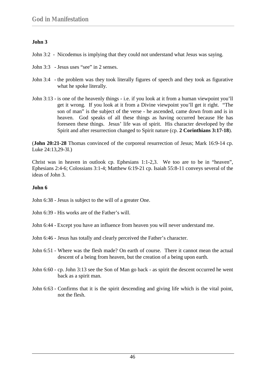#### **John 3**

- John 3:2 Nicodemus is implying that they could not understand what Jesus was saying.
- John 3:3 Jesus uses "see" in 2 senses.
- John 3:4 the problem was they took literally figures of speech and they took as figurative what he spoke literally.
- John 3:13 is one of the heavenly things i.e. if you look at it from a human viewpoint you'll get it wrong. If you look at it from a Divine viewpoint you'll get it right. "The son of man" is the subject of the verse - he ascended, came down from and is in heaven. God speaks of all these things as having occurred because He has foreseen these things. Jesus' life was of spirit. His character developed by the Spirit and after resurrection changed to Spirit nature (cp. **2 Corinthians 3:17-18**).

(**John 20:21-28** Thomas convinced of the corporeal resurrection of Jesus; Mark 16:9-14 cp. Luke 24:13,29-3l.)

Christ was in heaven in outlook cp. Ephesians 1:1-2,3. We too are to be in "heaven", Ephesians 2:4-6; Colossians 3:1-4; Matthew 6:19-21 cp. Isaiah 55:8-11 conveys several of the ideas of John 3.

#### **John 6**

John 6:38 - Jesus is subject to the will of a greater One.

John 6:39 - His works are of the Father's will.

- John 6:44 Except you have an influence from heaven you will never understand me.
- John 6:46 Jesus has totally and clearly perceived the Father's character.
- John 6:51 Where was the flesh made? On earth of course. There it cannot mean the actual descent of a being from heaven, but the creation of a being upon earth.
- John 6:60 cp. John 3:13 see the Son of Man go back as spirit the descent occurred he went back as a spirit man.
- John 6:63 Confirms that it is the spirit descending and giving life which is the vital point, not the flesh.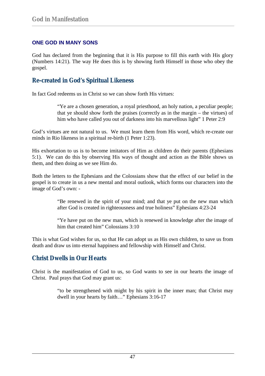### **ONE GOD IN MANY SONS**

God has declared from the beginning that it is His purpose to fill this earth with His glory (Numbers 14:21). The way He does this is by showing forth Himself in those who obey the gospel.

## **Re-created in God's Spiritual Likeness**

In fact God redeems us in Christ so we can show forth His virtues:

"Ye are a chosen generation, a royal priesthood, an holy nation, a peculiar people; that ye should show forth the praises (correctly as in the margin – the virtues) of him who have called you out of darkness into his marvellous light" 1 Peter 2:9

God's virtues are not natural to us. We must learn them from His word, which re-create our minds in Rio likeness in a spiritual re-birth (1 Peter 1:23).

His exhortation to us is to become imitators of Him as children do their parents (Ephesians 5:1). We can do this by observing His ways of thought and action as the Bible shows us them, and then doing as we see Him do.

Both the letters to the Ephesians and the Colossians show that the effect of our belief in the gospel is to create in us a new mental and moral outlook, which forms our characters into the image of God's own: -

> "Be renewed in the spirit of your mind; and that ye put on the new man which after God is created in righteousness and true holiness" Ephesians 4:23-24

> "Ye have put on the new man, which is renewed in knowledge after the image of him that created him" Colossians 3:10

This is what God wishes for us, so that He can adopt us as His own children, to save us from death and draw us into eternal happiness and fellowship with Himself and Christ.

## **Christ Dwells in Our Hearts**

Christ is the manifestation of God to us, so God wants to see in our hearts the image of Christ. Paul prays that God may grant us:

> "to be strengthened with might by his spirit in the inner man; that Christ may dwell in your hearts by faith…" Ephesians 3:16-17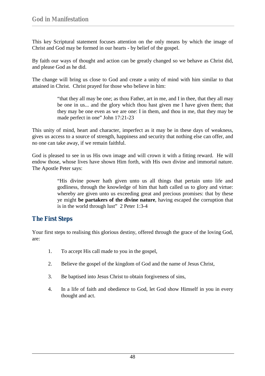This key Scriptural statement focuses attention on the only means by which the image of Christ and God may be formed in our hearts - by belief of the gospel.

By faith our ways of thought and action can be greatly changed so we behave as Christ did, and please God as he did.

The change will bring us close to God and create a unity of mind with him similar to that attained in Christ. Christ prayed for those who believe in him:

> "that they all may be one; as thou Father, art in me, and I in thee, that they all may be one in us... and the glory which thou hast given me I have given them; that they may be one even as we are one: I in them, and thou in me, that they may be made perfect in one" John 17:21-23

This unity of mind, heart and character, imperfect as it may be in these days of weakness, gives us access to a source of strength, happiness and security that nothing else can offer, and no one can take away, if we remain faithful.

God is pleased to see in us His own image and will crown it with a fitting reward. He will endow those, whose lives have shown Him forth, with His own divine and immortal nature. The Apostle Peter says:

> "His divine power hath given unto us all things that pertain unto life and godliness, through the knowledge of him that hath called us to glory and virtue: whereby are given unto us exceeding great and precious promises: that by these ye might **be partakers of the divine nature**, having escaped the corruption that is in the world through lust" 2 Peter 1:3-4

## **The First Steps**

Your first steps to realising this glorious destiny, offered through the grace of the loving God, are:

- 1. To accept His call made to you in the gospel,
- 2. Believe the gospel of the kingdom of God and the name of Jesus Christ,
- 3. Be baptised into Jesus Christ to obtain forgiveness of sins,
- 4. In a life of faith and obedience to God, let God show Himself in you in every thought and act.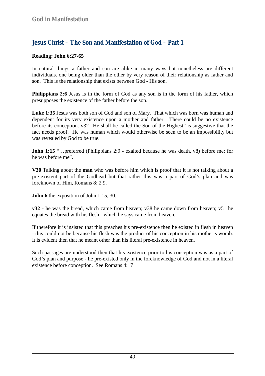# **Jesus Christ – The Son and Manifestation of God – Part 1**

#### **Reading: John 6:27-65**

In natural things a father and son are alike in many ways but nonetheless are different individuals. one being older than the other by very reason of their relationship as father and son. This is the relationship that exists between God - His son.

**Philippians 2:6** Jesus is in the form of God as any son is in the form of his father, which presupposes the existence of the father before the son.

**Luke 1:35** Jesus was both son of God and son of Mary. That which was born was human and dependent for its very existence upon a mother and father. There could be no existence before its conception. v32 "He shall be called the Son of the Highest" is suggestive that the fact needs proof. He was human which would otherwise be seen to be an impossibility but was revealed by God to be true.

**John 1:15** "... preferred (Philippians 2:9 - exalted because he was death, v8) before me; for he was before me".

**V30** Talking about the **man** who was before him which is proof that it is not talking about a pre-existent part of the Godhead but that rather this was a part of God's plan and was foreknown of Him, Romans 8: 2 9.

**John 6** the exposition of John 1:15, 30.

**v32** - he was the bread, which came from heaven; v38 he came down from heaven; v51 he equates the bread with his flesh - which he says came from heaven.

If therefore it is insisted that this preaches his pre-existence then he existed in flesh in heaven - this could not be because his flesh was the product of his conception in his mother's womb. It is evident then that he meant other than his literal pre-existence in heaven.

Such passages are understood then that his existence prior to his conception was as a part of God's plan and purpose - he pre-existed only in the foreknowledge of God and not in a literal existence before conception. See Romans 4:17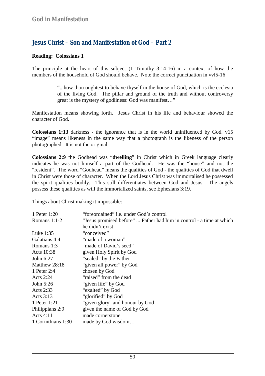## **Jesus Christ – Son and Manifestation of God – Part 2**

#### **Reading: Colossians 1**

The principle at the heart of this subject (1 Timothy 3:14-16) in a context of how the members of the household of God should behave. Note the correct punctuation in vvl5-16

> "...how thou oughtest to behave thyself in the house of God, which is the ecclesia of the living God. The pillar and ground of the truth and without controversy great is the mystery of godliness: God was manifest…"

Manifestation means showing forth. Jesus Christ in his life and behaviour showed the character of God.

**Colossians 1:13** darkness - the ignorance that is in the world uninfluenced by God. v15 "image" means likeness in the same way that a photograph is the likeness of the person photographed. It is not the original.

**Colossians 2:9** the Godhead was "**dwelling**" in Christ which in Greek language clearly indicates he was not himself a part of the Godhead. He was the "house" and not the "resident". The word "Godhead" means the qualities of God - the qualities of God that dwell in Christ were those of character. When the Lord Jesus Christ was immortalised he possessed the spirit qualities bodily. This still differentiates between God and Jesus. The angels possess these qualities as will the immortalized saints, see Ephesians 3:19.

Things about Christ making it impossible:-

| 1 Peter 1:20       | "foreordained" <i>i.e.</i> under God's control                       |
|--------------------|----------------------------------------------------------------------|
| Romans $1:1-2$     | "Jesus promised before"  Father had him in control - a time at which |
|                    | he didn't exist                                                      |
| Luke 1:35          | "conceived"                                                          |
| Galatians 4:4      | "made of a woman"                                                    |
| Romans 1:3         | "made of David's seed"                                               |
| Acts 10:38         | given Holy Spirit by God                                             |
| John 6:27          | "sealed" by the Father                                               |
| Matthew 28:18      | "given all power" by God                                             |
| 1 Peter 2:4        | chosen by God                                                        |
| Acts $2:24$        | "raised" from the dead                                               |
| John 5:26          | "given life" by God                                                  |
| Acts $2:33$        | "exalted" by God                                                     |
| Acts $3:13$        | "glorified" by God                                                   |
| 1 Peter 1:21       | "given glory" and honour by God                                      |
| Philippians 2:9    | given the name of God by God                                         |
| Acts $4:11$        | made cornerstone                                                     |
| 1 Corinthians 1:30 | made by God wisdom                                                   |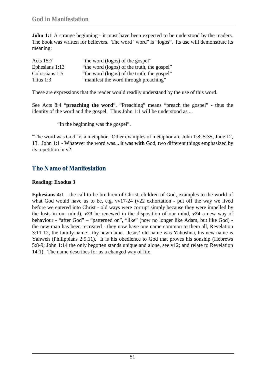**John 1:1** A strange beginning - it must have been expected to be understood by the readers. The book was written for believers. The word "word" is "logos". Its use will demonstrate its meaning:

| Acts 15:7      | "the word (logos) of the gospel"            |
|----------------|---------------------------------------------|
| Ephesians 1:13 | "the word (logos) of the truth, the gospel" |
| Colossians 1:5 | "the word (logos) of the truth, the gospel" |
| Titus 1:3      | "manifest the word through preaching"       |

These are expressions that the reader would readily understand by the use of this word.

See Acts 8:4 "**preaching the word**". "Preaching" means "preach the gospel" - thus the identity of the word and the gospel. Thus John 1:1 will be understood as ...

"In the beginning was the gospel".

"The word was God" is a metaphor. Other examples of metaphor are John 1:8; 5:35; Jude 12, 13. John 1:1 - Whatever the word was... it was **with** God, two different things emphasized by its repetition in v2.

## **The Name of Manifestation**

#### **Reading: Exodus 3**

**Ephesians 4:1** - the call to be brethren of Christ, children of God, examples to the world of what God would have us to be, e.g. vv17-24 (v22 exhortation - put off the way we lived before we entered into Christ - old ways were corrupt simply because they were impelled by the lusts in our mind), **v23** be renewed in the disposition of our mind, **v24** a new way of behaviour - "after God" – "patterned on", "like" (now no longer like Adam, but like God) the new man has been recreated - they now have one name common to them all, Revelation 3:11-12, the family name - thy new name. Jesus' old name was Yahoshua, his new name is Yahweh (Philippians 2:9,11). It is his obedience to God that proves his sonship (Hebrews 5:8-9; John 1:14 the only begotten stands unique and alone, see v12; and relate to Revelation 14:1). The name describes for us a changed way of life.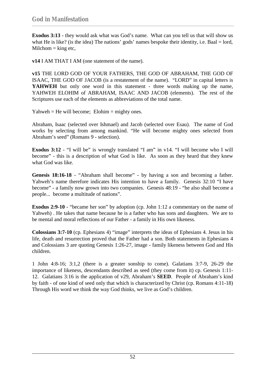**Exodus 3:13** - they would ask what was God's name. What can you tell us that will show us what He is like? (is the idea) The nations' gods' names bespoke their identity, i.e. Baal = lord,  $Milchom =$  king etc,

**v14** I AM THAT I AM (one statement of the name).

**v15** THE LORD GOD OF YOUR FATHERS, THE GOD OF ABRAHAM, THE GOD OF ISAAC, THE GOD OF JACOB (is a restatement of the name). "LORD" in capital letters is **YAHWEH** but only one word in this statement - three words making up the name, YAHWEH ELOHIM of ABRAHAM, ISAAC AND JACOB (elements). The rest of the Scriptures use each of the elements as abbreviations of the total name.

Yahweh = He will become; Elohim = mighty ones.

Abraham, Isaac (selected over Ishmael) and Jacob (selected over Esau). The name of God works by selecting from among mankind. "He will become mighty ones selected from Abraham's seed" (Romans 9 - selection).

**Exodus 3:12** - "I will be" is wrongly translated "I am" in v14. "I will become who I will become" - this is a description of what God is like. As soon as they heard that they knew what God was like.

**Genesis 18:16-18** - "Abraham shall become" - by having a son and becoming a father. Yahweh's name therefore indicates His intention to have a family. Genesis 32:10 "I have become" - a family now grown into two companies. Genesis 48:19 - "he also shall become a people... become a multitude of nations".

**Exodus 2:9-10** - "became her son" by adoption (cp. John 1:12 a commentary on the name of Yahweh) . He takes that name because he is a father who has sons and daughters. We are to be mental and moral reflections of our Father - a family in His own likeness.

**Colossians 3:7-10** (cp. Ephesians 4) "image" interprets the ideas of Ephesians 4. Jesus in his life, death and resurrection proved that the Father had a son. Both statements in Ephesians 4 and Colossians 3 are quoting Genesis 1:26-27, image - family likeness between God and His children.

1 John 4:8-16; 3:1,2 (there is a greater sonship to come). Galatians 3:7-9, 26-29 the importance of likeness, descendants described as seed (they come from it) cp. Genesis 1:11- 12. Galatians 3:16 is the application of v29, Abraham's **SEED**. People of Abraham's kind by faith - of one kind of seed only that which is characterized by Christ (cp. Romans 4:11-18) Through His word we think the way God thinks, we live as God's children.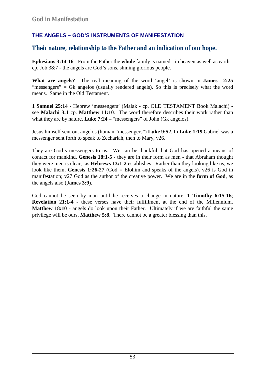### **THE ANGELS – GOD'S INSTRUMENTS OF MANIFESTATION**

### **Their nature, relationship to the Father and an indication of our hope.**

**Ephesians 3:14-16** - From the Father the **whole** family is named - in heaven as well as earth cp. Job 38:7 - the angels are God's sons, shining glorious people.

**What are angels?** The real meaning of the word 'angel' is shown in **James 2:25** "messengers" = Gk angelos (usually rendered angels). So this is precisely what the word means. Same in the Old Testament.

**1 Samuel 25:14** - Hebrew 'messengers' (Malak - cp. OLD TESTAMENT Book Malachi) see **Malachi 3:1** cp. **Matthew 11:10**. The word therefore describes their work rather than what they are by nature. **Luke 7:24** – "messengers" of John (Gk angelos).

Jesus himself sent out angelos (human "messengers") **Luke 9:52**. In **Luke 1:19** Gabriel was a messenger sent forth to speak to Zechariah, then to Mary, v26.

They are God's messengers to us. We can be thankful that God has opened a means of contact for mankind. **Genesis 18:1-5** - they are in their form as men - that Abraham thought they were men is clear, as **Hebrews 13:1-2** establishes. Rather than they looking like us, we look like them, **Genesis 1:26-27** (God = Elohim and speaks of the angels). v26 is God in manifestation; v27 God as the author of the creative power. We are in the **form of God**, as the angels also (**James 3:9**).

God cannot be seen by man until he receives a change in nature, **1 Timothy 6:15-16**; **Revelation 21:1-4** - these verses have their fulfillment at the end of the Millennium. **Matthew 18:10** - angels do look upon their Father. Ultimately if we are faithful the same privilege will be ours, **Matthew 5:8**. There cannot be a greater blessing than this.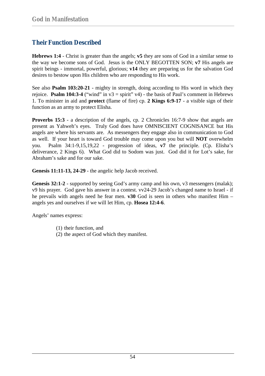# **Their Function Described**

**Hebrews 1:4** - Christ is greater than the angels; **v5** they are sons of God in a similar sense to the way we become sons of God. Jesus is the ONLY BEGOTTEN SON; **v7** His angels are spirit beings - immortal, powerful, glorious; **v14** they are preparing us for the salvation God desires to bestow upon His children who are responding to His work.

See also **Psalm 103:20-21** - mighty in strength, doing according to His word in which they rejoice. **Psalm 104:3-4** ("wind" in  $v3 =$  spirit"  $v4$ ) - the basis of Paul's comment in Hebrews 1. To minister in aid and **protect** (flame of fire) cp. **2 Kings 6:9-17** - a visible sign of their function as an army to protect Elisha.

**Proverbs 15:3** - a description of the angels, cp. 2 Chronicles 16:7-9 show that angels are present as Yahweh's eyes. Truly God does have OMNISCIENT COGNISANCE but His angels are where his servants are. As messengers they engage also in communication to God as well. If your heart is toward God trouble may come upon you but will **NOT** overwhelm you. Psalm 34:1-9,15,19,22 - progression of ideas, **v7** the principle. (Cp. Elisha's deliverance, 2 Kings 6). What God did to Sodom was just. God did it for Lot's sake, for Abraham's sake and for our sake.

**Genesis 11:11-13, 24-29** - the angelic help Jacob received.

**Genesis 32:1-2** - supported by seeing God's army camp and his own, v3 messengers (malak); v9 his prayer. God gave his answer in a contest. vv24-29 Jacob's changed name to Israel - if he prevails with angels need he fear men. **v30** God is seen in others who manifest Him – angels yes and ourselves if we will let Him, cp. **Hosea 12:4-6**.

Angels' names express:

- (1) their function, and
- (2) the aspect of God which they manifest.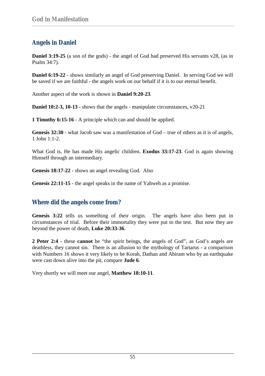# **Angels in Daniel**

**Daniel 3:19-25** (a son of the gods) - the angel of God had preserved His servants v28, (as in Psalm 34:7).

**Daniel 6:19-22** - shows similarly an angel of God preserving Daniel. In serving God we will be saved if we are faithful - the angels work on our behalf if it is to our eternal benefit.

Another aspect of the work is shown in **Daniel 9:20-23**.

**Daniel 10:2-3, 10-13** - shows that the angels - manipulate circumstances, v20-21

**1 Timothy 6:15-16** - A principle which can and should be applied.

**Genesis 32:30** - what Jacob saw was a manifestation of God – true of others as it is of angels, 1 John 1:1-2.

What God is, He has made His angelic children. **Exodus 33:17-23**. God is again showing Himself through an intermediary.

**Genesis 18:17-22** - shows an angel revealing God. Also

**Genesis 22:11-15** - the angel speaks in the name of Yahweh as a promise.

# **Where did the angels come from?**

**Genesis 3:22** tells us something of their origin. The angels have also been put in circumstances of trial. Before their immortality they were put to the test. But now they are beyond the power of death, **Luke 20:33-36**.

**2 Peter 2:4** - these **cannot** be "the spirit beings, the angels of God", as God's angels are deathless, they cannot sin. There is an allusion to the mythology of Tartarus - a comparison with Numbers 16 shows it very likely to be Korah, Dathan and Abiram who by an earthquake were cast down alive into the pit, compare **Jude 6**.

Very shortly we will meet our angel, **Matthew 18:10-11**.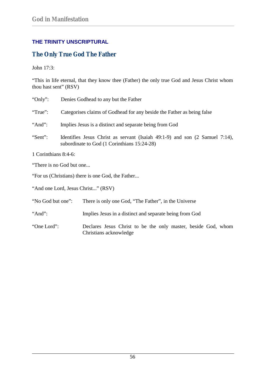## **THE TRINITY UNSCRIPTURAL**

## **The Only True God The Father**

John 17:3:

"This in life eternal, that they know thee (Father) the only true God and Jesus Christ whom thou hast sent" (RSV)

| "Only":              | Denies Godhead to any but the Father                                                                                       |
|----------------------|----------------------------------------------------------------------------------------------------------------------------|
| "True":              | Categorises claims of Godhead for any beside the Father as being false                                                     |
| "And":               | Implies Jesus is a distinct and separate being from God                                                                    |
| "Sent":              | Identifies Jesus Christ as servant (Isaiah 49:1-9) and son (2 Samuel 7:14),<br>subordinate to God (1 Corinthians 15:24-28) |
| 1 Corinthians 8:4-6: |                                                                                                                            |
|                      |                                                                                                                            |

"There is no God but one...

"For us (Christians) there is one God, the Father...

"And one Lord, Jesus Christ..." (RSV)

"No God but one": There is only one God, "The Father", in the Universe

"And": Implies Jesus in a distinct and separate being from God

"One Lord": Declares Jesus Christ to be the only master, beside God, whom Christians acknowledge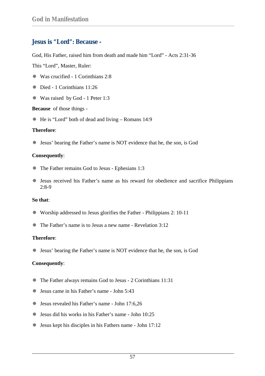### **Jesus is "Lord": Because -**

God, His Father, raised him from death and made him "Lord" - Acts 2:31-36

This "Lord", Master, Ruler:

- ! Was crucified 1 Corinthians 2:8
- ! Died 1 Corinthians 11:26
- ! Was raised by God 1 Peter 1:3

**Because** of those things -

! He is "Lord" both of dead and living – Romans 14:9

#### **Therefore**:

! Jesus' bearing the Father's name is NOT evidence that he, the son, is God

#### **Consequently**:

- ! The Father remains God to Jesus Ephesians 1:3
- ! Jesus received his Father's name as his reward for obedience and sacrifice Philippians 2:8-9

#### **So that**:

- ! Worship addressed to Jesus glorifies the Father Philippians 2: 10-11
- ! The Father's name is to Jesus a new name Revelation 3:12

#### **Therefore**:

! Jesus' bearing the Father's name is NOT evidence that he, the son, is God

#### **Consequently**:

- ! The Father always remains God to Jesus 2 Corinthians 11:31
- ! Jesus came in his Father's name John 5:43
- ! Jesus revealed his Father's name John 17:6,26
- ! Jesus did his works in his Father's name John 10:25
- ! Jesus kept his disciples in his Fathers name John 17:12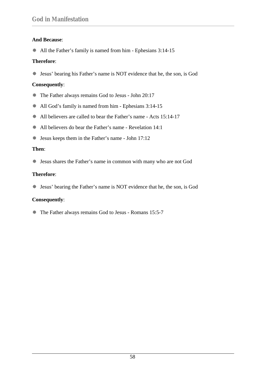#### **And Because**:

! All the Father's family is named from him - Ephesians 3:14-15

#### **Therefore**:

! Jesus' bearing his Father's name is NOT evidence that he, the son, is God

#### **Consequently**:

! The Father always remains God to Jesus - John 20:17

- ! All God's family is named from him Ephesians 3:14-15
- ! All believers are called to bear the Father's name Acts 15:14-17
- ! All believers do bear the Father's name Revelation 14:1
- ! Jesus keeps them in the Father's name John 17:12

#### **Then**:

! Jesus shares the Father's name in common with many who are not God

### **Therefore**:

! Jesus' bearing the Father's name is NOT evidence that he, the son, is God

### **Consequently**:

! The Father always remains God to Jesus - Romans 15:5-7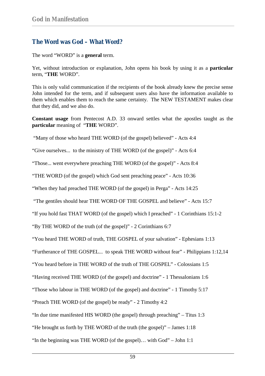# **The Word was God – What Word?**

The word "WORD" is a **general** term.

Yet, without introduction or explanation, John opens his book by using it as a **particular** term, "**THE** WORD".

This is only valid communication if the recipients of the book already knew the precise sense John intended for the term, and if subsequent users also have the information available to them which enables them to reach the same certainty. The NEW TESTAMENT makes clear that they did, and we also do.

**Constant usage** from Pentecost A.D. 33 onward settles what the apostles taught as the **particular** meaning of "**THE** WORD".

"Many of those who heard THE WORD (of the gospel) believed" - Acts 4:4

"Give ourselves... to the ministry of THE WORD (of the gospel)" - Acts 6:4

"Those... went everywhere preaching THE WORD (of the gospel)" - Acts 8:4

"THE WORD (of the gospel) which God sent preaching peace" - Acts 10:36

"When they had preached THE WORD (of the gospel) in Perga" - Acts 14:25

"The gentiles should hear THE WORD OF THE GOSPEL and believe" - Acts 15:7

"If you hold fast THAT WORD (of the gospel) which I preached" - 1 Corinthians 15:1-2

"By THE WORD of the truth (of the gospel)" - 2 Corinthians 6:7

"You heard THE WORD of truth, THE GOSPEL of your salvation" - Ephesians 1:13

"Furtherance of THE GOSPEL... to speak THE WORD without fear" - Philippians 1:12,14

"You heard before in THE WORD of the truth of THE GOSPEL" - Colossians 1:5

"Having received THE WORD (of the gospel) and doctrine" - 1 Thessalonians 1:6

"Those who labour in THE WORD (of the gospel) and doctrine" - 1 Timothy 5:17

"Preach THE WORD (of the gospel) be ready" - 2 Timothy 4:2

"In due time manifested HIS WORD (the gospel) through preaching" – Titus 1:3

"He brought us forth by THE WORD of the truth (the gospel)" – James 1:18

"In the beginning was THE WORD (of the gospel)… with God" – John 1:1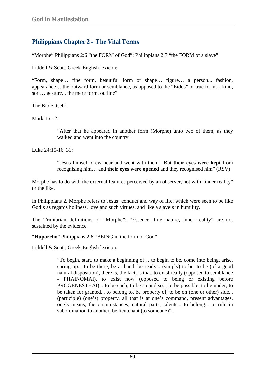# **Philippians Chapter 2 – The Vital Terms**

"Morphe" Philippians 2:6 "the FORM of God"; Philippians 2:7 "the FORM of a slave"

Liddell & Scott, Greek-English lexicon:

"Form, shape… fine form, beautiful form or shape… figure… a person... fashion, appearance… the outward form or semblance, as opposed to the "Eidos" or true form… kind, sort… gesture... the mere form, outline"

The Bible itself:

Mark 16:12:

"After that he appeared in another form (Morphe) unto two of them, as they walked and went into the country"

Luke 24:15-16, 31:

"Jesus himself drew near and went with them. But **their eyes were kept** from recognising him… and **their eyes were opened** and they recognised him" (RSV)

Morphe has to do with the external features perceived by an observer, not with "inner reality" or the like.

In Philippians 2, Morphe refers to Jesus' conduct and way of life, which were seen to be like God's as regards holiness, love and such virtues, and like a slave's in humility.

The Trinitarian definitions of "Morphe": "Essence, true nature, inner reality" are not sustained by the evidence.

"**Huparcho**" Philippians 2:6 "BEING in the form of God"

Liddell & Scott, Greek-English lexicon:

"To begin, start, to make a beginning of… to begin to be, come into being, arise, spring up... to be there, be at hand, be ready... (simply) to be, to be (of a good natural disposition), there is, the fact, is that, to exist really (opposed to semblance - PHAINOMAI), to exist now (opposed to being or existing before PROGENESTHAI)... to be such, to be so and so... to be possible, to lie under, to be taken for granted... to belong to, be property of, to be on (one or other) side... (participle) (one's) property, all that is at one's command, present advantages, one's means, the circumstances, natural parts, talents... to belong... to rule in subordination to another, be lieutenant (to someone)".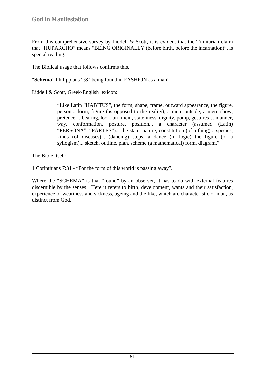From this comprehensive survey by Liddell  $\&$  Scott, it is evident that the Trinitarian claim that "HUPARCHO" means "BEING ORIGINALLY (before birth, before the incarnation)", is special reading.

The Biblical usage that follows confirms this.

"**Schema**" Philippians 2:8 "being found in FASHION as a man"

Liddell & Scott, Greek-English lexicon:

"Like Latin "HABITUS", the form, shape, frame, outward appearance, the figure, person... form, figure (as opposed to the reality), a mere outside, a mere show, pretence… bearing, look, air, mein, stateliness, dignity, pomp, gestures… manner, way, conformation, posture, position... a character (assumed (Latin) "PERSONA", "PARTES")... the state, nature, constitution (of a thing)... species, kinds (of diseases)... (dancing) steps, a dance (in logic) the figure (of a syllogism)... sketch, outline, plan, scheme (a mathematical) form, diagram."

The Bible itself:

1 Corinthians 7:31 - "For the form of this world is passing away".

Where the "SCHEMA" is that "found" by an observer, it has to do with external features discernible by the senses. Here it refers to birth, development, wants and their satisfaction, experience of weariness and sickness, ageing and the like, which are characteristic of man, as distinct from God.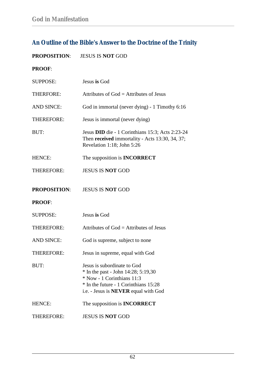# **An Outline of the Bible's Answer to the Doctrine of the Trinity**

| <b>PROPOSITION:</b> | <b>JESUS IS NOT GOD</b>                                                                                                                                                             |  |
|---------------------|-------------------------------------------------------------------------------------------------------------------------------------------------------------------------------------|--|
| <b>PROOF:</b>       |                                                                                                                                                                                     |  |
| <b>SUPPOSE:</b>     | Jesus is God                                                                                                                                                                        |  |
| THERFORE:           | Attributes of $God = Attributes of Jesus$                                                                                                                                           |  |
| <b>AND SINCE:</b>   | God in immortal (never dying) - 1 Timothy 6:16                                                                                                                                      |  |
| THEREFORE:          | Jesus is immortal (never dying)                                                                                                                                                     |  |
| BUT:                | Jesus DID die - 1 Corinthians 15:3; Acts 2:23-24<br>Then received immortality - Acts 13:30, 34, 37;<br>Revelation 1:18; John 5:26                                                   |  |
| <b>HENCE:</b>       | The supposition is <b>INCORRECT</b>                                                                                                                                                 |  |
| THEREFORE:          | <b>JESUS IS NOT GOD</b>                                                                                                                                                             |  |
| <b>PROPOSITION:</b> | <b>JESUS IS NOT GOD</b>                                                                                                                                                             |  |
| <b>PROOF:</b>       |                                                                                                                                                                                     |  |
| <b>SUPPOSE:</b>     | Jesus is God                                                                                                                                                                        |  |
| THEREFORE:          | Attributes of $God = Attributes of Jesus$                                                                                                                                           |  |
| <b>AND SINCE:</b>   | God is supreme, subject to none                                                                                                                                                     |  |
| THEREFORE:          | Jesus in supreme, equal with God                                                                                                                                                    |  |
| BUT:                | Jesus is subordinate to God<br>$*$ In the past - John 14:28; 5:19,30<br>* Now - 1 Corinthians 11:3<br>* In the future - 1 Corinthians 15:28<br>i.e. - Jesus is NEVER equal with God |  |
| <b>HENCE:</b>       | The supposition is <b>INCORRECT</b>                                                                                                                                                 |  |
| THEREFORE:          | <b>JESUS IS NOT GOD</b>                                                                                                                                                             |  |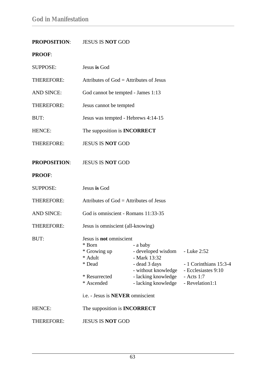| <b>PROPOSITION:</b> | <b>JESUS IS NOT GOD</b>                                                                                                                   |                                                                                                                                      |                                                                                                 |
|---------------------|-------------------------------------------------------------------------------------------------------------------------------------------|--------------------------------------------------------------------------------------------------------------------------------------|-------------------------------------------------------------------------------------------------|
| <b>PROOF:</b>       |                                                                                                                                           |                                                                                                                                      |                                                                                                 |
| <b>SUPPOSE:</b>     | Jesus is God                                                                                                                              |                                                                                                                                      |                                                                                                 |
| THEREFORE:          | Attributes of $God = Attributes of Jesus$                                                                                                 |                                                                                                                                      |                                                                                                 |
| <b>AND SINCE:</b>   | God cannot be tempted - James 1:13                                                                                                        |                                                                                                                                      |                                                                                                 |
| THEREFORE:          | Jesus cannot be tempted                                                                                                                   |                                                                                                                                      |                                                                                                 |
| BUT:                | Jesus was tempted - Hebrews 4:14-15                                                                                                       |                                                                                                                                      |                                                                                                 |
| <b>HENCE:</b>       | The supposition is <b>INCORRECT</b>                                                                                                       |                                                                                                                                      |                                                                                                 |
| THEREFORE:          | <b>JESUS IS NOT GOD</b>                                                                                                                   |                                                                                                                                      |                                                                                                 |
| <b>PROPOSITION:</b> | <b>JESUS IS NOT GOD</b>                                                                                                                   |                                                                                                                                      |                                                                                                 |
| <b>PROOF:</b>       |                                                                                                                                           |                                                                                                                                      |                                                                                                 |
| <b>SUPPOSE:</b>     | Jesus is God                                                                                                                              |                                                                                                                                      |                                                                                                 |
| THEREFORE:          | Attributes of $God = Attributes of Jesus$                                                                                                 |                                                                                                                                      |                                                                                                 |
| <b>AND SINCE:</b>   | God is omniscient - Romans 11:33-35                                                                                                       |                                                                                                                                      |                                                                                                 |
| THEREFORE:          | Jesus is omniscient (all-knowing)                                                                                                         |                                                                                                                                      |                                                                                                 |
| BUT:                | Jesus is not omniscient<br>* Born<br>* Growing up<br>* Adult<br>* Dead<br>* Resurrected<br>* Ascended<br>i.e. - Jesus is NEVER omniscient | - a baby<br>- developed wisdom<br>- Mark 13:32<br>- dead 3 days<br>- without knowledge<br>- lacking knowledge<br>- lacking knowledge | - Luke 2:52<br>- 1 Corinthians 15:3-4<br>- Ecclesiastes 9:10<br>$-$ Acts 1:7<br>- Revelation1:1 |
| <b>HENCE:</b>       | The supposition is <b>INCORRECT</b>                                                                                                       |                                                                                                                                      |                                                                                                 |
| THEREFORE:          | <b>JESUS IS NOT GOD</b>                                                                                                                   |                                                                                                                                      |                                                                                                 |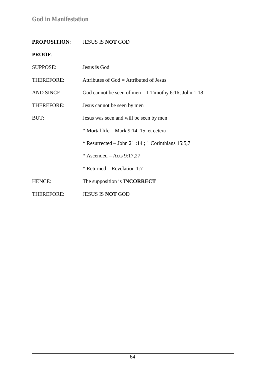**PROPOSITION**: JESUS IS **NOT** GOD

**PROOF**:

| SUPPOSE:          | Jesus is God                                           |
|-------------------|--------------------------------------------------------|
| THEREFORE:        | Attributes of $God = Attributed$ of Jesus              |
| <b>AND SINCE:</b> | God cannot be seen of men $-1$ Timothy 6:16; John 1:18 |
| THEREFORE:        | Jesus cannot be seen by men                            |
| BUT:              | Jesus was seen and will be seen by men                 |
|                   | * Mortal life – Mark 9:14, 15, et cetera               |
|                   | * Resurrected – John 21:14; 1 Corinthians $15:5,7$     |
|                   | * Ascended – Acts $9:17,27$                            |
|                   | * Returned – Revelation 1:7                            |
| <b>HENCE:</b>     | The supposition is <b>INCORRECT</b>                    |
| THEREFORE:        | <b>JESUS IS NOT GOD</b>                                |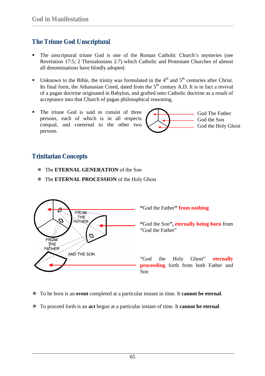# **The Triune God Unscriptural**

- The unscriptural triune God is one of the Roman Catholic Church's mysteries (see Revelation 17:5; 2 Thessalonians 2:7) which Catholic and Protestant Churches of almost all denominations have blindly adopted.
- $\blacksquare$  Unknown to the Bible, the trinity was formulated in the 4<sup>th</sup> and 5<sup>th</sup> centuries after Christ. Its final form, the Athanasian Creed, dated from the  $5<sup>th</sup>$  century A.D. It is in fact a revival of a pagan doctrine originated in Babylon, and grafted onto Catholic doctrine as a result of acceptance into that Church of pagan philosophical reasoning.
- The triune God is said to consist of three persons, each of which is in all respects coequal, and coeternal to the other two persons.



# **Trinitarian Concepts**

- ! The **ETERNAL GENERATION** of the Son
- ! The **ETERNAL PROCESSION** of the Holy Ghost



- ! To be born is an **event** completed at a particular instant in time. It **cannot be eternal**.
- ! To proceed forth is an **act** begun at a particular instant of time. It **cannot be eternal**.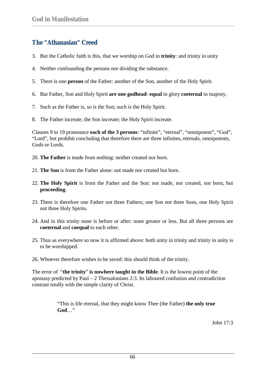## **The "Athanasian" Creed**

- 3. But the Catholic faith is this, that we worship on God in **trinity**: and trinity in unity
- 4. Neither confounding the persons nor dividing the substance.
- 5. There is one **person** of the Father: another of the Son, another of the Holy Spirit.
- 6. But Father, Son and Holy Spirit **are one godhead**: **equal** in glory **coeternal** in majesty.
- 7. Such as the Father is, so is the Son; such is the Holy Spirit.
- 8. The Father increate, the Son increate; the Holy Spirit increate.

Clauses 9 to 19 pronounce **each of the 3 persons**: "infinite", "eternal", "omnipotent", "God", "Lord", but prohibit concluding that therefore there are three infinites, eternals, omnipotents, Gods or Lords.

- 20. **The Father** is made from nothing: neither created nor born.
- 21. **The Son** is from the Father alone: not made nor created but born.
- 22. **The Holy Spirit** is from the Father and the Son: not made, nor created, nor born, but **proceeding**.
- 23. There is therefore one Father not three Fathers; one Son not three Sons, one Holy Spirit not three Holy Spirits.
- 24. And in this trinity none is before or after: none greater or less. But all three persons are **coeternal** and **coequal** to each other.
- 25. Thus as everywhere so now it is affirmed above: both unity in trinity and trinity in unity is to be worshipped.
- 26. Whoever therefore wishes to be saved: this should think of the trinity.

The error of "**the trinity**" **is nowhere taught in the Bible**. It is the lowest point of the apostasy predicted by Paul – 2 Thessalonians 2:3. Its laboured confusion and contradiction contrast totally with the simple clarity of Christ.

> "This is life eternal, that they might know Thee (the Father) **the only true God**…"

> > John 17:3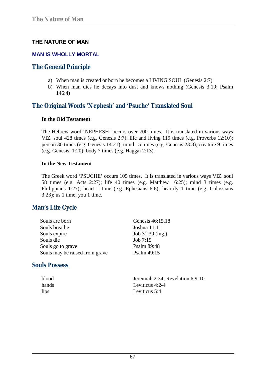#### **THE NATURE OF MAN**

#### **MAN IS WHOLLY MORTAL**

### **The General Principle**

- a) When man is created or born he becomes a LIVING SOUL (Genesis 2:7)
- b) When man dies he decays into dust and knows nothing (Genesis 3:19; Psalm 146:4)

## **The Original Words 'Nephesh' and 'Psuche' Translated Soul**

#### **In the Old Testament**

The Hebrew word 'NEPHESH' occurs over 700 times. It is translated in various ways VIZ. soul 428 times (e.g. Genesis 2:7); life and living 119 times (e.g. Proverbs 12:10); person 30 times (e.g. Genesis 14:21); mind 15 times (e.g. Genesis 23:8); creature 9 times (e.g. Genesis. 1:20); body 7 times (e.g. Haggai 2:13).

#### **In the New Testament**

The Greek word 'PSUCHE' occurs 105 times. It is translated in various ways VIZ. soul 58 times (e.g. Acts 2:27); life 40 times (e.g. Matthew 16:25); mind 3 times (e.g. Philippians 1:27); heart 1 time (e.g. Ephesians 6:6); heartily 1 time (e.g. Colossians 3:23); us 1 time; you 1 time.

## **Man's Life Cycle**

| Souls are born                 | Genesis 46:15,18  |
|--------------------------------|-------------------|
| Souls breathe                  | Joshua 11:11      |
| Souls expire                   | Job $31:39$ (mg.) |
| Souls die                      | Job 7:15          |
| Souls go to grave              | Psalm 89:48       |
| Souls may be raised from grave | Psalm $49:15$     |
|                                |                   |

### **Souls Possess**

| blood | Jeremiah 2:34; Revelation 6:9-10 |
|-------|----------------------------------|
| hands | Leviticus 4:2-4                  |
| lips  | Leviticus 5:4                    |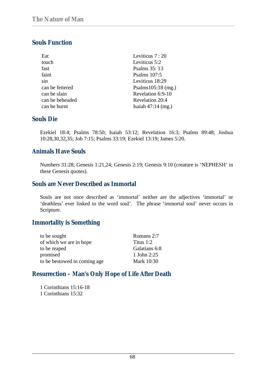## **Souls Function**

| Eat             | Leviticus $7:20$      |
|-----------------|-----------------------|
| touch           | Leviticus 5:2         |
| fast            | Psalms 35: 13         |
| faint           | Psalms $107:5$        |
| sin             | Leviticus 18:29       |
| can be fettered | Psalms $105:18$ (mg.) |
| can be slain    | Revelation 6:9-10     |
| can be beheaded | Revelation 20:4       |
| can be burnt    | Isaiah $47:14$ (mg.)  |

### **Souls Die**

Ezekiel 18:4; Psalms 78:50; Isaiah 53:12; Revelation 16:3; Psalms 89:48; Joshua 10:28,30,32,35; Job 7:15; Psalms 33:19; Ezekiel 13:19; James 5:20.

## **Animals Have Souls**

Numbers 31:28; Genesis 1:21,24; Genesis 2:19; Genesis 9:10 (creature is 'NEPHESH' in these Genesis quotes).

### **Souls are Never Described as Immortal**

Souls are not once described as 'immortal' neither are the adjectives 'immortal' or 'deathless' ever linked to the word soul'. The phrase 'immortal soul' never occurs in Scripture.

## **Immortality is Something**

| to be sought                  | Romans 2:7    |
|-------------------------------|---------------|
| of which we are in hope       | Titus 1:2     |
| to be reaped                  | Galatians 6:8 |
| promised                      | 1 John $2:25$ |
| to be bestowed in coming age. | Mark 10:30    |

## **Resurrection – Man's Only Hope of Life After Death**

1 Corinthians 15:16-18 1 Corinthians 15:32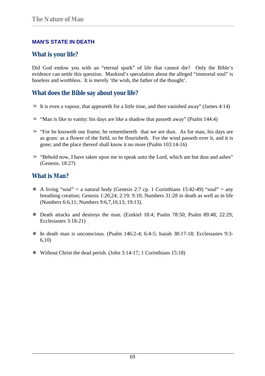#### **MAN'S STATE IN DEATH**

### **What is your life?**

Did God endow you with an "eternal spark" of life that cannot die? Only the Bible's evidence can settle this question. Mankind's speculation about the alleged "immortal soul" is baseless and worthless. It is merely 'the wish, the father of the thought'.

### **What does the Bible say about your life?**

- $\odot$  It is even a vapour, that appeareth for a little time, and then vanished away" (James 4:14)
- $\odot$  "Man is like to vanity: his days are like a shadow that passeth away" (Psalm 144:4)
- $\div$  "For he knoweth our frame; he remembereth that we are dust. As for man, his days are as grass: as a flower of the field, so he flourisheth. For the wind passeth over it, and it is gone; and the place thereof shall know it no more (Psalm 103:14-16)
- ! "Behold now, I have taken upon me to speak unto the Lord, which am but dust and ashes" (Genesis. 18:27)

# **What is Man?**

- $\text{\#}$  A living "soul" = a natural body (Genesis 2:7 cp. 1 Corinthians 15:42-49) "soul" = any breathing creation; Genesis 1:20,24; 2:19; 9:10; Numbers 31:28 in death as well as in life (Numbers 6:6,11; Numbers 9:6,7,10,13; 19:13).
- ! Death attacks and destroys the man. (Ezekiel 18:4; Psalm 78:50; Psalm 89:48; 22:29; Ecclesiastes 3:18-21)
- ! In death man is unconscious. (Psalm 146:2-4; 6:4-5; Isaiah 38:17-18; Ecclesiastes 9:3- 6,10)
- ! Without Christ the dead perish. (John 3:14-17; 1 Corinthians 15:18)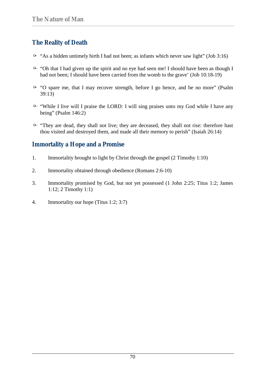# **The Reality of Death**

- $\div$  "As a hidden untimely birth I had not been; as infants which never saw light" (Job 3:16)
- $\div$  "Oh that I had given up the spirit and no eye had seen me! I should have been as though I had not been; I should have been carried from the womb to the grave' (Job 10:18-19)
- ! "O spare me, that I may recover strength, before I go hence, and be no more" (Psalm 39:13)
- $\div$  "While I live will I praise the LORD: I will sing praises unto my God while I have any being" (Psalm 146:2)
- $\div$  "They are dead, they shall not live; they are deceased, they shall not rise: therefore hast thou visited and destroyed them, and made all their memory to perish" (Isaiah 26:14)

# **Immortality a Hope and a Promise**

- 1. Immortality brought to light by Christ through the gospel (2 Timothy 1:10)
- 2. Immortality obtained through obedience (Romans 2:6-10)
- 3. Immortality promised by God, but not yet possessed (1 John 2:25; Titus 1:2; James 1:12; 2 Timothy 1:1)
- 4. Immortality our hope (Titus 1:2; 3:7)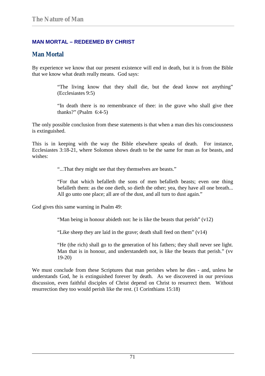### **MAN MORTAL – REDEEMED BY CHRIST**

### **Man Mortal**

By experience we know that our present existence will end in death, but it is from the Bible that we know what death really means. God says:

> "The living know that they shall die, but the dead know not anything" (Ecclesiastes 9:5)

> "In death there is no remembrance of thee: in the grave who shall give thee thanks?" (Psalm 6:4-5)

The only possible conclusion from these statements is that when a man dies his consciousness is extinguished.

This is in keeping with the way the Bible elsewhere speaks of death. For instance, Ecclesiastes 3:18-21, where Solomon shows death to be the same for man as for beasts, and wishes:

"...That they might see that they themselves are beasts."

"For that which befalleth the sons of men befalleth beasts; even one thing befalleth them: as the one dieth, so dieth the other; yea, they have all one breath... All go unto one place; all are of the dust, and all turn to dust again."

God gives this same warning in Psalm 49:

"Man being in honour abideth not: he is like the beasts that perish"  $(v12)$ 

"Like sheep they are laid in the grave; death shall feed on them" (v14)

"He (the rich) shall go to the generation of his fathers; they shall never see light. Man that is in honour, and understandeth not, is like the beasts that perish." (vv 19-20)

We must conclude from these Scriptures that man perishes when he dies - and, unless he understands God, he is extinguished forever by death. As we discovered in our previous discussion, even faithful disciples of Christ depend on Christ to resurrect them. Without resurrection they too would perish like the rest. (1 Corinthians 15:18)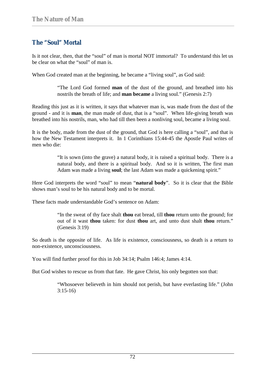# **The "Soul" Mortal**

Is it not clear, then, that the "soul" of man is mortal NOT immortal? To understand this let us be clear on what the "soul" of man is.

When God created man at the beginning, he became a "living soul", as God said:

"The Lord God formed **man** of the dust of the ground, and breathed into his nostrils the breath of life; and **man became** a living soul." (Genesis 2:7)

Reading this just as it is written, it says that whatever man is, was made from the dust of the ground - and it is **man**, the man made of dust, that is a "soul". When life-giving breath was breathed into his nostrils, man, who had till then been a nonliving soul, became a living soul.

It is the body, made from the dust of the ground, that God is here calling a "soul", and that is how the New Testament interprets it. In 1 Corinthians 15:44-45 the Apostle Paul writes of men who die:

> "It is sown (into the grave) a natural body, it is raised a spiritual body. There is a natural body, and there is a spiritual body. And so it is written, The first man Adam was made a living **soul**; the last Adam was made a quickening spirit."

Here God interprets the word "soul" to mean "**natural body**". So it is clear that the Bible shows man's soul to be his natural body and to be mortal.

These facts made understandable God's sentence on Adam:

"In the sweat of thy face shalt **thou** eat bread, till **thou** return unto the ground; for out of it wast **thou** taken: for dust **thou** art, and unto dust shalt **thou** return." (Genesis 3:19)

So death is the opposite of life. As life is existence, consciousness, so death is a return to non-existence, unconsciousness.

You will find further proof for this in Job 34:14; Psalm 146:4; James 4:14.

But God wishes to rescue us from that fate. He gave Christ, his only begotten son that:

"Whosoever believeth in him should not perish, but have everlasting life." (John 3:15-16)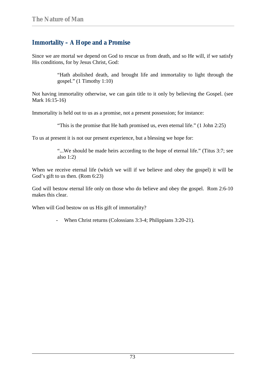# **Immortality – A Hope and a Promise**

Since we are mortal we depend on God to rescue us from death, and so He will, if we satisfy His conditions, for by Jesus Christ, God:

> "Hath abolished death, and brought life and immortality to light through the gospel." (1 Timothy 1:10)

Not having immortality otherwise, we can gain title to it only by believing the Gospel. (see Mark 16:15-16)

Immortality is held out to us as a promise, not a present possession; for instance:

"This is the promise that He hath promised us, even eternal life." (1 John 2:25)

To us at present it is not our present experience, but a blessing we hope for:

"...We should be made heirs according to the hope of eternal life." (Titus 3:7; see also 1:2)

When we receive eternal life (which we will if we believe and obey the gospel) it will be God's gift to us then. (Rom 6:23)

God will bestow eternal life only on those who do believe and obey the gospel. Rom 2:6-10 makes this clear.

When will God bestow on us His gift of immortality?

When Christ returns (Colossians 3:3-4; Philippians 3:20-21).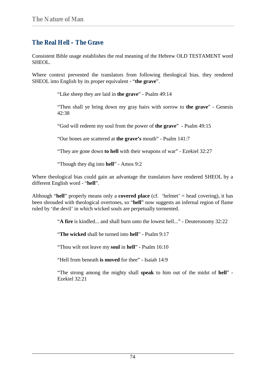## **The Real Hell – The Grave**

Consistent Bible usage establishes the real meaning of the Hebrew OLD TESTAMENT word SHEOL.

Where context prevented the translators from following theological bias. they rendered SHEOL into English by its proper equivalent - "**the grave**".

"Like sheep they are laid in **the grave**" - Psalm 49:14

"Then shall ye bring down my gray hairs with sorrow to **the grave**" - Genesis 42:38

"God will redeem my soul from the power of **the grave**" - Psalm 49:15

"Our bones are scattered at **the grave's** mouth" - Psalm 141:7

"They are gone down **to hell** with their weapons of war" - Ezekiel 32:27

"Though they dig into **hell**" - Amos 9:2

Where theological bias could gain an advantage the translators have rendered SHEOL by a different English word - "**hell**".

Although "**hell**" properly means only a **covered place** (cf. 'helmet' = head covering), it has been shrouded with theological overtones, so "**hell**" now suggests an infernal region of flame ruled by 'the devil' in which wicked souls are perpetually tormented.

"**A fire** is kindled... and shall burn unto the lowest hell..." - Deuteronomy 32:22

"**The wicked** shall be turned into **hell**" - Psalm 9:17

"Thou wilt not leave my **soul** in **hell**" - Psalm 16:10

"Hell from beneath **is moved** for thee" - Isaiah 14:9

"The strong among the mighty shall **speak** to him out of the midst of **hell**" - Ezekiel 32:21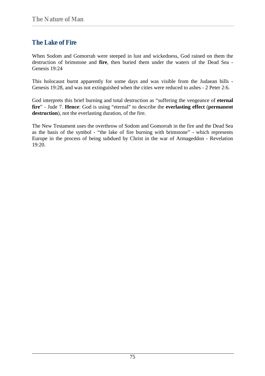# **The Lake of Fire**

When Sodom and Gomorrah were steeped in lust and wickedness, God rained on them the destruction of brimstone and **fire**, then buried them under the waters of the Dead Sea - Genesis 19:24

This holocaust burnt apparently for some days and was visible from the Judaean hills - Genesis 19:28, and was not extinguished when the cities were reduced to ashes - 2 Peter 2:6.

God interprets this brief burning and total destruction as "suffering the vengeance of **eternal fire**" - Jude 7. **Hence**: God is using "eternal" to describe the **everlasting effect** (**permanent destruction**), not the everlasting duration, of the fire.

The New Testament uses the overthrow of Sodom and Gomorrah in the fire and the Dead Sea as the basis of the symbol - "the lake of fire burning with brimstone" - which represents Europe in the process of being subdued by Christ in the war of Armageddon - Revelation 19:20.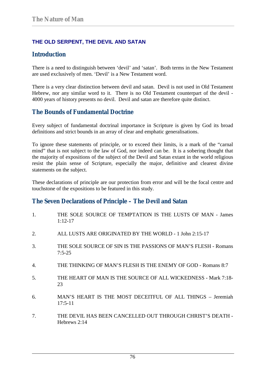### **THE OLD SERPENT, THE DEVIL AND SATAN**

### **Introduction**

There is a need to distinguish between 'devil' and 'satan'. Both terms in the New Testament are used exclusively of men. 'Devil' is a New Testament word.

There is a very clear distinction between devil and satan. Devil is not used in Old Testament Hebrew, nor any similar word to it. There is no Old Testament counterpart of the devil - 4000 years of history presents no devil. Devil and satan are therefore quite distinct.

### **The Bounds of Fundamental Doctrine**

Every subject of fundamental doctrinal importance in Scripture is given by God its broad definitions and strict bounds in an array of clear and emphatic generalisations.

To ignore these statements of principle, or to exceed their limits, is a mark of the "carnal mind" that is not subject to the law of God, nor indeed can be. It is a sobering thought that the majority of expositions of the subject of the Devil and Satan extant in the world religious resist the plain sense of Scripture, especially the major, definitive and clearest divine statements on the subject.

These declarations of principle are our protection from error and will be the focal centre and touchstone of the expositions to be featured in this study.

### **The Seven Declarations of Principle – The Devil and Satan**

- 1. THE SOLE SOURCE OF TEMPTATION IS THE LUSTS OF MAN James 1:12-17
- 2. ALL LUSTS ARE ORIGINATED BY THE WORLD 1 John 2:15-17
- 3. THE SOLE SOURCE OF SIN IS THE PASSIONS OF MAN'S FLESH Romans 7:5-25
- 4. THE THINKING OF MAN'S FLESH IS THE ENEMY OF GOD Romans 8:7
- 5. THE HEART OF MAN IS THE SOURCE OF ALL WICKEDNESS Mark 7:18- 23
- 6. MAN'S HEART IS THE MOST DECEITFUL OF ALL THINGS Jeremiah 17:5-11
- 7. THE DEVIL HAS BEEN CANCELLED OUT THROUGH CHRIST'S DEATH Hebrews 2:14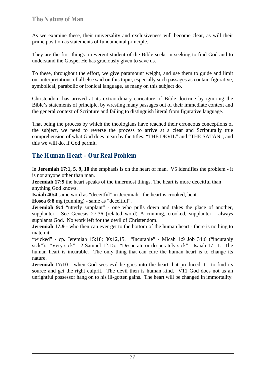As we examine these, their universality and exclusiveness will become clear, as will their prime position as statements of fundamental principle.

They are the first things a reverent student of the Bible seeks in seeking to find God and to understand the Gospel He has graciously given to save us.

To these, throughout the effort, we give paramount weight, and use them to guide and limit our interpretations of all else said on this topic, especially such passages as contain figurative, symbolical, parabolic or ironical language, as many on this subject do.

Christendom has arrived at its extraordinary caricature of Bible doctrine by ignoring the Bible's statements of principle, by wresting many passages out of their immediate context and the general context of Scripture and failing to distinguish literal from figurative language.

That being the process by which the theologians have reached their erroneous conceptions of the subject, we need to reverse the process to arrive at a clear and Scripturally true comprehension of what God does mean by the titles: "THE DEVIL" and "THE SATAN", and this we will do, if God permit.

# **The Human Heart – Our Real Problem**

In **Jeremiah 17:1, 5, 9, 10** the emphasis is on the heart of man. V5 identifies the problem - it is not anyone other than man.

**Jeremiah 17:9** the heart speaks of the innermost things. The heart is more deceitful than anything God knows.

**Isaiah 40:4** same word as "deceitful" in Jeremiah - the heart is crooked, bent.

**Hosea 6:8** mg (cunning) - same as "deceitful".

**Jeremiah 9:4** "utterly supplant" - one who pulls down and takes the place of another, supplanter. See Genesis 27:36 (related word) A cunning, crooked, supplanter - always supplants God. No work left for the devil of Christendom.

**Jeremiah 17:9** - who then can ever get to the bottom of the human heart - there is nothing to match it.

"wicked" - cp. Jeremiah 15:18; 30:12,15. "Incurable" - Micah 1:9 Job 34:6 ("incurably sick"). "Very sick" - 2 Samuel 12:15. "Desperate or desperately sick" - Isaiah 17:11. The human heart is incurable. The only thing that can cure the human heart is to change its nature.

**Jeremiah 17:10** - when God sees evil he goes into the heart that produced it - to find its source and get the right culprit. The devil then is human kind. V11 God does not as an unrightful possessor hang on to his ill-gotten gains. The heart will be changed in immortality.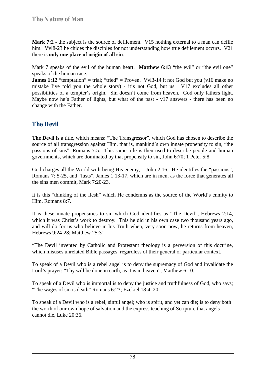**Mark 7:2** - the subject is the source of defilement. V15 nothing external to a man can defile him. Vvl8-23 he chides the disciples for not understanding how true defilement occurs. V21 there is **only one place of origin of all sin**.

Mark 7 speaks of the evil of the human heart. **Matthew 6:13** "the evil" or "the evil one" speaks of the human race.

**James 1:12** "temptation" = trial; "tried" = Proven. Vvl3-14 it not God but you (v16 make no mistake I've told you the whole story) - it's not God, but us. V17 excludes all other possibilities of a tempter's origin. Sin doesn't come from heaven. God only fathers light. Maybe now he's Father of lights, but what of the past - v17 answers - there has been no change with the Father.

# **The Devil**

**The Devil** is a title, which means: "The Transgressor", which God has chosen to describe the source of all transgression against Him, that is, mankind's own innate propensity to sin, "the passions of sins", Romans 7:5. This same title is then used to describe people and human governments, which are dominated by that propensity to sin, John 6:70; 1 Peter 5:8.

God charges all the World with being His enemy, 1 John 2:16. He identifies the "passions", Romans 7: 5-25, and "lusts", James 1:13-17, which are in men, as the force that generates all the sins men commit, Mark 7:20-23.

It is this "thinking of the flesh" which He condemns as the source of the World's enmity to Him, Romans 8:7.

It is these innate propensities to sin which God identifies as "The Devil", Hebrews 2:14, which it was Christ's work to destroy. This he did in his own case two thousand years ago, and will do for us who believe in his Truth when, very soon now, he returns from heaven, Hebrews 9:24-28; Matthew 25:31.

"The Devil invented by Catholic and Protestant theology is a perversion of this doctrine, which misuses unrelated Bible passages, regardless of their general or particular context.

To speak of a Devil who is a rebel angel is to deny the supremacy of God and invalidate the Lord's prayer: "Thy will be done in earth, as it is in heaven", Matthew 6:10.

To speak of a Devil who is immortal is to deny the justice and truthfulness of God, who says; "The wages of sin is death" Romans 6:23; Ezekiel 18:4, 20.

To speak of a Devil who is a rebel, sinful angel; who is spirit, and yet can die; is to deny both the worth of our own hope of salvation and the express teaching of Scripture that angels cannot die, Luke 20:36.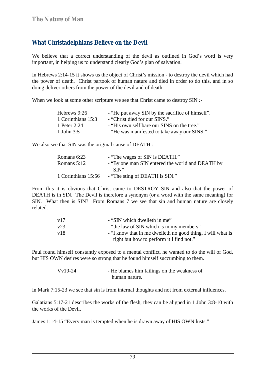## **What Christadelphians Believe on the Devil**

We believe that a correct understanding of the devil as outlined in God's word is very important, in helping us to understand clearly God's plan of salvation.

In Hebrews 2:14-15 it shows us the object of Christ's mission - to destroy the devil which had the power of death. Christ partook of human nature and died in order to do this, and in so doing deliver others from the power of the devil and of death.

When we look at some other scripture we see that Christ came to destroy SIN :-

| Hebrews 9:26       | - "He put away SIN by the sacrifice of himself". |
|--------------------|--------------------------------------------------|
| 1 Corinthians 15:3 | - "Christ died for our SINS."                    |
| 1 Peter 2:24       | - "His own self bare our SINS on the tree."      |
| $1$ John 3:5       | - "He was manifested to take away our SINS."     |

We also see that SIN was the original cause of DEATH :-

| Romans 6:23         | - "The wages of SIN is DEATH."                   |
|---------------------|--------------------------------------------------|
| Romans $5:12$       | - "By one man SIN entered the world and DEATH by |
|                     | SIN"                                             |
| 1 Corinthians 15:56 | - "The sting of DEATH is SIN."                   |

From this it is obvious that Christ came to DESTROY SIN and also that the power of DEATH is in SIN. The Devil is therefore a synonym (or a word with the same meaning) for SIN. What then is SIN? From Romans 7 we see that sin and human nature are closely related.

| v17 | - "SIN which dwelleth in me"                                |
|-----|-------------------------------------------------------------|
| v23 | - "the law of SIN which is in my members"                   |
| v18 | - "I know that in me dwelleth no good thing, I will what is |
|     | right but how to perform it I find not."                    |

Paul found himself constantly exposed to a mental conflict, he wanted to do the will of God, but HIS OWN desires were so strong that he found himself succumbing to them.

| $Vv19-24$ | - He blames him failings on the weakness of |
|-----------|---------------------------------------------|
|           | human nature.                               |

In Mark 7:15-23 we see that sin is from internal thoughts and not from external influences.

Galatians 5:17-21 describes the works of the flesh, they can be aligned in 1 John 3:8-10 with the works of the Devil.

James 1:14-15 "Every man is tempted when he is drawn away of HIS OWN lusts."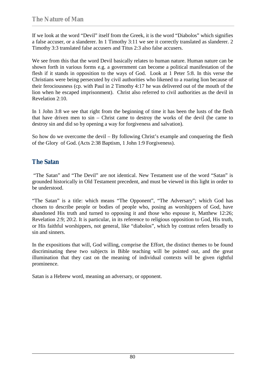If we look at the word "Devil" itself from the Greek, it is the word "Diabolos" which signifies a false accuser, or a slanderer. In 1 Timothy 3:11 we see it correctly translated as slanderer. 2 Timothy 3:3 translated false accusers and Titus 2:3 also false accusers.

We see from this that the word Devil basically relates to human nature. Human nature can be shown forth in various forms e.g. a government can become a political manifestation of the flesh if it stands in opposition to the ways of God. Look at 1 Peter 5:8. In this verse the Christians were being persecuted by civil authorities who likened to a roaring lion because of their ferociousness (cp. with Paul in 2 Timothy 4:17 he was delivered out of the mouth of the lion when he escaped imprisonment). Christ also referred to civil authorities as the devil in Revelation 2:10.

In 1 John 3:8 we see that right from the beginning of time it has been the lusts of the flesh that have driven men to sin – Christ came to destroy the works of the devil (he came to destroy sin and did so by opening a way for forgiveness and salvation).

So how do we overcome the devil – By following Christ's example and conquering the flesh of the Glory of God. (Acts 2:38 Baptism, 1 John 1:9 Forgiveness).

## **The Satan**

 "The Satan" and "The Devil" are not identical. New Testament use of the word "Satan" is grounded historically in Old Testament precedent, and must be viewed in this light in order to be understood.

"The Satan" is a title: which means "The Opponent", "The Adversary"; which God has chosen to describe people or bodies of people who, posing as worshippers of God, have abandoned His truth and turned to opposing it and those who espouse it, Matthew 12:26; Revelation 2:9; 20:2. It is particular, in its reference to religious opposition to God, His truth, or His faithful worshippers, not general, like "diabolos", which by contrast refers broadly to sin and sinners.

In the expositions that will, God willing, comprise the Effort, the distinct themes to be found discriminating these two subjects in Bible teaching will be pointed out, and the great illumination that they cast on the meaning of individual contexts will be given rightful prominence.

Satan is a Hebrew word, meaning an adversary, or opponent.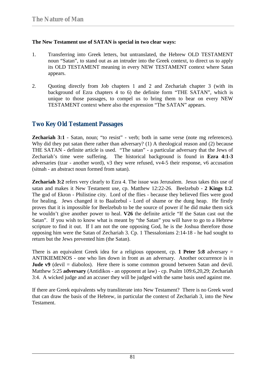#### **The New Testament use of SATAN is special in two clear ways:**

- 1. Transferring into Greek letters, but untranslated, the Hebrew OLD TESTAMENT noun "Satan", to stand out as an intruder into the Greek context, to direct us to apply its OLD TESTAMENT meaning in every NEW TESTAMENT context where Satan appears.
- 2. Quoting directly from Job chapters 1 and 2 and Zechariah chapter 3 (with its background of Ezra chapters 4 to 6) the definite form "THE SATAN", which is unique to those passages, to compel us to bring them to bear on every NEW TESTAMENT context where also the expression "The SATAN" appears.

### **Two Key Old Testament Passages**

**Zechariah 3:1** - Satan, noun; "to resist" - verb; both in same verse (note mg references). Why did they put satan there rather than adversary? (1) A theological reason and (2) because THE SATAN - definite article is used. "The satan" - a particular adversary that the Jews of Zechariah's time were suffering. The historical background is found in **Ezra 4:1-3** adversaries (tzar - another word), v3 they were refused, vv4-5 their response, v6 accusation (sitnah - an abstract noun formed from satan).

**Zechariah 3:2** refers very clearly to Ezra 4. The issue was Jerusalem. Jesus takes this use of satan and makes it New Testament use, cp. Matthew 12:22-26. Beelzebub - **2 Kings 1:2**. The god of Ekron - Philistine city. Lord of the flies - because they believed flies were good for healing. Jews changed it to Baalzebul - Lord of shame or the dung heap. He firstly proves that it is impossible for Beelzebub to be the source of power if he did make them sick he wouldn't give another power to heal. **V26** the definite article "If the Satan cast out the Satan". If you wish to know what is meant by "the Satan" you will have to go to a Hebrew scripture to find it out. If I am not the one opposing God, he is the Joshua therefore those opposing him were the Satan of Zechariah 3. Cp. 1 Thessalonians 2:14-18 - he had sought to return but the Jews prevented him (the Satan).

There is an equivalent Greek idea for a religious opponent, cp. **1 Peter 5:8** adversary  $=$ ANTIKIEMENOS - one who lies down in front as an adversary. Another occurrence is in **Jude v9** (devil = diabolos). Here there is some common ground between Satan and devil. Matthew 5:25 **adversary** (Antidikos - an opponent at law) - cp. Psalm 109:6,20,29; Zechariah 3:4. A wicked judge and an accuser they will be judged with the same basis used against me.

If there are Greek equivalents why transliterate into New Testament? There is no Greek word that can draw the basis of the Hebrew, in particular the context of Zechariah 3, into the New Testament.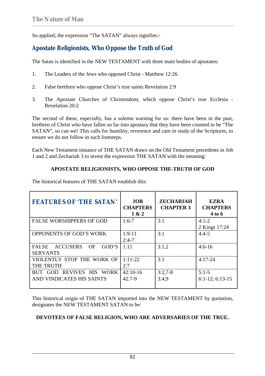So applied, the expression "The SATAN" always signifies:-

# **Apostate Religionists, Who Oppose the Truth of God**

The Satan is identified in the NEW TESTAMENT with three main bodies of apostates:

- 1. The Leaders of the Jews who opposed Christ Matthew 12:26
- 2. False brethren who oppose Christ's true saints Revelation 2:9
- 3. The Apostate Churches of Christendom, which oppose Christ's true Ecclesia Revelation 20:2

The second of these, especially, has a solemn warning for us: there have been in the past, brethren of Christ who have fallen so far into apostasy that they have been counted to be "The SATAN", so can we! This calls for humility, reverence and care in study of the Scriptures, to ensure we do not follow in such footsteps.

Each New Testament instance of THE SATAN draws on the Old Testament precedents in Job 1 and 2 and Zechariah 3 to invest the expression THE SATAN with the meaning:

### **APOSTATE RELIGIONISTS, WHO OPPOSE THE-TRUTH OF GOD**

| <b>FEATURES OF 'THE SATAN'</b>                                         | <b>JOB</b><br><b>CHAPTERS</b><br>1 & 2 | <b>ZECHARIAH</b><br><b>CHAPTER 3</b> | <b>EZRA</b><br><b>CHAPTERS</b><br>4 to 6 |
|------------------------------------------------------------------------|----------------------------------------|--------------------------------------|------------------------------------------|
| <b>FALSE WORSHIPPERS OF GOD</b>                                        | $1:6-7$                                | 3:1                                  | $4:1-2$<br>2 Kings 17:24                 |
| <b>OPPONENTS OF GOD'S WORK</b>                                         | $1:9-11$<br>$2:4-7$                    | 3:1                                  | $4:4-5$                                  |
| <b>ACCUSERS</b><br><b>FALSE</b><br>OF<br>GOD'S<br><b>SERVANTS</b>      | 1:11                                   | 3:1,2                                | $4:6-16$                                 |
| VIOLENTLY STOP THE WORK OF<br><b>THE TRUTH</b>                         | $1:11-22$<br>2:7                       | 3:1                                  | $4:17-24$                                |
| <b>GOD REVIVES HIS WORK</b><br><b>BUT</b><br>AND VINDICATES HIS SAINTS | $42:10-16$<br>$42:7-9$                 | $3:2,7-8$<br>3:4,9                   | $5:1-5$<br>$6:1-12$ ; $6:13-15$          |

The historical features of THE SATAN establish this:

This historical origin of THE SATAN imported into the NEW TESTAMENT by quotation, designates the NEW TESTAMENT SATAN to be:

#### **DEVOTEES OF FALSE RELIGION, WHO ARE ADVERSARIES OF THE TRUE.**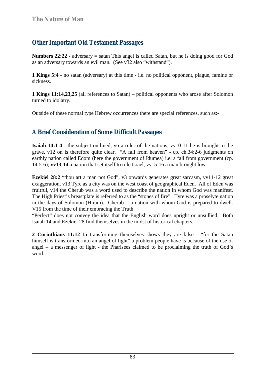## **Other Important Old Testament Passages**

**Numbers 22:22** - adversary = satan This angel is called Satan, but he is doing good for God as an adversary towards an evil man. (See v32 also "withstand").

**1 Kings 5:4** - no satan (adversary) at this time - i.e. no political opponent, plague, famine or sickness.

**1 Kings 11:14,23,25** (all references to Satan) – political opponents who arose after Solomon turned to idolatry.

Outside of these normal type Hebrew occurrences there are special references, such as:-

# **A Brief Consideration of Some Difficult Passages**

**Isaiah 14:1-4** - the subject outlined, v6 a ruler of the nations, vv10-11 he is brought to the grave, v12 on is therefore quite clear. "A fall from heaven" - cp. ch.34:2-6 judgments on earthly nation called Edom (here the government of Idumea) i.e. a fall from government (cp. 14:5-6); **vv13-14** a nation that set itself to rule Israel, vv15-16 a man brought low.

**Ezekiel 28:2** "thou art a man not God", v3 onwards generates great sarcasm, vv11-12 great exaggeration, v13 Tyre as a city was on the west coast of geographical Eden. All of Eden was fruitful, v14 the Cherub was a word used to describe the nation in whom God was manifest. The High Priest's breastplate is referred to as the "stones of fire". Tyre was a proselyte nation in the days of Solomon (Hiram). Cherub  $=$  a nation with whom God is prepared to dwell. V15 from the time of their embracing the Truth.

"Perfect" does not convey the idea that the English word does upright or unsullied. Both Isaiah 14 and Ezekiel 28 find themselves in the midst of historical chapters.

**2 Corinthians 11:12-15** transforming themselves shows they are false - "for the Satan himself is transformed into an angel of light" a problem people have is because of the use of angel – a messenger of light - the Pharisees claimed to be proclaiming the truth of God's word.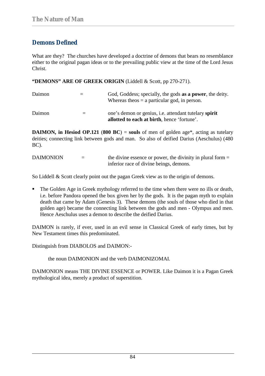## **Demons Defined**

What are they? The churches have developed a doctrine of demons that bears no resemblance either to the original pagan ideas or to the prevailing public view at the time of the Lord Jesus Christ.

**"DEMONS" ARE OF GREEK ORIGIN** (Liddell & Scott, pp 270-271).

| Daimon | God, Goddess; specially, the gods <b>as a power</b> , the deity.<br>Whereas theos $=$ a particular god, in person. |
|--------|--------------------------------------------------------------------------------------------------------------------|
| Daimon | one's demon or genius, <i>i.e.</i> attendant tutelary spirit<br>allotted to each at birth, hence 'fortune'.        |

**DAIMON, in Hesiod OP.121 (800 BC) = souls** of men of golden age<sup>\*</sup>, acting as tutelary deities; connecting link between gods and man. So also of deified Darius (Aeschulus) (480 BC).

| <b>DAIMONION</b> | = | the divine essence or power, the divinity in plural form $=$ |  |
|------------------|---|--------------------------------------------------------------|--|
|                  |   | inferior race of divine beings, demons.                      |  |

So Liddell & Scott clearly point out the pagan Greek view as to the origin of demons.

• The Golden Age in Greek mythology referred to the time when there were no ills or death, i.e. before Pandora opened the box given her by the gods. It is the pagan myth to explain death that came by Adam (Genesis 3). These demons (the souls of those who died in that golden age) became the connecting link between the gods and men - Olympus and men. Hence Aeschulus uses a demon to describe the deified Darius.

DAIMON is rarely, if ever, used in an evil sense in Classical Greek of early times, but by New Testament times this predominated.

Distinguish from DIABOLOS and DAIMON:-

the noun DAIMONION and the verb DAIMONIZOMAI.

DAIMONION means THE DIVINE ESSENCE or POWER. Like Daimon it is a Pagan Greek mythological idea, merely a product of superstition.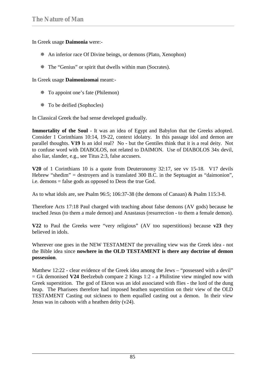In Greek usage **Daimonia** were:-

- ! An inferior race Of Divine beings, or demons (Plato, Xenophon)
- ! The "Genius" or spirit that dwells within man (Socrates).

In Greek usage **Daimonizomai** meant:-

- ! To appoint one's fate (Philemon)
- ! To be deified (Sophocles)

In Classical Greek the bad sense developed gradually.

**Immortality of the Soul** - It was an idea of Egypt and Babylon that the Greeks adopted. Consider 1 Corinthians 10:14, 19-22, context idolatry. In this passage idol and demon are parallel thoughts. **V19** Is an idol real? No - but the Gentiles think that it is a real deity. Not to confuse word with DIABOLOS, not related to DAIMON. Use of DIABOLOS 34x devil, also liar, slander, e.g., see Titus 2:3, false accusers.

**V20** of 1 Corinthians 10 is a quote from Deuteronomy 32:17, see vv 15-18. V17 devils Hebrew "shedim" = destroyers and is translated 300 B.C. in the Septuagint as "daimonion", i.e. demons = false gods as opposed to Deos the true God.

As to what idols are, see Psalm 96:5; 106:37-38 (the demons of Canaan) & Psalm 115:3-8.

Therefore Acts 17:18 Paul charged with teaching about false demons (AV gods) because he teached Jesus (to them a male demon) and Anastasus (resurrection - to them a female demon).

**V22** to Paul the Greeks were "very religious" (AV too superstitious) because **v23** they believed in idols.

Wherever one goes in the NEW TESTAMENT the prevailing view was the Greek idea - not the Bible idea since **nowhere in the OLD TESTAMENT is there any doctrine of demon possession**.

Matthew 12:22 - clear evidence of the Greek idea among the Jews – "possessed with a devil" = Gk demonised **V24** Beelzebub compare 2 Kings 1:2 - a Philistine view mingled now with Greek superstition. The god of Ekron was an idol associated with flies - the lord of the dung heap. The Pharisees therefore had imposed heathen superstition on their view of the OLD TESTAMENT Casting out sickness to them equalled casting out a demon. In their view Jesus was in cahoots with a heathen deity (v24).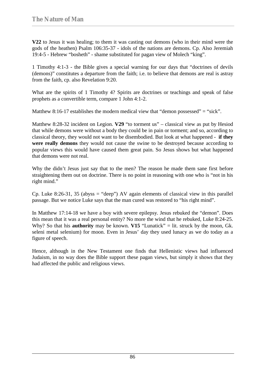**V22** to Jesus it was healing; to them it was casting out demons (who in their mind were the gods of the heathen) Psalm 106:35-37 - idols of the nations are demons. Cp. Also Jeremiah 19:4-5 - Hebrew "bosheth" - shame substituted for pagan view of Molech "king".

1 Timothy 4:1-3 - the Bible gives a special warning for our days that "doctrines of devils (demons)" constitutes a departure from the faith; i.e. to believe that demons are real is astray from the faith, cp. also Revelation 9:20.

What are the spirits of 1 Timothy 4? Spirits are doctrines or teachings and speak of false prophets as a convertible term, compare 1 John 4:1-2.

Matthew 8:16-17 establishes the modern medical view that "demon possessed" = "sick".

Matthew 8:28-32 incident on Legion. **V29** "to torment us" – classical view as put by Hesiod that while demons were without a body they could be in pain or torment; and so, according to classical theory, they would not want to be disembodied. But look at what happened - **if they were really demons** they would not cause the swine to be destroyed because according to popular views this would have caused them great pain. So Jesus shows but what happened that demons were not real.

Why the didn't Jesus just say that to the men? The reason he made them sane first before straightening them out on doctrine. There is no point in reasoning with one who is "not in his right mind."

Cp. Luke 8:26-31, 35 (abyss = "deep") AV again elements of classical view in this parallel passage. But we notice Luke says that the man cured was restored to "his right mind".

In Matthew 17:14-18 we have a boy with severe epilepsy. Jesus rebuked the "demon". Does this mean that it was a real personal entity? No more the wind that he rebuked, Luke 8:24-25. Why? So that his **authority** may be known. **V15** "Lunatick" = lit. struck by the moon, Gk. seleni metal selenium) for moon. Even in Jesus' day they used lunacy as we do today as a figure of speech.

Hence, although in the New Testament one finds that Hellenistic views had influenced Judaism, in no way does the Bible support these pagan views, but simply it shows that they had affected the public and religious views.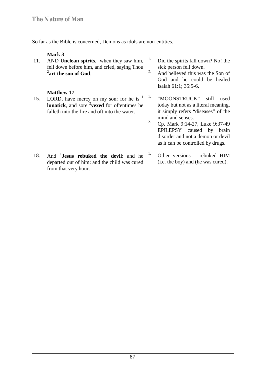So far as the Bible is concerned, Demons as idols are non-entities.

### **Mark 3**

11. AND **Unclean spirits**, <sup>1</sup> when they saw him, fell down before him, and cried, saying Thou 2 **art the son of God**.

### **Matthew 17**

- 15. LORD, have mercy on my son: for he is  $<sup>1</sup>$ </sup> **lunatick**, and sore <sup>2</sup>**vexed** for oftentimes he falleth into the fire and oft into the water. 1.
- 1. Did the spirits fall down? No! the sick person fell down.
- 2. And believed this was the Son of God and he could be healed Isaiah 61:1; 35:5-6.
	- "MOONSTRUCK" still used today but not as a literal meaning, it simply refers "diseases" of the mind and senses.
	- 2. Cp. Mark 9:14-27, Luke 9:37-49 EPILEPSY caused by brain disorder and not a demon or devil as it can be controlled by drugs.
- 18. And <sup>1</sup> **Jesus rebuked the devil**: and he departed out of him: and the child was cured from that very hour.
- 1. Other versions – rebuked HIM (i.e. the boy) and (he was cured).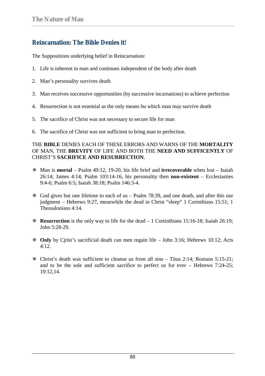## **Reincarnation: The Bible Denies it!**

The Suppositions underlying belief in Reincarnation:

- 1. Life is inherent in man and continues independent of the body after death
- 2. Man's personality survives death
- 3. Man receives successive opportunities (by successive incarnations) to achieve perfection
- 4. Resurrection is not essential as the only means bu which man may survive death
- 5. The sacrifice of Christ was not necessary to secure life for man
- 6. The sacrifice of Christ was not sufficient to bring man to perfection.

#### THE **BIBLE** DENIES EACH OF THESE ERRORS AND WARNS OF THE **MORTALITY** OF MAN, THE **BREVITY** OF LIFE AND BOTH THE **NEED AND SUFFICENTLY** OF CHRIST'S **SACRIFICE AND RESURRECTION**.

- ! Man is **mortal** Psalm 49:12, 19-20, his life brief and **irrecoverable** when lost Isaiah 26:14; James 4:14; Psalm 103:14-16, his personality then **non-existent** – Ecclesiasties 9:4-6; Psalm 6:5; Isaiah 38:18; Psalm 146:3-4.
- ! God gives but one lifetime to each of us Psalm 78:39, and one death, and after this our judgment – Hebrews 9:27, meanwhile the dead in Christ "sleep" 1 Corinthians 15:51; 1 Thessalonians 4:14.
- ! **Resurrection** is the only way to life for the dead 1 Cortinthians 15:16-18; Isaiah 26:19; John 5:28-29.
- ! **Only** by Cjrist's sacrificial death can men regain life John 3:16; Hebrews 10:12; Acts 4:12.
- ! Christ's death was sufficient to cleanse us from all sins Titus 2:14; Romans 5:15-21; and to be the sole and sufficient sacrifice to perfect us for ever – Hebrews 7:24-25; 10:12,14.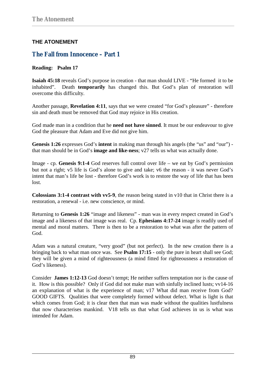### **THE ATONEMENT**

### **The Fall from Innocence – Part 1**

#### **Reading: Psalm 17**

**Isaiah 45:18** reveals God's purpose in creation - that man should LIVE - "He formed it to be inhabited". Death **temporarily** has changed this. But God's plan of restoration will overcome this difficulty.

Another passage, **Revelation 4:11**, says that we were created "for God's pleasure" - therefore sin and death must be removed that God may rejoice in His creation.

God made man in a condition that he **need not have sinned**. It must be our endeavour to give God the pleasure that Adam and Eve did not give him.

**Genesis 1:26** expresses God's **intent** in making man through his angels (the "us" and "our") that man should be in God's **image and like-ness**; v27 tells us what was actually done.

Image - cp. **Genesis 9:1-4** God reserves full control over life – we eat by God's permission but not a right; v5 life is God's alone to give and take; v6 the reason - it was never God's intent that man's life be lost - therefore God's work is to restore the way of life that has been lost.

**Colossians 3:1-4 contrast with vv5-9**, the reason being stated in v10 that in Christ there is a restoration, a renewal - i.e. new conscience, or mind.

Returning to **Genesis 1:26** "image and likeness" - man was in every respect created in God's image and a likeness of that image was real. Cp. **Ephesians 4:17-24** image is readily used of mental and moral matters. There is then to be a restoration to what was after the pattern of God.

Adam was a natural creature, "very good" (but not perfect). In the new creation there is a bringing back to what man once was. See **Psalm 17:15** - only the pure in heart shall see God; they will be given a mind of righteousness (a mind fitted for righteousness a restoration of God's likeness).

Consider **James 1:12-13** God doesn't tempt; He neither suffers temptation nor is the cause of it. How is this possible? Only if God did not make man with sinfully inclined lusts; vv14-16 an explanation of what is the experience of man; v17 What did man receive from God? GOOD GIFTS. Qualities that were completely formed without defect. What is light is that which comes from God; it is clear then that man was made without the qualities lustfulness that now characterises mankind. V18 tells us that what God achieves in us is what was intended for Adam.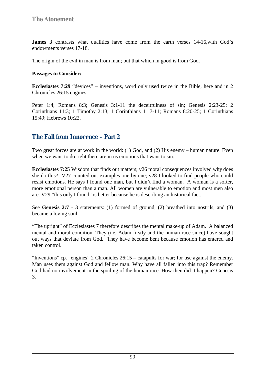**James 3** contrasts what qualities have come from the earth verses 14-16, with God's endowments verses 17-18.

The origin of the evil in man is from man; but that which in good is from God.

#### **Passages to Consider:**

**Ecclesiastes 7:29** "devices" – inventions, word only used twice in the Bible, here and in 2 Chronicles 26:15 engines.

Peter 1:4: Romans 8:3: Genesis 3:1-11 the deceitfulness of sin: Genesis 2:23-25: 2 Corinthians 11:3; 1 Timothy 2:13; 1 Corinthians 11:7-11; Romans 8:20-25; 1 Corinthians 15:49; Hebrews 10:22.

### **The Fall from Innocence – Part 2**

Two great forces are at work in the world: (1) God, and (2) His enemy – human nature. Even when we want to do right there are in us emotions that want to sin.

**Ecclesiastes 7:25** Wisdom that finds out matters; v26 moral consequences involved why does she do this? V27 counted out examples one by one; v28 I looked to find people who could resist emotions. He says I found one man, but I didn't find a woman. A woman is a softer, more emotional person than a man. All women are vulnerable to emotion and most men also are. V29 "this only I found" is better because he is describing an historical fact.

See **Genesis 2:7** - 3 statements: (1) formed of ground, (2) breathed into nostrils, and (3) became a loving soul.

"The upright" of Ecclesiastes 7 therefore describes the mental make-up of Adam. A balanced mental and moral condition. They (i.e. Adam firstly and the human race since) have sought out ways that deviate from God. They have become bent because emotion has entered and taken control.

"Inventions" cp. "engines" 2 Chronicles 26:15 – catapults for war; for use against the enemy. Man uses them against God and fellow man. Why have all fallen into this trap? Remember God had no involvement in the spoiling of the human race. How then did it happen? Genesis 3.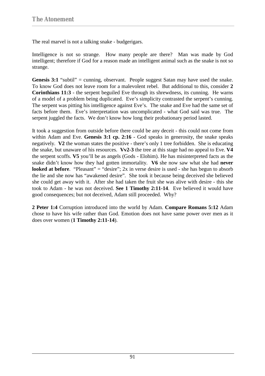The real marvel is not a talking snake - budgerigars.

Intelligence is not so strange. How many people are there? Man was made by God intelligent; therefore if God for a reason made an intelligent animal such as the snake is not so strange.

Genesis 3:1 "subtil" = cunning, observant. People suggest Satan may have used the snake. To know God does not leave room for a malevolent rebel. But additional to this, consider **2 Corinthians 11:3** - the serpent beguiled Eve through its shrewdness, its cunning. He warns of a model of a problem being duplicated. Eve's simplicity contrasted the serpent's cunning. The serpent was pitting his intelligence against Eve's. The snake and Eve had the same set of facts before them. Eve's interpretation was uncomplicated - what God said was true. The serpent juggled the facts. We don't know how long their probationary period lasted.

It took a suggestion from outside before there could be any deceit - this could not come from within Adam and Eve. **Genesis 3:1 cp. 2:16** - God speaks in generosity, the snake speaks negatively. **V2** the woman states the positive - there's only 1 tree forbidden. She is educating the snake, but unaware of his resources. **Vv2-3** the tree at this stage had no appeal to Eve. **V4** the serpent scoffs. **V5** you'll be as angels (Gods - Elohim). He has misinterpreted facts as the snake didn't know how they had gotten immortality. **V6** she now saw what she had **never looked at before.** "Pleasant" = "desire"; 2x in verse desire is used - she has begun to absorb the lie and she now has "awakened desire". She took it because being deceived she believed she could get away with it. After she had taken the fruit she was alive with desire - this she took to Adam - he was not deceived. **See 1 Timothy 2:11-14**. Eve believed it would have good consequences; but not deceived, Adam still proceeded. Why?

**2 Peter 1:4** Corruption introduced into the world by Adam. **Compare Romans 5:12** Adam chose to have his wife rather than God. Emotion does not have same power over men as it does over women (**1 Timothy 2:11-14**).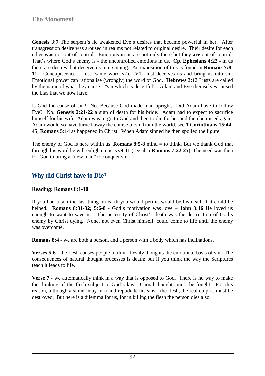**Genesis 3:7** The serpent's lie awakened Eve's desires that became powerful in her. After transgression desire was aroused in realms not related to original desire. Their desire for each other **was** not out of control. Emotions in us are not only there but they **are** out of control. That's where God's enemy is - the uncontrolled emotions in us. **Cp. Ephesians 4:22** - in us there are desires that deceive us into sinning. An exposition of this is found in **Romans 7:8- 11**. Concupiscence = lust (same word v7). V11 lust deceives us and bring us into sin. Emotional power can rationalise (wrongly) the word of God. **Hebrews 3:13** Lusts are called by the name of what they cause - "sin which is deceitful". Adam and Eve themselves caused the bias that we now have.

Is God the cause of sin? No. Because God made man upright. Did Adam have to follow Eve? No. **Genesis 2:21-22** a sign of death for his bride. Adam had to expect to sacrifice himself for his wife. Adam was to go to God and then to die for her and then be raised again. Adam would so have turned away the course of sin from the world, see **1 Corinthians 15:44- 45**; **Romans 5:14** as happened in Christ. When Adam sinned he then spoiled the figure.

The enemy of God is here within us. **Romans 8:5-8** mind = to think. But we thank God that through his word he will enlighten us, **vv9-11** (see also **Romans 7:22-25**). The need was then for God to bring a "new man" to conquer sin.

## **Why did Christ have to Die?**

### **Reading: Romans 8:1-10**

If you had a son the last thing on earth you would permit would be his death if it could be helped. **Romans 8:31-32; 5:6-8** - God's motivation was love – **John 3:16** He loved us enough to want to save us. The necessity of Christ's death was the destruction of God's enemy by Christ dying. None, not even Christ himself, could come to life until the enemy was overcome.

**Romans 8:4** - we are both a person, and a person with a body which has inclinations.

**Verses 5-6** - the flesh causes people to think fleshly thoughts the emotional basis of sin. The consequences of natural thought processes is death; but if you think the way the Scriptures teach it leads to life.

**Verse 7** - we automatically think in a way that is opposed to God. There is no way to make the thinking of the flesh subject to God's law. Carnal thoughts must be fought. For this reason, although a sinner may turn and repudiate his sins - the flesh, the real culprit, must be destroyed. But here is a dilemma for us, for in killing the flesh the person dies also.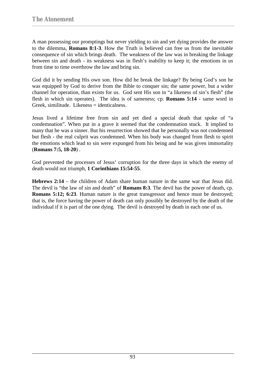A man possessing our promptings but never yielding to sin and yet dying provides the answer to the dilemma, **Romans 8:1-3**. How the Truth is believed can free us from the inevitable consequence of sin which brings death. The weakness of the law was in breaking the linkage between sin and death - its weakness was in flesh's inability to keep it; the emotions in us from time to time overthrow the law and bring sin.

God did it by sending His own son. How did he break the linkage? By being God's son he was equipped by God to derive from the Bible to conquer sin; the same power, but a wider channel for operation, than exists for us. God sent His son in "a likeness of sin's flesh" (the flesh in which sin operates). The idea is of sameness; cp. **Romans 5:14** - same word in Greek, similitude. Likeness = identicalness.

Jesus lived a lifetime free from sin and yet died a special death that spoke of "a condemnation". When put in a grave it seemed that the condemnation stuck. It implied to many that he was a sinner. But his resurrection showed that he personally was not condemned but flesh - the real culprit was condemned. When his body was changed from flesh to spirit the emotions which lead to sin were expunged from his being and he was given immortality (**Romans 7:5, 18-20**) .

God prevented the processes of Jesus' corruption for the three days in which the enemy of death would not triumph, **1 Corinthians 15:54-55**.

**Hebrews 2:14** – the children of Adam share human nature in the same war that Jesus did. The devil is "the law of sin and death" of **Romans 8:3**. The devil has the power of death, cp. **Romans 5:12; 6:23**. Human nature is the great transgressor and hence must be destroyed; that is, the force having the power of death can only possibly be destroyed by the death of the individual if it is part of the one dying. The devil is destroyed by death in each one of us.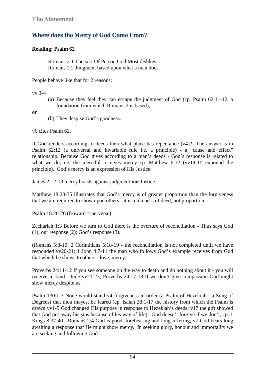## **Where does the Mercy of God Come From?**

### **Reading: Psalm 62**

Romans 2:1 The sort Of Person God Most dislikes. Romans 2:2 Judgment based upon what a man does.

People behave like that for 2 reasons:

vv 3-4

(a) Because they feel they can escape the judgment of God (cp. Psalm 62:11-12, a foundation from which Romans 2 is based);

**or** 

(b) They despise God's goodness.

v6 cites Psalm 62.

If God renders according to deeds then what place has repentance  $(v4)$ ? The answer is in Psalm 62:12 (a universal and invariable rule i.e. a principle) - a "cause and effect" relationship. Because God gives according to a man's deeds - God's response is related to what we do, i.e. the merciful receives mercy cp. Matthew 6:12 (vv14-15 expound the principle). God's mercy is an expression of His Justice.

James 2:12-13 mercy boasts against judgment **not** Justice.

Matthew 18:23-35 illustrates that God's mercy is of greater proportion than the forgiveness that we are required to show upon others - it is a likeness of deed, not proportion.

Psalm  $18:20-26$  (froward = perverse)

Zechariah 1:3 Before we turn to God there is the overture of reconciliation - Thus says God  $(1)$ ; our response  $(2)$ ; God's response  $(3)$ .

(Romans 5:8-10; 2 Corinthians 5:18-19 - the reconciliation is not completed until we have responded vv20-21; 1 John 4:7-11 the man who follows God's example receives from God that which he shows to others - love, mercy).

Proverbs 24:11-12 If you see someone on the way to death and do nothing about it - you will receive in kind. Jude vv21-23; Proverbs 24:17-18 If we don't give compassion God might show mercy despite us.

Psalm 130:1-3 None would stand v4 forgiveness in order (a Psalm of Hezekiah - a Song of Degrees) that thou mayest be feared (cp. Isaiah 38:1-17 the history from which the Psalm is drawn vv1-5 God changed His purpose in response to Hezekiah's deeds; v17 the gift showed that God put away his sins because of his way of life). God doesn't forgive if we don't, cp. 1 Kings 8:37-40. Romans 2:4 God is good, forebearing and longsuffering; v7 God bears long awaiting a response that He might show mercy. In seeking glory, honour and immortality we are seeking and following God.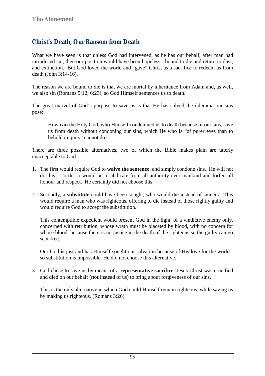### **Christ's Death, Our Ransom from Death**

What we have seen is that unless God had intervened, as he has our behalf, after man had introduced sin, then our position would have been hopeless - bound to die and return to dust, and extinction. But God loved the world and "gave" Christ as a sacrifice to redeem us from death (John 3:14-16).

The reason we are bound to die is that we are mortal by inheritance from Adam and, as well, we also sin (Romans 5:12; 6:23), so God Himself sentences us to death.

The great marvel of God's purpose to save us is that He has solved the dilemma our sins pose:

How **can** the Holy God, who Himself condemned us to death because of our sins, save us from death without condoning our sins, which He who is "of purer eyes than to behold iniquity" cannot do?

There are three possible alternatives, two of which the Bible makes plain are utterly unacceptable to God.

- 1. The first would require God to **waive the sentence**, and simply condone sins. He will not do this. To do so would be to abdicate from all authority over mankind and forfeit all honour and respect. He certainly did not choose this.
- 2. Secondly, a **substitute** could have been sought, who would die instead of sinners. This would require a man who was righteous, offering to die instead of those rightly guilty and would require God to accept the substitution.

This contemptible expedient would present God in the light, of a vindictive enemy only, concerned with retribution, whose wrath must be placated by blood, with no concern for whose blood; because there is no justice in the death of the righteous so the guilty can go scot-free.

Our God **is** just and has Himself sought our salvation because of His love for the world so substitution is impossible. He did not choose this alternative.

3. God chose to save us by means of a **representative sacrifice**. Jesus Christ was crucified and died on our behalf (**not** instead of us) to bring about forgiveness of our sins.

This is the only alternative in which God could Himself remain righteous, while saving us by making us righteous. (Romans 3:26)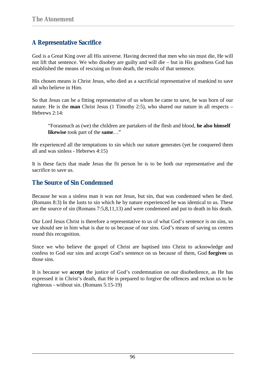# **A Representative Sacrifice**

God is a Great King over all His universe. Having decreed that men who sin must die, He will not lift that sentence. We who disobey are guilty and will die – but in His goodness God has established the means of rescuing us from death, the results of that sentence.

His chosen means is Christ Jesus, who died as a sacrificial representative of mankind to save all who believe in Him.

So that Jesus can be a fitting representative of us whom he came to save, he was born of our nature. He is the **man** Christ Jesus (1 Timothy 2:5), who shared our nature in all respects – Hebrews 2:14:

"Forasmuch as (we) the children are partakers of the flesh and blood, **he also himself likewise** took part of the **same**…"

He experienced all the temptations to sin which our nature generates (yet he conquered them all and was sinless - Hebrews 4:15)

It is these facts that made Jesus the fit person he is to be both our representative and the sacrifice to save us.

### **The Source of Sin Condemned**

Because he was a sinless man it was not Jesus, but sin, that was condemned when he died. (Romans 8:3) In the lusts to sin which he by nature experienced he was identical to us. These are the source of sin (Romans 7:5,8,11,13) and were condemned and put to death in his death.

Our Lord Jesus Christ is therefore a representative to us of what God's sentence is on sins, so we should see in him what is due to us because of our sins. God's means of saving us centres round this recognition.

Since we who believe the gospel of Christ are baptised into Christ to acknowledge and confess to God our sins and accept God's sentence on us because of them, God **forgives** us those sins.

It is because we **accept** the justice of God's condemnation on our disobedience, as He has expressed it in Christ's death, that He is prepared to forgive the offences and reckon us to be righteous - without sin. (Romans 5:15-19)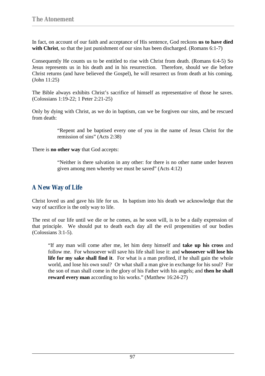In fact, on account of our faith and acceptance of His sentence, God reckons **us to have died with Christ**, so that the just punishment of our sins has been discharged. (Romans 6:1-7)

Consequently He counts us to be entitled to rise with Christ from death. (Romans 6:4-5) So Jesus represents us in his death and in his resurrection. Therefore, should we die before Christ returns (and have believed the Gospel), he will resurrect us from death at his coming. (John 11:25)

The Bible always exhibits Christ's sacrifice of himself as representative of those he saves. (Colossians 1:19-22; 1 Peter 2:21-25)

Only by dying with Christ, as we do in baptism, can we be forgiven our sins, and be rescued from death:

> "Repent and be baptised every one of you in the name of Jesus Christ for the remission of sins" (Acts 2:38)

There is **no other way** that God accepts:

"Neither is there salvation in any other: for there is no other name under heaven given among men whereby we must be saved" (Acts 4:12)

### **A New Way of Life**

Christ loved us and gave his life for us. In baptism into his death we acknowledge that the way of sacrifice is the only way to life.

The rest of our life until we die or he comes, as he soon will, is to be a daily expression of that principle. We should put to death each day all the evil propensities of our bodies (Colossians 3:1-5).

"If any man will come after me, let him deny himself and **take up his cross** and follow me. For whosoever will save his life shall lose it: and **whosoever will lose his life for my sake shall find it**. For what is a man profited, if he shall gain the whole world, and lose his own soul? Or what shall a man give in exchange for his soul? For the son of man shall come in the glory of his Father with his angels; and **then he shall reward every man** according to his works." (Matthew 16:24-27)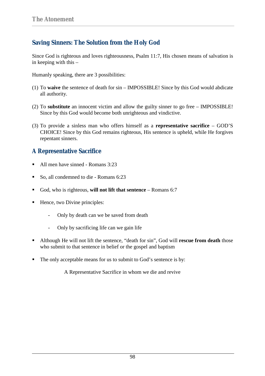# **Saving Sinners: The Solution from the Holy God**

Since God is righteous and loves righteousness, Psalm 11:7, His chosen means of salvation is in keeping with this –

Humanly speaking, there are 3 possibilities:

- (1) To **waive** the sentence of death for sin IMPOSSIBLE! Since by this God would abdicate all authority.
- (2) To **substitute** an innocent victim and allow the guilty sinner to go free IMPOSSIBLE! Since by this God would become both unrighteous and vindictive.
- (3) To provide a sinless man who offers himself as a **representative sacrifice** GOD'S CHOICE! Since by this God remains righteous, His sentence is upheld, while He forgives repentant sinners.

## **A Representative Sacrifice**

- All men have sinned Romans  $3:23$
- So, all condemned to die Romans 6:23
- \$ God, who is righteous, **will not lift that sentence** Romans 6:7
- $\blacksquare$  Hence, two Divine principles:
	- Only by death can we be saved from death
	- Only by sacrificing life can we gain life
- \$ Although He will not lift the sentence, "death for sin", God will **rescue from death** those who submit to that sentence in belief or the gospel and baptism
- $\blacksquare$  The only acceptable means for us to submit to God's sentence is by:

A Representative Sacrifice in whom we die and revive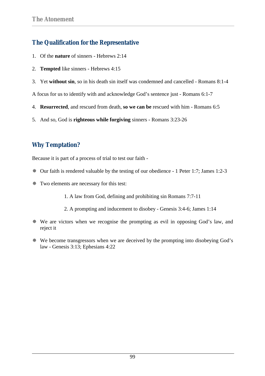## **The Qualification for the Representative**

- 1. Of the **nature** of sinners Hebrews 2:14
- 2. **Tempted** like sinners Hebrews 4:15
- 3. Yet **without sin**, so in his death sin itself was condemned and cancelled Romans 8:1-4

A focus for us to identify with and acknowledge God's sentence just - Romans 6:1-7

- 4. **Resurrected**, and rescued from death, **so we can be** rescued with him Romans 6:5
- 5. And so, God is **righteous while forgiving** sinners Romans 3:23-26

# **Why Temptation?**

Because it is part of a process of trial to test our faith -

- ! Our faith is rendered valuable by the testing of our obedience 1 Peter 1:7; James 1:2-3
- ! Two elements are necessary for this test:
	- 1. A law from God, defining and prohibiting sin Romans 7:7-11
	- 2. A prompting and inducement to disobey Genesis 3:4-6; James 1:14
- ! We are victors when we recognise the prompting as evil in opposing God's law, and reject it
- ! We become transgressors when we are deceived by the prompting into disobeying God's law - Genesis 3:13; Ephesians 4:22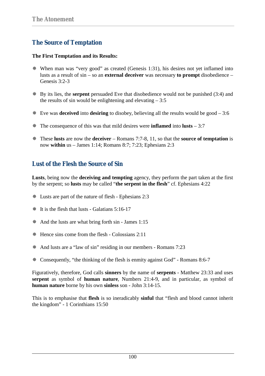## **The Source of Temptation**

#### **The First Temptation and its Results:**

- ! When man was "very good" as created (Genesis 1:31), his desires not yet inflamed into lusts as a result of sin – so an **external deceiver** was necessary **to prompt** disobedience – Genesis 3:2-3
- ! By its lies, the **serpent** persuaded Eve that disobedience would not be punished (3:4) and the results of sin would be enlightening and elevating  $-3:5$
- ! Eve was **deceived** into **desiring** to disobey, believing all the results would be good 3:6
- ! The consequence of this was that mild desires were **inflamed** into **lusts** 3:7
- ! These **lusts** are now the **deceiver** Romans 7:7-8, 11, so that the **source of temptation** is now **within** us – James 1:14; Romans 8:7; 7:23; Ephesians 2:3

# **Lust of the Flesh the Source of Sin**

**Lusts**, being now the **deceiving and tempting** agency, they perform the part taken at the first by the serpent; so **lusts** may be called "**the serpent in the flesh**" cf. Ephesians 4:22

- ! Lusts are part of the nature of flesh Ephesians 2:3
- $*$  It is the flesh that lusts Galatians 5:16-17
- ! And the lusts are what bring forth sin James 1:15
- ! Hence sins come from the flesh Colossians 2:11
- ! And lusts are a "law of sin" residing in our members Romans 7:23
- ! Consequently, "the thinking of the flesh is enmity against God" Romans 8:6-7

Figuratively, therefore, God calls **sinners** by the name of **serpents** - Matthew 23:33 and uses **serpent** as symbol of **human nature**, Numbers 21:4-9, and in particular, as symbol of **human nature** borne by his own **sinless** son - John 3:14-15.

This is to emphasise that **flesh** is so ineradicably **sinful** that "flesh and blood cannot inherit the kingdom" - 1 Corinthians 15:50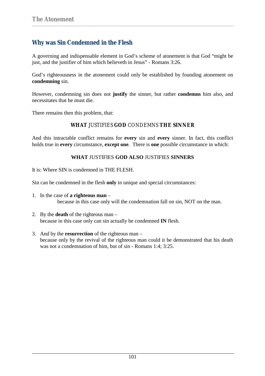### **Why was Sin Condemned in the Flesh**

A governing and indispensable element in God's scheme of atonement is that God "might be just, and the justifier of him which believeth in Jesus" - Romans 3:26.

God's righteousness in the atonement could only be established by founding atonement on **condemning** sin.

However, condemning sin does not **justify** the sinner, but rather **condemns** him also, and necessitates that he must die.

There remains then this problem, that:

#### **WHAT** JUSTIFIES **GOD** CONDEMNS **THE SINNER**

And this intractable conflict remains for **every** sin and **every** sinner. In fact, this conflict holds true in **every** circumstance, **except one**. There is **one** possible circumstance in which:

#### **WHAT** JUSTIFIES **GOD ALSO** JUSTIFIES **SINNERS**

It is: Where SIN is condemned in THE FLESH.

Sin can be condemned in the flesh **only** in unique and special circumstances:

- 1. In the case of **a righteous man** because in this case only will the condemnation fall on sin, NOT on the man.
- 2. By the **death** of the righteous man because in this case only can sin actually be condemned **IN** flesh.
- 3. And by the **resurrection** of the righteous man because only by the revival of the righteous man could it be demonstrated that his death was not a condemnation of him, but of sin - Romans 1:4; 3:25.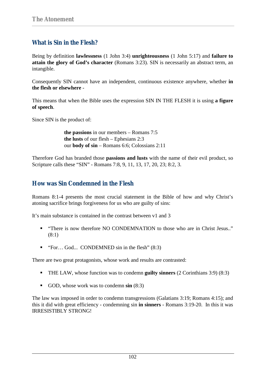## **What is Sin in the Flesh?**

Being by definition **lawlessness** (1 John 3:4) **unrighteousness** (1 John 5:17) and **failure to attain the glory of God's character** (Romans 3:23). SIN is necessarily an abstract term, an intangible.

Consequently SIN cannot have an independent, continuous existence anywhere, whether **in the flesh or elsewhere** -

This means that when the Bible uses the expression SIN IN THE FLESH it is using **a figure of speech**.

Since SIN is the product of:

**the passions** in our members – Romans 7:5 **the lusts** of our flesh – Ephesians 2:3 our **body of sin** – Romans 6:6; Colossians 2:11

Therefore God has branded those **passions and lusts** with the name of their evil product, so Scripture calls these "SIN" - Romans 7:8, 9, 11, 13, 17, 20, 23; 8:2, 3.

### **How was Sin Condemned in the Flesh**

Romans 8:1-4 presents the most crucial statement in the Bible of how and why Christ's atoning sacrifice brings forgiveness for us who are guilty of sins:

It's main substance is contained in the contrast between v1 and 3

- **\*** "There is now therefore NO CONDEMNATION to those who are in Christ Jesus.." (8:1)
- $\blacksquare$  "For... God... CONDEMNED sin in the flesh" (8:3)

There are two great protagonists, whose work and results are contrasted:

- \$ THE LAW, whose function was to condemn **guilty sinners** (2 Corinthians 3:9) (8:3)
- **GOD, whose work was to condemn sin** (8:3)

The law was imposed in order to condemn transgressions (Galatians 3:19; Romans 4:15); and this it did with great efficiency - condemning sin **in sinners** - Romans 3:19-20. In this it was IRRESISTIBLY STRONG!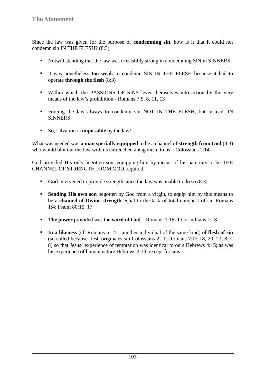Since the law was given for the purpose of **condemning sin**, how is it that it could not condemn sin IN THE FLESH? (8:3)

- Notwithstanding that the law was irresistibly strong in condemning SIN in SINNERS,
- \$ It was nonetheless **too weak** to condemn SIN IN THE FLESH because it had to operate **through the flesh** (8:3)
- **\*** Within which the PASSIONS OF SINS lever themselves into action by the very means of the law's prohibition - Romans 7:5, 8, 11, 13
- Forcing the law always to condemn sin NOT IN THE FLESH, but instead, IN SINNERS
- **So, salvation is impossible** by the law!

What was needed was **a man specially equipped** to be a channel of **strength from God** (8:3) who would blot out the law with its entrenched antagonism to us – Colossians 2:14.

God provided His only begotten son, equipping him by means of his paternity to be THE CHANNEL OF STRENGTH FROM GOD required.

- **God** intervened to provide strength since the law was unable to do so (8:3)
- **Sending His own son** begotten by God from a virgin, to equip him by this means to be a **channel of Divine strength** equal to the task of total conquest of sin Romans 1:4; Psalm 80:15, 17
- \$ **The power** provided was the **word of God** Romans 1:16; 1 Corinthians 1:18
- **In a likeness** (cf. Romans 5:14 another individual of the same kind) **of flesh of sin** (so called because flesh originates sin Colossians 2:11; Romans 7:17-18, 20, 23; 8:7- 8) so that Jesus' experience of temptation was identical to ours Hebrews 4:15; as was his experience of human nature Hebrews 2:14, except for sins.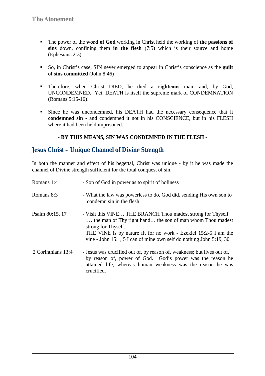- **The power of the word of God** working in Christ held the working of **the passions of sins** down, confining them **in the flesh** (7:5) which is their source and home (Ephesians 2:3)
- <sup>■</sup> So, in Christ's case, SIN never emerged to appear in Christ's conscience as the **guilt of sins committed** (John 8:46)
- **Therefore, when Christ DIED, he died a righteous** man, and, by God, UNCONDEMNED. Yet, DEATH is itself the supreme mark of CONDEMNATION (Romans 5:15-16)!
- **Since he was uncondemned, his DEATH had the necessary consequence that it condemned sin** - and condemned it not in his CONSCIENCE, but in his FLESH where it had been held imprisoned.

- **BY THIS MEANS, SIN WAS CONDEMNED IN THE FLESH** -

### **Jesus Christ – Unique Channel of Divine Strength**

In both the manner and effect of his begettal, Christ was unique - by it he was made the channel of Divine strength sufficient for the total conquest of sin.

| Romans 1:4         | - Son of God in power as to spirit of holiness                                                                                                                                                                                                                                            |
|--------------------|-------------------------------------------------------------------------------------------------------------------------------------------------------------------------------------------------------------------------------------------------------------------------------------------|
| Romans 8:3         | - What the law was powerless to do, God did, sending His own son to<br>condemn sin in the flesh                                                                                                                                                                                           |
| Psalm 80:15, 17    | - Visit this VINE THE BRANCH Thou madest strong for Thyself<br>the man of Thy right hand the son of man whom Thou madest<br>strong for Thyself.<br>THE VINE is by nature fit for no work - Ezekiel 15:2-5 I am the<br>vine - John 15:1, 5 I can of mine own self do nothing John 5:19, 30 |
| 2 Corinthians 13:4 | - Jesus was crucified out of, by reason of, weakness; but lives out of,<br>by reason of, power of God. God's power was the reason he<br>attained life, whereas human weakness was the reason he was<br>crucified.                                                                         |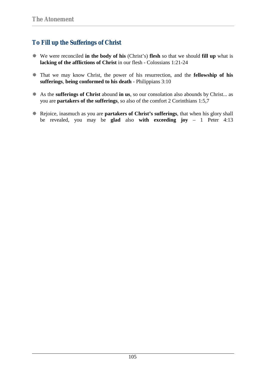# **To Fill up the Sufferings of Christ**

- ! We were reconciled **in the body of his** (Christ's) **flesh** so that we should **fill up** what is **lacking of the afflictions of Christ** in our flesh - Colossians 1:21-24
- ! That we may know Christ, the power of his resurrection, and the **fellowship of his sufferings**, **being conformed to his death** - Philippians 3:10
- ! As the **sufferings of Christ** abound **in us**, so our consolation also abounds by Christ... as you are **partakers of the sufferings**, so also of the comfort 2 Corinthians 1:5,7
- ! Rejoice, inasmuch as you are **partakers of Christ's sufferings**, that when his glory shall be revealed, you may be **glad** also **with exceeding joy** – 1 Peter 4:13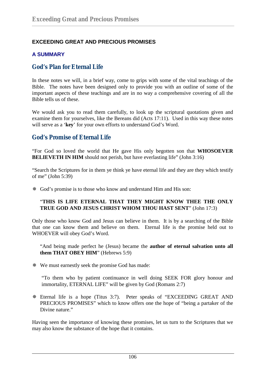#### **EXCEEDING GREAT AND PRECIOUS PROMISES**

#### **A SUMMARY**

## **God's Plan for Eternal Life**

In these notes we will, in a brief way, come to grips with some of the vital teachings of the Bible. The notes have been designed only to provide you with an outline of some of the important aspects of these teachings and are in no way a comprehensive covering of all the Bible tells us of these.

We would ask you to read them carefully, to look up the scriptural quotations given and examine them for yourselves, like the Bereans did (Acts 17:11). Used in this way these notes will serve as a '**key**' for your own efforts to understand God's Word.

#### **God's Promise of Eternal Life**

"For God so loved the world that He gave His only begotten son that **WHOSOEVER BELIEVETH IN HIM** should not perish, but have everlasting life" (John 3:16)

"Search the Scriptures for in them ye think ye have eternal life and they are they which testify of me" (John 5:39)

! God's promise is to those who know and understand Him and His son:

#### "**THIS IS LIFE ETERNAL THAT THEY MIGHT KNOW THEE THE ONLY TRUE GOD AND JESUS CHRIST WHOM THOU HAST SENT**" (John 17:3)

Only those who know God and Jesus can believe in them. It is by a searching of the Bible that one can know them and believe on them. Eternal life is the promise held out to WHOEVER will obey God's Word.

"And being made perfect he (Jesus) became the **author of eternal salvation unto all them THAT OBEY HIM**" (Hebrews 5:9)

! We must earnestly seek the promise God has made:

"To them who by patient continuance in well doing SEEK FOR glory honour and immortality, ETERNAL LIFE" will be given by God (Romans 2:7)

! Eternal life is a hope (Titus 3:7). Peter speaks of "EXCEEDING GREAT AND PRECIOUS PROMISES" which to know offers one the hope of "being a partaker of the Divine nature."

Having seen the importance of knowing these promises, let us turn to the Scriptures that we may also know the substance of the hope that it contains.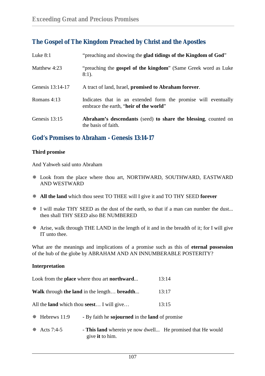# **The Gospel of The Kingdom Preached by Christ and the Apostles**

| Luke $8:1$       | "preaching and showing the <b>glad tidings of the Kingdom of God</b> "                                   |  |
|------------------|----------------------------------------------------------------------------------------------------------|--|
| Matthew 4:23     | "preaching the gospel of the kingdom" (Same Greek word as Luke<br>$8:1$ ).                               |  |
| Genesis 13:14-17 | A tract of land, Israel, promised to Abraham forever.                                                    |  |
| Romans $4:13$    | Indicates that in an extended form the promise will eventually<br>embrace the earth, "heir of the world" |  |
| Genesis 13:15    | Abraham's descendants (seed) to share the blessing, counted on<br>the basis of faith.                    |  |

## **God's Promises to Abraham - Genesis 13:14-17**

#### **Third promise**

And Yahweh said unto Abraham

- ! Look from the place where thou art, NORTHWARD, SOUTHWARD, EASTWARD AND WESTWARD
- ! **All the land** which thou seest TO THEE will I give it and TO THY SEED **forever**
- ! I will make THY SEED as the dust of the earth, so that if a man can number the dust... then shall THY SEED also BE NUMBERED
- ! Arise, walk through THE LAND in the length of it and in the breadth of it; for I will give IT unto thee.

What are the meanings and implications of a promise such as this of **eternal possession** of the hub of the globe by ABRAHAM AND AN INNUMBERABLE POSTERITY?

#### **Interpretation**

| Look from the <b>place</b> where thou art <b>northward</b> | 13:14 |
|------------------------------------------------------------|-------|
| Walk through the land in the length breadth                | 13:17 |
| All the <b>land</b> which thou <b>seest</b> I will give    | 13:15 |

- ! Hebrews 11:9 By faith he **sojourned** in the **land** of promise
- \* Acts 7:4-5 This land wherein ye now dwell... He promised that He would give **it** to him.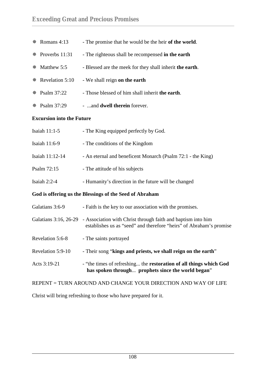|                | * Romans 4:13                                                  | - The promise that he would be the heir of the world.                                                                                                     |  |  |
|----------------|----------------------------------------------------------------|-----------------------------------------------------------------------------------------------------------------------------------------------------------|--|--|
|                | * Proverbs 11:31                                               | - The righteous shall be recompensed in the earth                                                                                                         |  |  |
| 榮              | Matthew 5:5                                                    | - Blessed are the meek for they shall inherit the earth.                                                                                                  |  |  |
|                | <b>*</b> Revelation 5:10                                       | - We shall reign on the earth                                                                                                                             |  |  |
|                | ※ Psalm 37:22                                                  | - Those blessed of him shall inherit the earth.                                                                                                           |  |  |
|                | ※ Psalm 37:29                                                  | -  and <b>dwell therein</b> forever.                                                                                                                      |  |  |
|                | <b>Excursion into the Future</b>                               |                                                                                                                                                           |  |  |
|                | Isaiah $11:1-5$                                                | - The King equipped perfectly by God.                                                                                                                     |  |  |
|                | Isaiah 11:6-9                                                  | - The conditions of the Kingdom                                                                                                                           |  |  |
|                | Isaiah 11:12-14                                                | - An eternal and beneficent Monarch (Psalm 72:1 - the King)                                                                                               |  |  |
|                | Psalm 72:15                                                    | - The attitude of his subjects                                                                                                                            |  |  |
| Isaiah $2:2-4$ |                                                                | - Humanity's direction in the future will be changed                                                                                                      |  |  |
|                |                                                                | God is offering us the Blessings of the Seed of Abraham                                                                                                   |  |  |
|                | Galatians 3:6-9                                                | - Faith is the key to our association with the promises.                                                                                                  |  |  |
|                |                                                                | Galatians 3:16, 26-29 - Association with Christ through faith and baptism into him<br>establishes us as "seed" and therefore "heirs" of Abraham's promise |  |  |
|                | Revelation 5:6-8                                               | - The saints portrayed                                                                                                                                    |  |  |
|                | Revelation 5:9-10                                              | - Their song "kings and priests, we shall reign on the earth"                                                                                             |  |  |
|                | Acts 3:19-21                                                   | - "the times of refreshing the <b>restoration of all things which God</b><br>has spoken through prophets since the world began"                           |  |  |
|                | REPENT = TURN AROUND AND CHANGE YOUR DIRECTION AND WAY OF LIFE |                                                                                                                                                           |  |  |

Christ will bring refreshing to those who have prepared for it.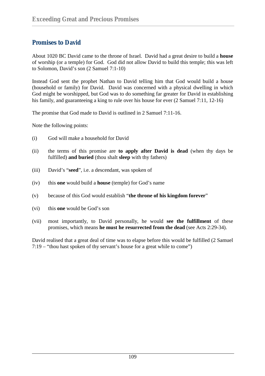# **Promises to David**

About 1020 BC David came to the throne of Israel. David had a great desire to build a **house** of worship (or a temple) for God. God did not allow David to build this temple; this was left to Solomon, David's son (2 Samuel 7:1-10)

Instead God sent the prophet Nathan to David telling him that God would build a house (household or family) for David. David was concerned with a physical dwelling in which God might be worshipped, but God was to do something far greater for David in establishing his family, and guaranteeing a king to rule over his house for ever  $(2 \text{ Samuel } 7:11, 12-16)$ 

The promise that God made to David is outlined in 2 Samuel 7:11-16.

Note the following points:

- (i) God will make a household for David
- (ii) the terms of this promise are **to apply after David is dead** (when thy days be fulfilled) **and buried** (thou shalt **sleep** with thy fathers)
- (iii) David's "**seed**", i.e. a descendant, was spoken of
- (iv) this **one** would build a **house** (temple) for God's name
- (v) because of this God would establish "**the throne of his kingdom forever**"
- (vi) this **one** would be God's son
- (vii) most importantly, to David personally, he would **see the fulfillment** of these promises, which means **he must he resurrected from the dead** (see Acts 2:29-34).

David realised that a great deal of time was to elapse before this would be fulfilled (2 Samuel 7:19 – "thou hast spoken of thy servant's house for a great while to come")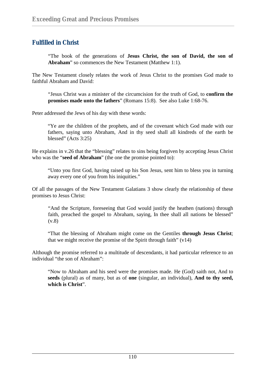# **Fulfilled in Christ**

"The book of the generations of **Jesus Christ, the son of David, the son of Abraham**" so commences the New Testament (Matthew 1:1).

The New Testament closely relates the work of Jesus Christ to the promises God made to faithful Abraham and David:

"Jesus Christ was a minister of the circumcision for the truth of God, to **confirm the promises made unto the fathers**" (Romans 15:8). See also Luke 1:68-76.

Peter addressed the Jews of his day with these words:

"Ye are the children of the prophets, and of the covenant which God made with our fathers, saying unto Abraham, And in thy seed shall all kindreds of the earth be blessed" (Acts 3:25)

He explains in v.26 that the "blessing" relates to sins being forgiven by accepting Jesus Christ who was the "**seed of Abraham**" (the one the promise pointed to):

"Unto you first God, having raised up his Son Jesus, sent him to bless you in turning away every one of you from his iniquities."

Of all the passages of the New Testament Galatians 3 show clearly the relationship of these promises to Jesus Christ:

"And the Scripture, foreseeing that God would justify the heathen (nations) through faith, preached the gospel to Abraham, saying, In thee shall all nations be blessed" (v.8)

"That the blessing of Abraham might come on the Gentiles **through Jesus Christ**; that we might receive the promise of the Spirit through faith"  $(v14)$ 

Although the promise referred to a multitude of descendants, it had particular reference to an individual "the son of Abraham":

"Now to Abraham and his seed were the promises made. He (God) saith not, And to **seeds** (plural) as of many, but as of **one** (singular, an individual), **And to thy seed, which is Christ**".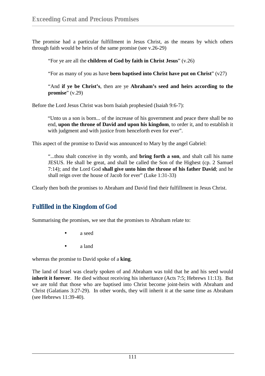The promise had a particular fulfillment in Jesus Christ, as the means by which others through faith would be heirs of the same promise (see v.26-29)

"For ye are all the **children of God by faith in Christ Jesus**" (v.26)

"For as many of you as have **been baptised into Christ have put on Christ**" (v27)

"And **if ye be Christ's**, then are ye **Abraham's seed and heirs according to the promise**" (v.29)

Before the Lord Jesus Christ was born Isaiah prophesied (Isaiah 9:6-7):

"Unto us a son is born... of the increase of his government and peace there shall be no end, **upon the throne of David and upon his kingdom**, to order it, and to establish it with judgment and with justice from henceforth even for ever".

This aspect of the promise to David was announced to Mary by the angel Gabriel:

"...thou shalt conceive in thy womb, and **bring forth a son**, and shalt call his name JESUS. He shall be great, and shall be called the Son of the Highest (cp. 2 Samuel 7:14); and the Lord God **shall give unto him the throne of his father David**; and he shall reign over the house of Jacob for ever" (Luke 1:31-33)

Clearly then both the promises to Abraham and David find their fulfillment in Jesus Christ.

# **Fulfilled in the Kingdom of God**

Summarising the promises, we see that the promises to Abraham relate to:

- a seed
- a land

whereas the promise to David spoke of a **king**.

The land of Israel was clearly spoken of and Abraham was told that he and his seed would **inherit it forever**. He died without receiving his inheritance (Acts 7:5; Hebrews 11:13). But we are told that those who are baptised into Christ become joint-heirs with Abraham and Christ (Galatians 3:27-29). In other words, they will inherit it at the same time as Abraham (see Hebrews 11:39-40).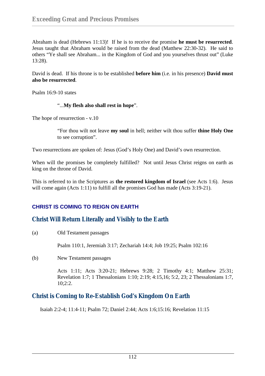Abraham is dead (Hebrews 11:13)! If he is to receive the promise **he must be resurrected**. Jesus taught that Abraham would be raised from the dead (Matthew 22:30-32). He said to others "Ye shall see Abraham... in the Kingdom of God and you yourselves thrust out" (Luke 13:28).

David is dead. If his throne is to be established **before him** (i.e. in his presence) **David must also be resurrected**.

Psalm 16:9-10 states

#### "...**My flesh also shall rest in hope**".

The hope of resurrection - v.10

"For thou wilt not leave **my soul** in hell; neither wilt thou suffer **thine Holy One** to see corruption".

Two resurrections are spoken of: Jesus (God's Holy One) and David's own resurrection.

When will the promises be completely fulfilled? Not until Jesus Christ reigns on earth as king on the throne of David.

This is referred to in the Scriptures as **the restored kingdom of Israel** (see Acts 1:6). Jesus will come again (Acts 1:11) to fulfill all the promises God has made (Acts 3:19-21).

#### **CHRIST IS COMING TO REIGN ON EARTH**

## **Christ Will Return Literally and Visibly to the Earth**

(a) Old Testament passages

Psalm 110:1, Jeremiah 3:17; Zechariah 14:4; Job 19:25; Psalm 102:16

(b) New Testament passages

Acts 1:11; Acts 3:20-21; Hebrews 9:28; 2 Timothy 4:1; Matthew 25:31; Revelation 1:7; 1 Thessalonians 1:10; 2:19; 4:15,16; 5:2, 23; 2 Thessalonians 1:7, 10;2:2.

## **Christ is Coming to Re-Establish God's Kingdom On Earth**

Isaiah 2:2-4; 11:4-11; Psalm 72; Daniel 2:44; Acts 1:6;15:16; Revelation 11:15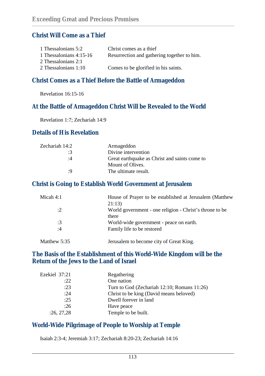## **Christ Will Come as a Thief**

| 1 Thessalonians 5:2     | Christ comes as a thief                     |
|-------------------------|---------------------------------------------|
| 1 Thessalonians 4:15-16 | Resurrection and gathering together to him. |
| 2 Thessalonians 2:1     |                                             |
| 2 Thessalonians 1:10    | Comes to be glorified in his saints.        |
|                         |                                             |

## **Christ Comes as a Thief Before the Battle of Armageddon**

Revelation 16:15-16

## **At the Battle of Armageddon Christ Will be Revealed to the World**

Revelation 1:7; Zechariah 14:9

#### **Details of His Revelation**

| Zechariah 14:2 | Armageddon                                    |
|----------------|-----------------------------------------------|
| :3             | Divine intervention                           |
| $\cdot$ 4      | Great earthquake as Christ and saints come to |
|                | Mount of Olives.                              |
| ٠Q             | The ultimate result.                          |
|                |                                               |

#### **Christ is Going to Establish World Government at Jerusalem**

| Micah $4:1$  | House of Prayer to be established at Jerusalem (Matthew           |
|--------------|-------------------------------------------------------------------|
| :2           | 21:13)<br>World government - one religion - Christ's throne to be |
|              | there                                                             |
| :3           | World-wide government - peace on earth.                           |
| :4           | Family life to be restored                                        |
| Matthew 5:35 | Jerusalem to become city of Great King.                           |

#### **The Basis of the Establishment of this World-Wide Kingdom will be the Return of the Jews to the Land of Israel**

| Ezekiel 37:21 | Regathering                                 |
|---------------|---------------------------------------------|
| :22           | One nation                                  |
| :23           | Turn to God (Zechariah 12:10; Romans 11:26) |
| :24           | Christ to be king (David means beloved)     |
| :25           | Dwell forever in land                       |
| :26           | Have peace                                  |
| :26, 27, 28   | Temple to be built.                         |

## **World-Wide Pilgrimage of People to Worship at Temple**

Isaiah 2:3-4; Jeremiah 3:17; Zechariah 8:20-23; Zechariah 14:16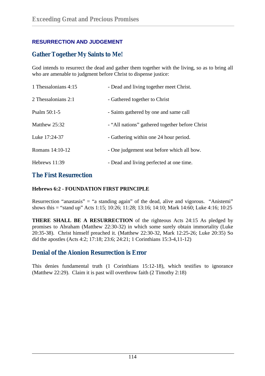### **RESURRECTION AND JUDGEMENT**

## **Gather Together My Saints to Me!**

God intends to resurrect the dead and gather them together with the living, so as to bring all who are amenable to judgment before Christ to dispense justice:

| 1 Thessalonians 4:15 | - Dead and living together meet Christ.         |
|----------------------|-------------------------------------------------|
| 2 Thessalonians 2:1  | - Gathered together to Christ                   |
| Psalm $50:1-5$       | - Saints gathered by one and same call          |
| Matthew 25:32        | - "All nations" gathered together before Christ |
| Luke 17:24-37        | - Gathering within one 24 hour period.          |
| Romans 14:10-12      | - One judgement seat before which all bow.      |
| Hebrews 11:39        | - Dead and living perfected at one time.        |

## **The First Resurrection**

#### **Hebrews 6:2 - FOUNDATION FIRST PRINCIPLE**

Resurrection "anastasis" = "a standing again" of the dead, alive and vigorous. "Anistemi" shows this = "stand up" Acts 1:15; 10:26; 11:28; 13:16; 14:10; Mark 14:60; Luke 4:16; 10:25

**THERE SHALL BE A RESURRECTION** of the righteous Acts 24:15 As pledged by promises to Abraham (Matthew 22:30-32) in which some surely obtain immortality (Luke 20:35-38). Christ himself preached it. (Matthew 22:30-32, Mark 12:25-26; Luke 20:35) So did the apostles (Acts 4:2; 17:18; 23:6; 24:21; 1 Corinthians 15:3-4,11-12)

## **Denial of the Aionion Resurrection is Error**

This denies fundamental truth (1 Corinthians 15:12-18), which testifies to ignorance (Matthew 22:29). Claim it is past will overthrow faith (2 Timothy 2:18)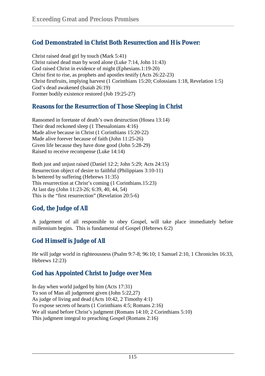# **God Demonstrated in Christ Both Resurrection and His Power:**

Christ raised dead girl by touch (Mark 5:41) Christ raised dead man by word alone (Luke 7:14, John 11:43) God raised Christ in evidence of might (Ephesians.1:19-20) Christ first to rise, as prophets and apostles testify (Acts 26:22-23) Christ firstfruits, implying harvest (1 Corinthians 15:20; Colossians 1:18, Revelation 1:5) God's dead awakened (Isaiah 26:19) Former bodily existence restored (Job 19:25-27)

# **Reasons for the Resurrection of Those Sleeping in Christ**

Ransomed in foretaste of death's own destruction (Hosea 13:14) Their dead reckoned sleep (1 Thessalonians 4:16) Made alive because in Christ (1 Corinthians 15:20-22) Made alive forever because of faith (John 11:25-26) Given life because they have done good (John 5:28-29) Raised to receive recompense (Luke 14:14)

Both just and unjust raised (Daniel 12:2; John 5:29; Acts 24:15) Resurrection object of desire to faithful (Philippians 3:10-11) Is bettered by suffering (Hebrews 11:35) This resurrection at Christ's coming (1 Corinthians.15:23) At last day (John 11:23-26; 6:39, 40, 44, 54) This is the "first resurrection" (Revelation 20:5-6)

# **God, the Judge of All**

A judgement of all responsible to obey Gospel, will take place immediately before millennium begins. This is fundamental of Gospel (Hebrews 6:2)

# **God Himself is Judge of All**

He will judge world in righteousness (Psalm 9:7-8; 96:10; 1 Samuel 2:10, 1 Chronicles 16:33, Hebrews 12:23)

# **God has Appointed Christ to Judge over Men**

In day when world judged by him (Acts 17:31) To son of Man all judgement given (John 5:22,27) As judge of living and dead (Acts 10:42, 2 Timothy 4:1) To expose secrets of hearts (1 Corinthians 4:5; Romans 2:16) We all stand before Christ's judgment (Romans 14:10; 2 Corinthians 5:10) This judgment integral to preaching Gospel (Romans 2:16)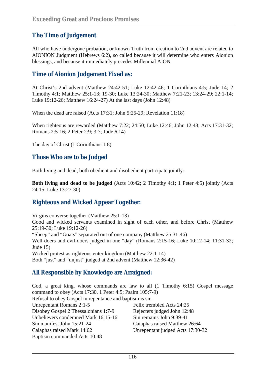## **The Time of Judgement**

All who have undergone probation, or known Truth from creation to 2nd advent are related to AIONION Judgment (Hebrews 6:2), so called because it will determine who enters Aionion blessings, and because it immediately precedes Millennial AION.

## **Time of Aionion Judgement Fixed as:**

At Christ's 2nd advent (Matthew 24:42-51; Luke 12:42-46; 1 Corinthians 4:5; Jude 14; 2 Timothy 4:1; Matthew 25:1-13; 19-30; Luke 13:24-30; Matthew 7:21-23; 13:24-29; 22:1-14; Luke 19:12-26; Matthew 16:24-27) At the last days (John 12:48)

When the dead are raised (Acts 17:31; John 5:25-29; Revelation 11:18)

When righteous are rewarded (Matthew 7:22; 24:50; Luke 12:46; John 12:48; Acts 17:31-32; Romans 2:5-16; 2 Peter 2:9; 3:7; Jude 6,14)

The day of Christ (1 Corinthians 1:8)

## **Those Who are to be Judged**

Both living and dead, both obedient and disobedient participate jointly:-

**Both living and dead to be judged** (Acts 10:42; 2 Timothy 4:1; 1 Peter 4:5) jointly (Acts 24:15; Luke 13:27-30)

# **Righteous and Wicked Appear Together:**

Virgins converse together (Matthew 25:1-13) Good and wicked servants examined in sight of each other, and before Christ (Matthew 25:19-30; Luke 19:12-26) "Sheep" and "Goats" separated out of one company (Matthew 25:31-46) Well-doers and evil-doers judged in one "day" (Romans 2:15-16; Luke 10:12-14; 11:31-32; Jude 15) Wicked protest as righteous enter kingdom (Matthew 22:1-14) Both "just" and "unjust" judged at 2nd advent (Matthew 12:36-42)

## **All Responsible by Knowledge are Arraigned:**

God, a great king, whose commands are law to all (1 Timothy 6:15) Gospel message command to obey (Acts 17:30, 1 Peter 4:5; Psalm 105:7-9) Refusal to obey Gospel in repentance and baptism is sin-Unrepentant Romans 2:1-5 Felix trembled Acts 24:25 Disobey Gospel 2 Thessalonians 1:7-9 Rejecters judged John 12:48 Unbelievers condemned Mark 16:15-16 Sin remains John 9:39-41 Sin manifest John 15:21-24 Caiaphas raised Matthew 26:64 Caiaphas raised Mark 14:62 Unrepentant judged Acts 17:30-32 Baptism commanded Acts 10:48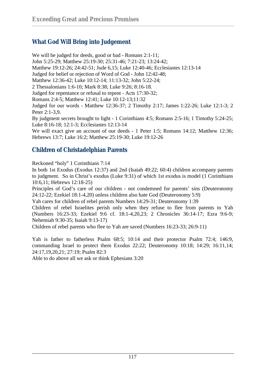# **What God Will Bring into Judgement**

We will be judged for deeds, good or bad - Romans 2:1-11; John 5:25-29; Matthew 25:19-30; 25:31-46; 7:21-23; 13:24-42; Matthew 19:12-26; 24:42-51; Jude 6,15; Luke 12:40-46; Ecclesiastes 12:13-14 Judged for belief or rejection of Word of God - John 12:42-48; Matthew 12:36-42; Luke 10:12-14; 11:13-32; John 5:22-24; 2 Thessalonians 1:6-10; Mark 8:38; Luke 9:26; 8:16-18. Judged for repentance or refusal to repent - Acts 17:30-32; Romans 2:4-5; Matthew 12:41; Luke 10:12-13;11:32 Judged for our words - Matthew 12:36-37; 2 Timothy 2:17; James 1:22-26; Luke 12:1-3; 2 Peter 2:1-3,9. By judgment secrets brought to light - 1 Corinthians 4:5; Romans 2:5-16; 1 Timothy 5:24-25; Luke 8:16-18; 12:1-3; Ecclesiastes 12:13-14 We will exact give an account of our deeds - 1 Peter 1:5; Romans 14:12; Matthew 12:36; Hebrews 13:7; Luke 16:2; Matthew 25:19-30; Luke 19:12-26

## **Children of Christadelphian Parents**

Reckoned "holy" 1 Corinthians 7:14

In both 1st Exodus (Exodus 12:37) and 2nd (Isaiah 49:22; 60:4) children accompany parents to judgment. So in Christ's exodus (Luke 9:31) of which 1st exodus is model (1 Corinthians 10:6,11; Hebrews 12:18-25)

Principles of God's care of our children - not condemned for parents' sins (Deuteronomy 24:12-22; Ezekiel 18:1-4,20) unless children also hate God (Deuteronomy 5:9)

Yah cares for children of rebel parents Numbers 14:29-31; Deuteronomy 1:39

Children of rebel Israelites perish only when they refuse to flee from parents to Yah (Numbers 16:23-33; Ezekiel 9:6 cf. 18:1-4,20,23; 2 Chronicles 36:14-17; Ezra 9:6-9; Nehemiah 9:30-35; Isaiah 9:13-17)

Children of rebel parents who flee to Yah are saved (Numbers 16:23-33; 26:9-11)

Yah is father to fatherless Psalm 68:5; 10:14 and their protector Psalm 72:4; 146:9, commanding Israel to protect them Exodus 22:22; Deuteronomy 10:18; 14:29; 16:11,14; 24:17,19,20,21; 27:19; Psalm 82:3

Able to do above all we ask or think Ephesians 3:20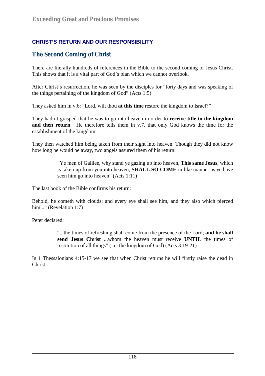## **CHRIST'S RETURN AND OUR RESPONSIBILITY**

# **The Second Coming of Christ**

There are literally hundreds of references in the Bible to the second coming of Jesus Christ. This shows that it is a vital part of God's plan which we cannot overlook.

After Christ's resurrection, he was seen by the disciples for "forty days and was speaking of the things pertaining of the kingdom of God" (Acts 1:5)

They asked him in v.6: "Lord, wilt thou **at this time** restore the kingdom to Israel?"

They hadn't grasped that he was to go into heaven in order to **receive title to the kingdom and then return**. He therefore tells them in v.7. that only God knows the time for the establishment of the kingdom.

They then watched him being taken from their sight into heaven. Though they did not know how long he would be away, two angels assured them of his return:

> "Ye men of Galilee, why stand ye gazing up into heaven, **This same Jesus**, which is taken up from you into heaven, **SHALL SO COME** in like manner as ye have seen him go into heaven" (Acts 1:11)

The last book of the Bible confirms his return:

Behold, he cometh with clouds; and every eye shall see him, and they also which pierced him..." (Revelation 1:7)

Peter declared:

"...the times of refreshing shall come from the presence of the Lord; **and he shall send Jesus Christ** ...whom the heaven must receive **UNTIL** the times of restitution of all things" (i.e. the kingdom of God) (Acts 3:19-21)

In 1 Thessalonians 4:15-17 we see that when Christ returns he will firstly raise the dead in Christ.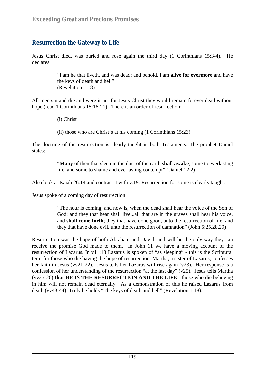## **Resurrection the Gateway to Life**

Jesus Christ died, was buried and rose again the third day (1 Corinthians 15:3-4). He declares:

> "I am he that liveth, and was dead; and behold, I am **alive for evermore** and have the keys of death and hell" (Revelation 1:18)

All men sin and die and were it not for Jesus Christ they would remain forever dead without hope (read 1 Corinthians 15:16-21). There is an order of resurrection:

- (i) Christ
- (ii) those who are Christ's at his coming (1 Corinthians 15:23)

The doctrine of the resurrection is clearly taught in both Testaments. The prophet Daniel states:

> "**Many** of then that sleep in the dust of the earth **shall awake**, some to everlasting life, and some to shame and everlasting contempt" (Daniel 12:2)

Also look at Isaiah 26:14 and contrast it with v.19. Resurrection for some is clearly taught.

Jesus spoke of a coming day of resurrection:

"The hour is coming, and now is, when the dead shall hear the voice of the Son of God; and they that hear shall live...all that are in the graves shall hear his voice, and **shall come forth**; they that have done good, unto the resurrection of life; and they that have done evil, unto the resurrection of damnation" (John 5:25,28,29)

Resurrection was the hope of both Abraham and David, and will be the only way they can receive the promise God made to them. In John 11 we have a moving account of the resurrection of Lazarus. In v11;13 Lazarus is spoken of "as sleeping" - this is the Scriptural term for those who die having the hope of resurrection. Martha, a sister of Lazarus, confesses her faith in Jesus (vv21-22). Jesus tells her Lazarus will rise again (v23). Her response is a confession of her understanding of the resurrection "at the last day" (v25). Jesus tells Martha (vv25-26) **that HE IS THE RESURRECTION AND THE LIFE** - those who die believing in him will not remain dead eternally. As a demonstration of this he raised Lazarus from death (vv43-44). Truly he holds "The keys of death and hell" (Revelation 1:18).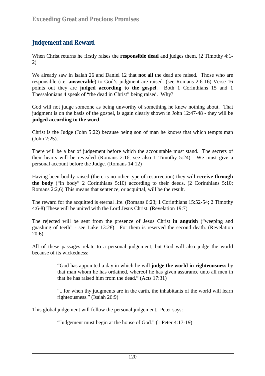# **Judgement and Reward**

When Christ returns he firstly raises the **responsible dead** and judges them. (2 Timothy 4:1- 2)

We already saw in Isaiah 26 and Daniel 12 that **not all** the dead are raised. Those who are responsible (i.e. **answerable**) to God's judgment are raised. (see Romans 2:6-16) Verse 16 points out they are **judged according to the gospel**. Both 1 Corinthians 15 and 1 Thessalonians 4 speak of "the dead in Christ" being raised. Why?

God will not judge someone as being unworthy of something he knew nothing about. That judgment is on the basis of the gospel, is again clearly shown in John 12:47-48 - they will be **judged according to the word**.

Christ is the Judge (John 5:22) because being son of man he knows that which tempts man (John 2:25).

There will be a bar of judgement before which the accountable must stand. The secrets of their hearts will be revealed (Romans 2:16, see also 1 Timothy 5:24). We must give a personal account before the Judge. (Romans 14:12)

Having been bodily raised (there is no other type of resurrection) they will **receive through the body** ("in body" 2 Corinthians 5:10) according to their deeds. (2 Corinthians 5:10; Romans 2:2,6) This means that sentence, or acquittal, will be the result.

The reward for the acquitted is eternal life. (Romans 6:23; 1 Corinthians 15:52-54; 2 Timothy 4:6-8) These will be united with the Lord Jesus Christ. (Revelation 19:7)

The rejected will be sent from the presence of Jesus Christ **in anguish** ("weeping and gnashing of teeth" - see Luke 13:28). For them is reserved the second death. (Revelation 20:6)

All of these passages relate to a personal judgement, but God will also judge the world because of its wickedness:

> "God has appointed a day in which he will **judge the world in righteousness** by that man whom he has ordained, whereof he has given assurance unto all men in that he has raised him from the dead." (Acts 17:31)

> "...for when thy judgments are in the earth, the inhabitants of the world will learn righteousness." (Isaiah 26:9)

This global judgement will follow the personal judgement. Peter says:

"Judgement must begin at the house of God." (1 Peter 4:17-19)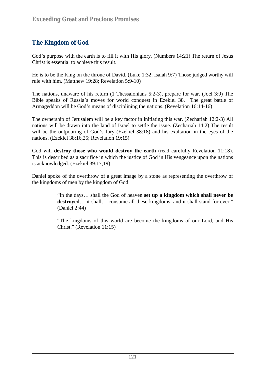# **The Kingdom of God**

God's purpose with the earth is to fill it with His glory. (Numbers 14:21) The return of Jesus Christ is essential to achieve this result.

He is to be the King on the throne of David. (Luke 1:32; Isaiah 9:7) Those judged worthy will rule with him. (Matthew 19:28; Revelation 5:9-10)

The nations, unaware of his return (1 Thessalonians 5:2-3), prepare for war. (Joel 3:9) The Bible speaks of Russia's moves for world conquest in Ezekiel 38. The great battle of Armageddon will be God's means of disciplining the nations. (Revelation 16:14-16)

The ownership of Jerusalem will be a key factor in initiating this war. (Zechariah 12:2-3) All nations will be drawn into the land of Israel to settle the issue. (Zechariah 14:2) The result will be the outpouring of God's fury (Ezekiel 38:18) and his exaltation in the eyes of the nations. (Ezekiel 38:16,25; Revelation 19:15)

God will **destroy those who would destroy the earth** (read carefully Revelation 11:18). This is described as a sacrifice in which the justice of God in His vengeance upon the nations is acknowledged. (Ezekiel 39:17,19)

Daniel spoke of the overthrow of a great image by a stone as representing the overthrow of the kingdoms of men by the kingdom of God:

> "In the days… shall the God of heaven **set up a kingdom which shall never be destroyed**… it shall… consume all these kingdoms, and it shall stand for ever." (Daniel 2:44)

> "The kingdoms of this world are become the kingdoms of our Lord, and His Christ." (Revelation 11:15)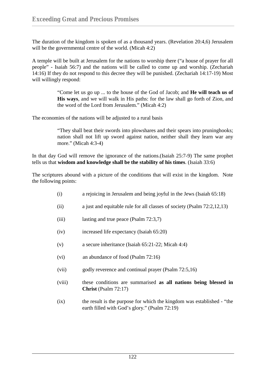The duration of the kingdom is spoken of as a thousand years. (Revelation 20:4,6) Jerusalem will be the governmental centre of the world. (Micah 4:2)

A temple will be built at Jerusalem for the nations to worship there ("a house of prayer for all people" - Isaiah 56:7) and the nations will be called to come up and worship. (Zechariah 14:16) If they do not respond to this decree they will be punished. (Zechariah 14:17-19) Most will willingly respond:

> "Come let us go up ... to the house of the God of Jacob; and **He will teach us of His ways**, and we will walk in His paths: for the law shall go forth of Zion, and the word of the Lord from Jerusalem." (Micah 4:2)

The economies of the nations will be adjusted to a rural basis

"They shall beat their swords into plowshares and their spears into pruninghooks; nation shall not lift up sword against nation, neither shall they learn war any more." (Micah 4:3-4)

In that day God will remove the ignorance of the nations.(Isaiah 25:7-9) The same prophet tells us that **wisdom and knowledge shall be the stability of his times**. (Isaiah 33:6)

The scriptures abound with a picture of the conditions that will exist in the kingdom. Note the following points:

- (i) a rejoicing in Jerusalem and being joyful in the Jews (Isaiah 65:18)
- (ii) a just and equitable rule for all classes of society (Psalm 72:2,12,13)
- (iii) lasting and true peace (Psalm 72:3,7)
- (iv) increased life expectancy (Isaiah 65:20)
- (v) a secure inheritance (Isaiah 65:21-22; Micah 4:4)
- (vi) an abundance of food (Psalm 72:16)
- (vii) godly reverence and continual prayer (Psalm 72:5,16)
- (viii) these conditions are summarised **as all nations being blessed in Christ** (Psalm 72:17)
- (ix) the result is the purpose for which the kingdom was established "the earth filled with God's glory." (Psalm 72:19)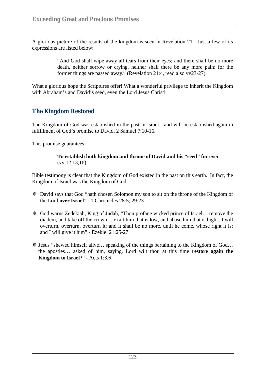A glorious picture of the results of the kingdom is seen in Revelation 21. Just a few of its expressions are listed below:

> "And God shall wipe away all tears from their eyes; and there shall be no more death, neither sorrow or crying, neither shall there be any more pain: for the former things are passed away." (Revelation 21:4, read also vv23-27)

What a glorious hope the Scriptures offer! What a wonderful privilege to inherit the Kingdom with Abraham's and David's seed, even the Lord Jesus Christ!

# **The Kingdom Restored**

The Kingdom of God was established in the past in Israel - and will be established again in fulfillment of God's promise to David, 2 Samuel 7:10-16.

This promise guarantees:

**To establish both kingdom and throne of David and his "seed" for ever**  (vv 12,13,16)

Bible testimony is clear that the Kingdom of God existed in the past on this earth. In fact, the Kingdom of Israel was the Kingdom of God:

- ! David says that God "hath chosen Solomon my son to sit on the throne of the Kingdom of the Lord **over Israel**" - 1 Chronicles 28:5; 29:23
- ! God warns Zedekiah, King of Judah, "Thou profane wicked prince of Israel… remove the diadem, and take off the crown… exalt him that is low, and abase him that is high... I will overturn, overturn, overturn it; and it shall be no more, until he come, whose right it is; and I will give it him" - Ezekiel 21:25-27
- ! Jesus "shewed himself alive… speaking of the things pertaining to the Kingdom of God… the apostles… asked of him, saying, Lord wilt thou at this time **restore again the Kingdom to Israel**?" - Acts 1:3,6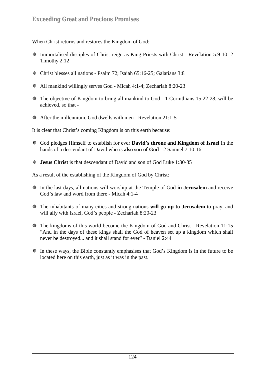When Christ returns and restores the Kingdom of God:

- ! Immortalised disciples of Christ reign as King-Priests with Christ Revelation 5:9-10; 2 Timothy 2:12
- ! Christ blesses all nations Psalm 72; Isaiah 65:16-25; Galatians 3:8
- ! All mankind willingly serves God Micah 4:1-4; Zechariah 8:20-23
- ! The objective of Kingdom to bring all mankind to God 1 Corinthians 15:22-28, will be achieved, so that -
- ! After the millennium, God dwells with men Revelation 21:1-5

It is clear that Christ's coming Kingdom is on this earth because:

- ! God pledges Himself to establish for ever **David's throne and Kingdom of Israel** in the hands of a descendant of David who is **also son of God** - 2 Samuel 7:10-16
- ! **Jesus Christ** is that descendant of David and son of God Luke 1:30-35

As a result of the establishing of the Kingdom of God by Christ:

- ! In the last days, all nations will worship at the Temple of God **in Jerusalem** and receive God's law and word from there - Micah 4:1-4
- ! The inhabitants of many cities and strong nations **will go up to Jerusalem** to pray, and will ally with Israel, God's people - Zechariah 8:20-23
- ! The kingdoms of this world become the Kingdom of God and Christ Revelation 11:15 "And in the days of these kings shall the God of heaven set up a kingdom which shall never be destroyed... and it shall stand for ever" - Daniel 2:44
- ! In these ways, the Bible constantly emphasises that God's Kingdom is in the future to be located here on this earth, just as it was in the past.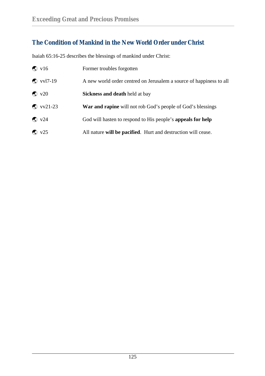# **The Condition of Mankind in the New World Order under Christ**

Isaiah 65:16-25 describes the blessings of mankind under Christ:

| $\bigcirc$ v16    | Former troubles forgotten                                           |
|-------------------|---------------------------------------------------------------------|
| $\bullet$ vvl7-19 | A new world order centred on Jerusalem a source of happiness to all |
| $\bigcirc$ v20    | <b>Sickness and death held at bay</b>                               |
| $\bullet$ vv21-23 | <b>War and rapine</b> will not rob God's people of God's blessings  |
| $\bullet$ v24     | God will hasten to respond to His people's <b>appeals for help</b>  |
| v25               | All nature will be pacified. Hurt and destruction will cease.       |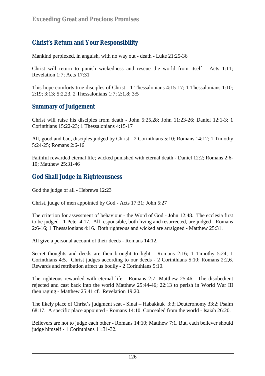# **Christ's Return and Your Responsibility**

Mankind perplexed, in anguish, with no way out - death - Luke 21:25-36

Christ will return to punish wickedness and rescue the world from itself - Acts 1:11; Revelation 1:7; Acts 17:31

This hope comforts true disciples of Christ - 1 Thessalonians 4:15-17; 1 Thessalonians 1:10; 2:19; 3:13; 5:2,23. 2 Thessalonians 1:7; 2:1,8; 3:5

## **Summary of Judgement**

Christ will raise his disciples from death - John 5:25,28; John 11:23-26; Daniel 12:1-3; 1 Corinthians 15:22-23; 1 Thessalonians 4:15-17

All, good and bad, disciples judged by Christ - 2 Corinthians 5:10; Romans 14:12; 1 Timothy 5:24-25; Romans 2:6-16

Faithful rewarded eternal life; wicked punished with eternal death - Daniel 12:2; Romans 2:6- 10; Matthew 25:31-46

# **God Shall Judge in Righteousness**

God the judge of all - Hebrews 12:23

Christ, judge of men appointed by God - Acts 17:31; John 5:27

The criterion for assessment of behaviour - the Word of God - John 12:48. The ecclesia first to be judged - 1 Peter 4:17. All responsible, both living and resurrected, are judged - Romans 2:6-16; 1 Thessalonians 4:16. Both righteous and wicked are arraigned - Matthew 25:31.

All give a personal account of their deeds - Romans 14:12.

Secret thoughts and deeds are then brought to light - Romans 2:16; 1 Timothy 5:24; 1 Corinthians 4:5. Christ judges according to our deeds - 2 Corinthians 5:10; Romans 2:2,6. Rewards and retribution affect us bodily - 2 Corinthians 5:10.

The righteous rewarded with eternal life - Romans 2:7; Matthew 25:46. The disobedient rejected and cast back into the world Matthew 25:44-46; 22:13 to perish in World War III then raging - Matthew 25:41 cf. Revelation 19:20.

The likely place of Christ's judgment seat - Sinai – Habakkuk 3:3; Deuteronomy 33:2; Psalm 68:17. A specific place appointed - Romans 14:10. Concealed from the world - Isaiah 26:20.

Believers are not to judge each other - Romans 14:10; Matthew 7:1. But, each believer should judge himself - 1 Corinthians 11:31-32.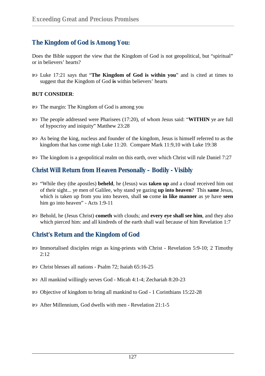## **The Kingdom of God is Among You:**

Does the Bible support the view that the Kingdom of God is not geopolitical, but "spiritual" or in believers' hearts?

' Luke 17:21 says that "**The Kingdom of God is within you**" and is cited at times to suggest that the Kingdom of God **is** within believers' hearts

#### **BUT CONSIDER**:

- ' The margin: The Kingdom of God is among you
- ' The people addressed were Pharisees (17:20), of whom Jesus said: "**WITHIN** ye are full of hypocrisy and iniquity" Matthew 23:28
- ' As being the king, nucleus and founder of the kingdom, Jesus is himself referred to as the kingdom that has come nigh Luke 11:20. Compare Mark 11:9,10 with Luke 19:38
- ' The kingdom is a geopolitical realm on this earth, over which Christ will rule Daniel 7:27

## **Christ Will Return from Heaven Personally – Bodily - Visibly**

- ' "While they (the apostles) **beheld**, he (Jesus) was **taken up** and a cloud received him out of their sight... ye men of Galilee, why stand ye gazing **up into heaven**? This **same** Jesus, which is taken up from you into heaven, shall **so** come **in like manner** as ye have **seen** him go into heaven" - Acts 1:9-11
- ' Behold, he (Jesus Christ) **cometh** with clouds; and **every eye shall see him**, and they also which pierced him: and all kindreds of the earth shall wail because of him Revelation 1:7

## **Christ's Return and the Kingdom of God**

- ' Immortalised disciples reign as king-priests with Christ Revelation 5:9-10; 2 Timothy 2:12
- ' Christ blesses all nations Psalm 72; Isaiah 65:16-25
- ' All mankind willingly serves God Micah 4:1-4; Zechariah 8:20-23
- ' Objective of kingdom to bring all mankind to God 1 Corinthians 15:22-28
- ' After Millennium, God dwells with men Revelation 21:1-5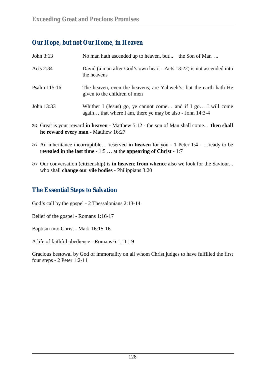# **Our Hope, but not Our Home, in Heaven**

| John $3:13$  | No man hath ascended up to heaven, but the Son of Man                                                                     |
|--------------|---------------------------------------------------------------------------------------------------------------------------|
| Acts $2:34$  | David (a man after God's own heart - Acts 13:22) is not ascended into<br>the heavens                                      |
| Psalm 115:16 | The heaven, even the heavens, are Yahweh's: but the earth hath He<br>given to the children of men                         |
| John 13:33   | Whither I (Jesus) go, ye cannot come and if I go I will come<br>again that where I am, there ye may be also - John 14:3-4 |

- ' Great is your reward **in heaven** Matthew 5:12 the son of Man shall come... **then shall he reward every man** - Matthew 16:27
- ' An inheritance incorruptible… reserved **in heaven** for you 1 Peter 1:4 …ready to be **revealed in the last time** - 1:5 … at the **appearing of Christ** - 1:7
- ' Our conversation (citizenship) is **in heaven**; **from whence** also we look for the Saviour... who shall **change our vile bodies** - Philippians 3:20

# **The Essential Steps to Salvation**

God's call by the gospel - 2 Thessalonians 2:13-14

Belief of the gospel - Romans 1:16-17

Baptism into Christ - Mark 16:15-16

A life of faithful obedience - Romans 6:1,11-19

Gracious bestowal by God of immortality on all whom Christ judges to have fulfilled the first four steps - 2 Peter 1:2-11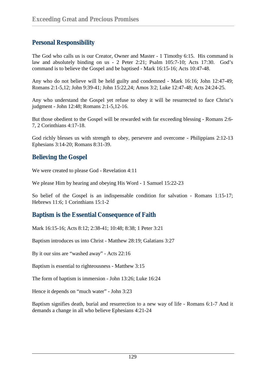# **Personal Responsibility**

The God who calls us is our Creator, Owner and Master - 1 Timothy 6:15. His command is law and absolutely binding on us - 2 Peter 2:21; Psalm 105:7-10; Acts 17:30. God's command is to believe the Gospel and be baptised - Mark 16:15-16; Acts 10:47-48.

Any who do not believe will be held guilty and condemned - Mark 16:16; John 12:47-49; Romans 2:1-5,12; John 9:39-41; John 15:22,24; Amos 3:2; Luke 12:47-48; Acts 24:24-25.

Any who understand the Gospel yet refuse to obey it will be resurrected to face Christ's judgment - John 12:48; Romans 2:1-5,12-16.

But those obedient to the Gospel will be rewarded with far exceeding blessing - Romans 2:6- 7, 2 Corinthians 4:17-18.

God richly blesses us with strength to obey, persevere and overcome - Philippians 2:12-13 Ephesians 3:14-20; Romans 8:31-39.

# **Believing the Gospel**

We were created to please God - Revelation 4:11

We please Him by hearing and obeying His Word - 1 Samuel 15:22-23

So belief of the Gospel is an indispensable condition for salvation - Romans 1:15-17; Hebrews 11:6; 1 Corinthians 15:1-2

## **Baptism is the Essential Consequence of Faith**

Mark 16:15-16; Acts 8:12; 2:38-41; 10:48; 8:38; 1 Peter 3:21

Baptism introduces us into Christ - Matthew 28:19; Galatians 3:27

By it our sins are "washed away" - Acts 22:16

Baptism is essential to righteousness - Matthew 3:15

The form of baptism is immersion - John 13:26; Luke 16:24

Hence it depends on "much water" - John 3:23

Baptism signifies death, burial and resurrection to a new way of life - Romans 6:1-7 And it demands a change in all who believe Ephesians 4:21-24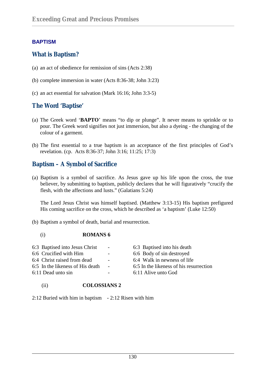#### **BAPTISM**

## **What is Baptism?**

- (a) an act of obedience for remission of sins (Acts 2:38)
- (b) complete immersion in water (Acts 8:36-38; John 3:23)
- (c) an act essential for salvation (Mark 16:16; John 3:3-5)

# **The Word 'Baptise'**

- (a) The Greek word '**BAPTO**' means "to dip or plunge". It never means to sprinkle or to pour. The Greek word signifies not just immersion, but also a dyeing - the changing of the colour of a garment.
- (b) The first essential to a true baptism is an acceptance of the first principles of God's revelation. (cp. Acts 8:36-37; John 3:16; 11:25; 17:3)

# **Baptism – A Symbol of Sacrifice**

(a) Baptism is a symbol of sacrifice. As Jesus gave up his life upon the cross, the true believer, by submitting to baptism, publicly declares that he will figuratively "crucify the flesh, with the affections and lusts." (Galatians 5:24)

The Lord Jesus Christ was himself baptised. (Matthew 3:13-15) His baptism prefigured His coming sacrifice on the cross, which he described as 'a baptism' (Luke 12:50)

- (b) Baptism a symbol of death, burial and resurrection.
	- (i) **ROMANS 6**

| 6:3 Baptised into Jesus Christ             | $\sim$                   | 6:3 Baptised into his death             |
|--------------------------------------------|--------------------------|-----------------------------------------|
| 6:6 Crucified with Him                     | $\overline{\phantom{a}}$ | 6:6 Body of sin destroyed               |
| 6:4 Christ raised from dead                | $\sim$                   | 6:4 Walk in newness of life             |
| 6:5 In the likeness of His death<br>$\sim$ |                          | 6:5 In the likeness of his resurrection |
| 6:11 Dead unto sin                         |                          | 6:11 Alive unto God                     |

#### (ii) **COLOSSIANS 2**

2:12 Buried with him in baptism - 2:12 Risen with him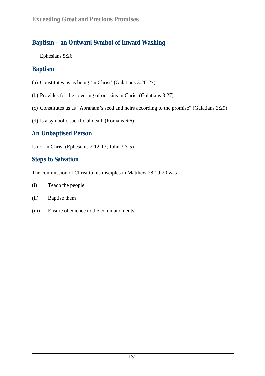# **Baptism – an Outward Symbol of Inward Washing**

Ephesians 5:26

# **Baptism**

- (a) Constitutes us as being 'in Christ' (Galatians 3:26-27)
- (b) Provides for the covering of our sins in Christ (Galatians 3:27)
- (c) Constitutes us as "Abraham's seed and heirs according to the promise" (Galatians 3:29)
- (d) Is a symbolic sacrificial death (Romans 6:6)

# **An Unbaptised Person**

Is not in Christ (Ephesians 2:12-13; John 3:3-5)

# **Steps to Salvation**

The commission of Christ to his disciples in Matthew 28:19-20 was

- (i) Teach the people
- (ii) Baptise them
- (iii) Ensure obedience to the commandments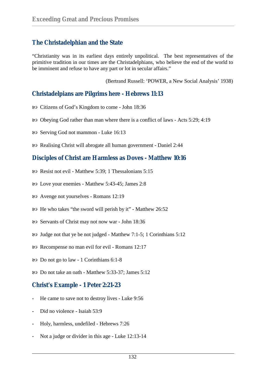## **The Christadelphian and the State**

"Christianity was in its earliest days entirely unpolitical. The best representatives of the primitive tradition in our times are the Christadelphians, who believe the end of the world to be imminent and refuse to have any part or lot in secular affairs."

(Bertrand Russell: 'POWER, a New Social Analysis' 1938)

### **Christadelpians are Pilgrims here - Hebrews 11:13**

- ' Citizens of God's Kingdom to come John 18:36
- ' Obeying God rather than man where there is a conflict of laws Acts 5:29; 4:19
- ' Serving God not mammon Luke 16:13
- ' Realising Christ will abrogate all human government Daniel 2:44

## **Disciples of Christ are Harmless as Doves - Matthew 10:16**

- ' Resist not evil Matthew 5:39; 1 Thessalonians 5:15
- ' Love your enemies Matthew 5:43-45; James 2:8
- ' Avenge not yourselves Romans 12:19
- ' He who takes "the sword will perish by it" Matthew 26:52
- ' Servants of Christ may not now war John 18:36
- ' Judge not that ye be not judged Matthew 7:1-5; 1 Corinthians 5:12
- ' Recompense no man evil for evil Romans 12:17
- ' Do not go to law 1 Corinthians 6:1-8
- ' Do not take an oath Matthew 5:33-37; James 5:12

## **Christ's Example - 1 Peter 2:21-23**

- He came to save not to destroy lives Luke 9:56
- Did no violence Isaiah 53.9
- Holy, harmless, undefiled Hebrews 7:26
- Not a judge or divider in this age Luke 12:13-14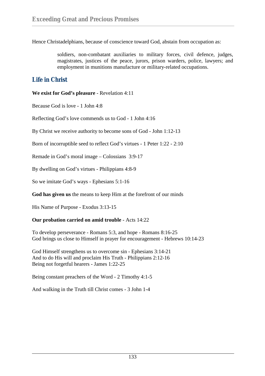Hence Christadelphians, because of conscience toward God, abstain from occupation as:

soldiers, non-combatant auxiliaries to military forces, civil defence, judges, magistrates, justices of the peace, jurors, prison warders, police, lawyers; and employment in munitions manufacture or military-related occupations.

## **Life in Christ**

**We exist for God's pleasure** - Revelation 4:11

Because God is love - 1 John 4:8

Reflecting God's love commends us to God - 1 John 4:16

By Christ we receive authority to become sons of God - John 1:12-13

Born of incorruptible seed to reflect God's virtues - 1 Peter 1:22 - 2:10

Remade in God's moral image – Colossians 3:9-17

By dwelling on God's virtues - Philippians 4:8-9

So we imitate God's ways - Ephesians 5:1-16

**God has given us** the means to keep Him at the forefront of our minds

His Name of Purpose - Exodus 3:13-15

#### **Our probation carried on amid trouble** - Acts 14:22

To develop perseverance - Romans 5:3, and hope - Romans 8:16-25 God brings us close to Himself in prayer for encouragement - Hebrews 10:14-23

God Himself strengthens us to overcome sin - Ephesians 3:14-21 And to do His will and proclaim His Truth - Philippians 2:12-16 Being not forgetful hearers - James 1:22-25

Being constant preachers of the Word - 2 Timothy 4:1-5

And walking in the Truth till Christ comes - 3 John 1-4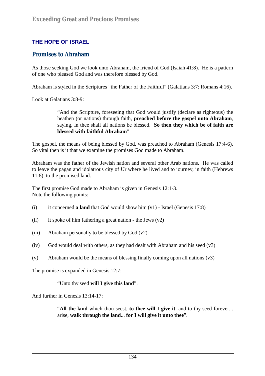### **THE HOPE OF ISRAEL**

### **Promises to Abraham**

As those seeking God we look unto Abraham, the friend of God (Isaiah 41:8). He is a pattern of one who pleased God and was therefore blessed by God.

Abraham is styled in the Scriptures "the Father of the Faithful" (Galatians 3:7; Romans 4:16).

Look at Galatians 3:8-9:

"And the Scripture, foreseeing that God would justify (declare as righteous) the heathen (or nations) through faith, **preached before the gospel unto Abraham**, saying, In thee shall all nations be blessed. **So then they which be of faith are blessed with faithful Abraham**"

The gospel, the means of being blessed by God, was preached to Abraham (Genesis 17:4-6). So vital then is it that we examine the promises God made to Abraham.

Abraham was the father of the Jewish nation and several other Arab nations. He was called to leave the pagan and idolatrous city of Ur where he lived and to journey, in faith (Hebrews 11:8), to the promised land.

The first promise God made to Abraham is given in Genesis 12:1-3. Note the following points:

- (i) it concerned **a land** that God would show him (v1) Israel (Genesis 17:8)
- (ii) it spoke of him fathering a great nation the Jews  $(v2)$
- (iii) Abraham personally to be blessed by God  $(v2)$
- (iv) God would deal with others, as they had dealt with Abraham and his seed  $(v3)$
- (v) Abraham would be the means of blessing finally coming upon all nations (v3)

The promise is expanded in Genesis 12:7:

"Unto thy seed **will I give this land**".

And further in Genesis 13:14-17:

"**All the land** which thou seest, **to thee will I give it**, and to thy seed forever... arise, **walk through the land**... **for I will give it unto thee**".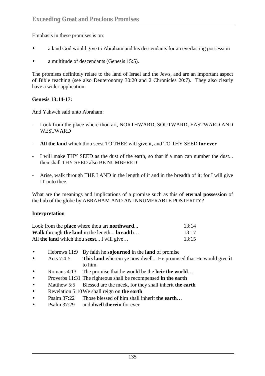Emphasis in these promises is on:

- a land God would give to Abraham and his descendants for an everlasting possession
- a multitude of descendants (Genesis 15:5).

The promises definitely relate to the land of Israel and the Jews, and are an important aspect of Bible teaching (see also Deuteronomy 30:20 and 2 Chronicles 20:7). They also clearly have a wider application.

#### **Genesis 13:14-17:**

And Yahweh said unto Abraham:

- Look from the place where thou art, NORTHWARD, SOUTWARD, EASTWARD AND **WESTWARD**
- **All the land** which thou seest TO THEE will give it, and TO THY SEED **for ever**
- I will make THY SEED as the dust of the earth, so that if a man can number the dust... then shall THY SEED also BE NUMBERED
- Arise, walk through THE LAND in the length of it and in the breadth of it; for I will give IT unto thee.

What are the meanings and implications of a promise such as this of **eternal possession** of the hub of the globe by ABRAHAM AND AN INNUMERABLE POSTERITY?

#### **Interpretation**

| Look from the <b>place</b> where thou art <b>northward</b> | 13:14 |
|------------------------------------------------------------|-------|
| <b>Walk</b> through the land in the length <b>breadth</b>  | 13:17 |
| All the land which thou seest I will give                  | 13:15 |

- Hebrews 11:9 By faith he **sojourned** in the **land** of promise
- Acts 7:4-5 **This land** wherein ye now dwell... He promised that He would give **it**  to him
- Romans 4:13 The promise that he would be the **heir the world**…
- Proverbs 11:31 The righteous shall be recompensed **in the earth**
- Matthew 5:5 Blessed are the meek, for they shall inherit **the earth**
- Revelation 5:10 We shall reign on **the earth**
- Psalm 37:22 Those blessed of him shall inherit **the earth**…
- Psalm 37:29 and **dwell therein** for ever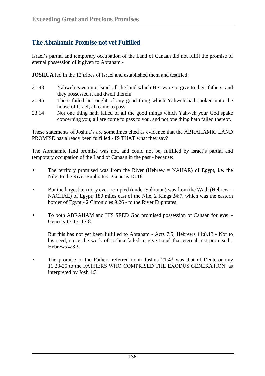# **The Abrahamic Promise not yet Fulfilled**

Israel's partial and temporary occupation of the Land of Canaan did not fulfil the promise of eternal possession of it given to Abraham -

**JOSHUA** led in the 12 tribes of Israel and established them and testified:

- 21:43 Yahweh gave unto Israel all the land which He sware to give to their fathers; and they possessed it and dwelt therein
- 21:45 There failed not ought of any good thing which Yahweh had spoken unto the house of Israel; all came to pass
- 23:14 Not one thing hath failed of all the good things which Yahweh your God spake concerning you; all are come to pass to you, and not one thing hath failed thereof.

These statements of Joshua's are sometimes cited as evidence that the ABRAHAMIC LAND PROMISE has already been fulfilled - **IS** THAT what they say?

The Abrahamic land promise was not, and could not be, fulfilled by Israel's partial and temporary occupation of the Land of Canaan in the past - because:

- The territory promised was from the River (Hebrew  $=$  NAHAR) of Egypt, i.e. the Nile, to the River Euphrates - Genesis 15:18
- But the largest territory ever occupied (under Solomon) was from the Wadi (Hebrew  $=$ NACHAL) of Egypt, 180 miles east of the Nile, 2 Kings 24:7, which was the eastern border of Egypt - 2 Chronicles 9:26 - to the River Euphrates
- To both ABRAHAM and HIS SEED God promised possession of Canaan **for ever** Genesis 13:15; 17:8

But this has not yet been fulfilled to Abraham - Acts 7:5; Hebrews 11:8,13 - Nor to his seed, since the work of Joshua failed to give Israel that eternal rest promised - Hebrews 4:8-9

The promise to the Fathers referred to in Joshua 21:43 was that of Deuteronomy 11:23-25 to the FATHERS WHO COMPRISED THE EXODUS GENERATION, as interpreted by Josh 1:3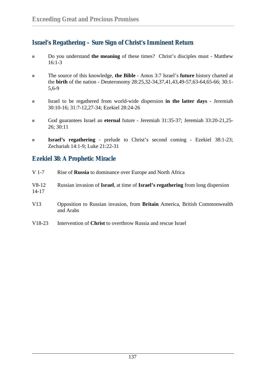# **Israel's Regathering – Sure Sign of Christ's Imminent Return**

- !" Do you understand **the meaning** of these times? Christ's disciples must Matthew 16:1-3
- !" The source of this knowledge, **the Bible** Amos 3:7 Israel's **future** history charted at the **birth** of the nation - Deuteronomy 28:25,32-34,37,41,43,49-57,63-64,65-66; 30:1- 5,6-9
- !" Israel to be regathered from world-wide dispersion **in the latter days** Jeremiah 30:10-16; 31:7-12,27-34; Ezekiel 28:24-26
- !" God guarantees Israel an **eternal** future Jeremiah 31:35-37; Jeremiah 33:20-21,25- 26; 30:11
- **Example 38:1-23; Israel's regathering** prelude to Christ's second coming Ezekiel 38:1-23; Zechariah 14:1-9; Luke 21:22-31

# **Ezekiel 38: A Prophetic Miracle**

| V 1-7                | Rise of <b>Russia</b> to dominance over Europe and North Africa                                 |
|----------------------|-------------------------------------------------------------------------------------------------|
| $V8-12$<br>$14 - 17$ | Russian invasion of <b>Israel</b> , at time of <b>Israel's regathering</b> from long dispersion |
| V13                  | Opposition to Russian invasion, from <b>Britain</b> America, British Commonwealth<br>and Arabs  |

V18-23 Intervention of **Christ** to overthrow Russia and rescue Israel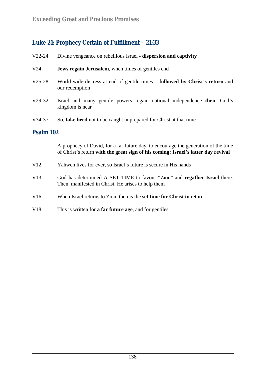# **Luke 21: Prophecy Certain of Fulfillment – 21:33**

- V22-24 Divine vengeance on rebellious Israel **dispersion and captivity**
- V24 **Jews regain Jerusalem**, when times of gentiles end
- V25-28 World-wide distress at end of gentile times **followed by Christ's return** and our redemption
- V29-32 Israel and many gentile powers regain national independence **then**, God's kingdom is near
- V34-37 So, **take heed** not to be caught unprepared for Christ at that time

#### **Psalm 102**

A prophecy of David, for a far future day, to encourage the generation of the time of Christ's return **with the great sign of his coming: Israel's latter day revival**

- V12 Yahweh lives for ever, so Israel's future is secure in His hands
- V13 God has determined A SET TIME to favour "Zion" and **regather Israel** there. Then, manifested in Christ, He arises to help them
- V16 When Israel returns to Zion, then is the **set time for Christ to** return
- V18 This is written for **a far future age**, and for gentiles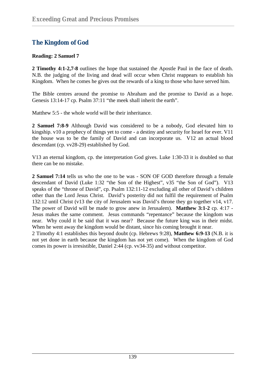# **The Kingdom of God**

#### **Reading: 2 Samuel 7**

**2 Timothy 4:1-2,7-8** outlines the hope that sustained the Apostle Paul in the face of death. N.B. the judging of the living and dead will occur when Christ reappears to establish his Kingdom. When he comes he gives out the rewards of a king to those who have served him.

The Bible centres around the promise to Abraham and the promise to David as a hope. Genesis 13:14-17 cp. Psalm 37:11 "the meek shall inherit the earth".

Matthew 5:5 - the whole world will be their inheritance.

**2 Samuel 7:8-9** Although David was considered to be a nobody, God elevated him to kingship. v10 a prophecy of things yet to come - a destiny and security for Israel for ever. V11 the house was to be the family of David and can incorporate us. V12 an actual blood descendant (cp. vv28-29) established by God.

V13 an eternal kingdom, cp. the interpretation God gives. Luke 1:30-33 it is doubled so that there can be no mistake.

**2 Samuel 7:14** tells us who the one to be was - SON OF GOD therefore through a female descendant of David (Luke 1:32 "the Son of the Highest", v35 "the Son of God"). V13 speaks of the "throne of David", cp. Psalm 132:11-12 excluding all other of David's children other than the Lord Jesus Christ. David's posterity did not fulfil the requirement of Psalm 132:12 until Christ (v13 the city of Jerusalem was David's throne they go together v14, v17. The power of David will be made to grow anew in Jerusalem). **Matthew 3:1-2** cp. 4:17 - Jesus makes the same comment. Jesus commands "repentance" because the kingdom was near. Why could it be said that it was near? Because the future king was in their midst. When he went away the kingdom would be distant, since his coming brought it near.

2 Timothy 4:1 establishes this beyond doubt (cp. Hebrews 9:28), **Matthew 6:9-13** (N.B. it is not yet done in earth because the kingdom has not yet come). When the kingdom of God comes its power is irresistible, Daniel 2:44 (cp. vv34-35) and without competitor.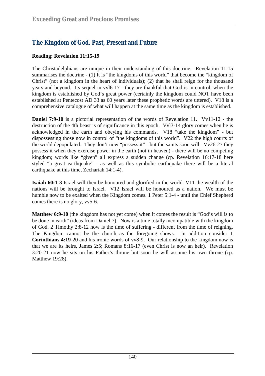# **The Kingdom of God, Past, Present and Future**

#### **Reading: Revelation 11:15-19**

The Christadelphians are unique in their understanding of this doctrine. Revelation 11:15 summarises the doctrine - (1) It is "the kingdoms of this world" that become the "kingdom of Christ" (not a kingdom in the heart of individuals); (2) that he shall reign for the thousand years and beyond. Its sequel in vvl6-17 - they are thankful that God is in control, when the kingdom is established by God's great power (certainly the kingdom could NOT have been established at Pentecost AD 33 as 60 years later these prophetic words are uttered). V18 is a comprehensive catalogue of what will happen at the same time as the kingdom is established.

**Daniel 7:9-10** is a pictorial representation of the words of Revelation 11. Vv11-12 - the destruction of the 4th beast is of significance in this epoch. Vvl3-14 glory comes when he is acknowledged in the earth and obeying his commands. V18 "take the kingdom" - but dispossessing those now in control of "the kingdoms of this world". V22 the high courts of the world depopulated. They don't now "possess it" - but the saints soon will. Vv26-27 they possess it when they exercise power in the earth (not in heaven) - there will be no competing kingdom; words like "given" all express a sudden change (cp. Revelation 16:17-18 here styled "a great earthquake" - as well as this symbolic earthquake there will be a literal earthquake at this time, Zechariah 14:1-4).

**Isaiah 60:1-3** Israel will then be honoured and glorified in the world. V11 the wealth of the nations will be brought to Israel. V12 Israel will be honoured as a nation. We must be humble now to be exalted when the Kingdom comes. 1 Peter 5:1-4 - until the Chief Shepherd comes there is no glory, vv5-6.

**Matthew 6:9-10** (the kingdom has not yet come) when it comes the result is "God's will is to be done in earth" (ideas from Daniel 7). Now is a time totally incompatible with the kingdom of God. 2 Timothy 2:8-12 now is the time of suffering - different from the time of reigning. The Kingdom cannot be the church as the foregoing shows. In addition consider **1 Corinthians 4:19-20** and his ironic words of vv8-9. Our relationship to the kingdom now is that we are its heirs, James 2:5; Romans 8:16-17 (even Christ is now an heir). Revelation 3:20-21 now he sits on his Father's throne but soon he will assume his own throne (cp. Matthew 19:28).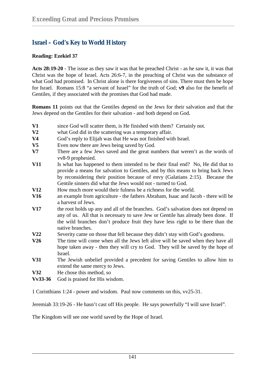# **Israel – God's Key to World History**

#### **Reading: Ezekiel 37**

**Acts 28:19-20** - The issue as they saw it was that he preached Christ - as he saw it, it was that Christ was the hope of Israel. Acts 26:6-7, in the preaching of Christ was the substance of what God had promised. In Christ alone is there forgiveness of sins. There must then be hope for Israel. Romans 15:8 "a servant of Israel" for the truth of God; **v9** also for the benefit of Gentiles, if they associated with the promises that God had made.

**Romans 11** points out that the Gentiles depend on the Jews for their salvation and that the Jews depend on the Gentiles for their salvation - and both depend on God.

- **V1** since God will scatter them, is He finished with them? Certainly not.
- **V2** what God did in the scattering was a temporary affair.
- **V4** God's reply to Elijah was that He was not finished with Israel.
- **V5** Even now there are Jews being saved by God.
- **V7** There are a few Jews saved and the great numbers that weren't as the words of vv8-9 prophesied.
- **V11** Is what has happened to them intended to be their final end? No, He did that to provide a means for salvation to Gentiles, and by this means to bring back Jews by reconsidering their position because of envy (Galatians 2:15). Because the Gentile sinners did what the Jews would not - turned to God.
- **V12** How much more would their fulness be a richness for the world.
- **V16** an example from agriculture the fathers Abraham, Isaac and Jacob there will be a harvest of Jews.
- **V17** the root holds up any and all of the branches. God's salvation does not depend on any of us. All that is necessary to save Jew or Gentile has already been done. If the wild branches don't produce fruit they have less right to be there than the native branches.
- **V22** Severity came on those that fell because they didn't stay with God's goodness.
- **V26** The time will come when all the Jews left alive will be saved when they have all hope taken away - then they will cry to God. They will be saved by the hope of Israel.
- **V31** The Jewish unbelief provided a precedent for saving Gentiles to allow him to extend the same mercy to Jews.
- **V32** He chose this method, so
- **Vv33-36** God is praised for His wisdom.

1 Corinthians 1:24 - power and wisdom. Paul now comments on this, vv25-31.

Jeremiah 33:19-26 - He hasn't cast off His people. He says powerfully "I will save Israel".

The Kingdom will see one world saved by the Hope of Israel.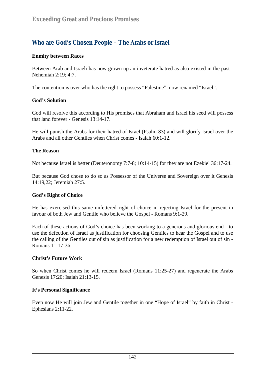# **Who are God's Chosen People – The Arabs or Israel**

#### **Enmity between Races**

Between Arab and Israeli has now grown up an inveterate hatred as also existed in the past - Nehemiah 2:19; 4:7.

The contention is over who has the right to possess "Palestine", now renamed "Israel".

## **God's Solution**

God will resolve this according to His promises that Abraham and Israel his seed will possess that land forever - Genesis 13:14-17.

He will punish the Arabs for their hatred of Israel (Psalm 83) and will glorify Israel over the Arabs and all other Gentiles when Christ comes - Isaiah 60:1-12.

#### **The Reason**

Not because Israel is better (Deuteronomy 7:7-8; 10:14-15) for they are not Ezekiel 36:17-24.

But because God chose to do so as Possessor of the Universe and Sovereign over it Genesis 14:19,22; Jeremiah 27:5.

#### **God's Right of Choice**

He has exercised this same unfettered right of choice in rejecting Israel for the present in favour of both Jew and Gentile who believe the Gospel - Romans 9:1-29.

Each of these actions of God's choice has been working to a generous and glorious end - to use the defection of Israel as justification for choosing Gentiles to hear the Gospel and to use the calling of the Gentiles out of sin as justification for a new redemption of Israel out of sin - Romans 11:17-36.

#### **Christ's Future Work**

So when Christ comes he will redeem Israel (Romans 11:25-27) and regenerate the Arabs Genesis 17:20; Isaiah 21:13-15.

## **It's Personal Significance**

Even now He will join Jew and Gentile together in one "Hope of Israel" by faith in Christ - Ephesians 2:11-22.